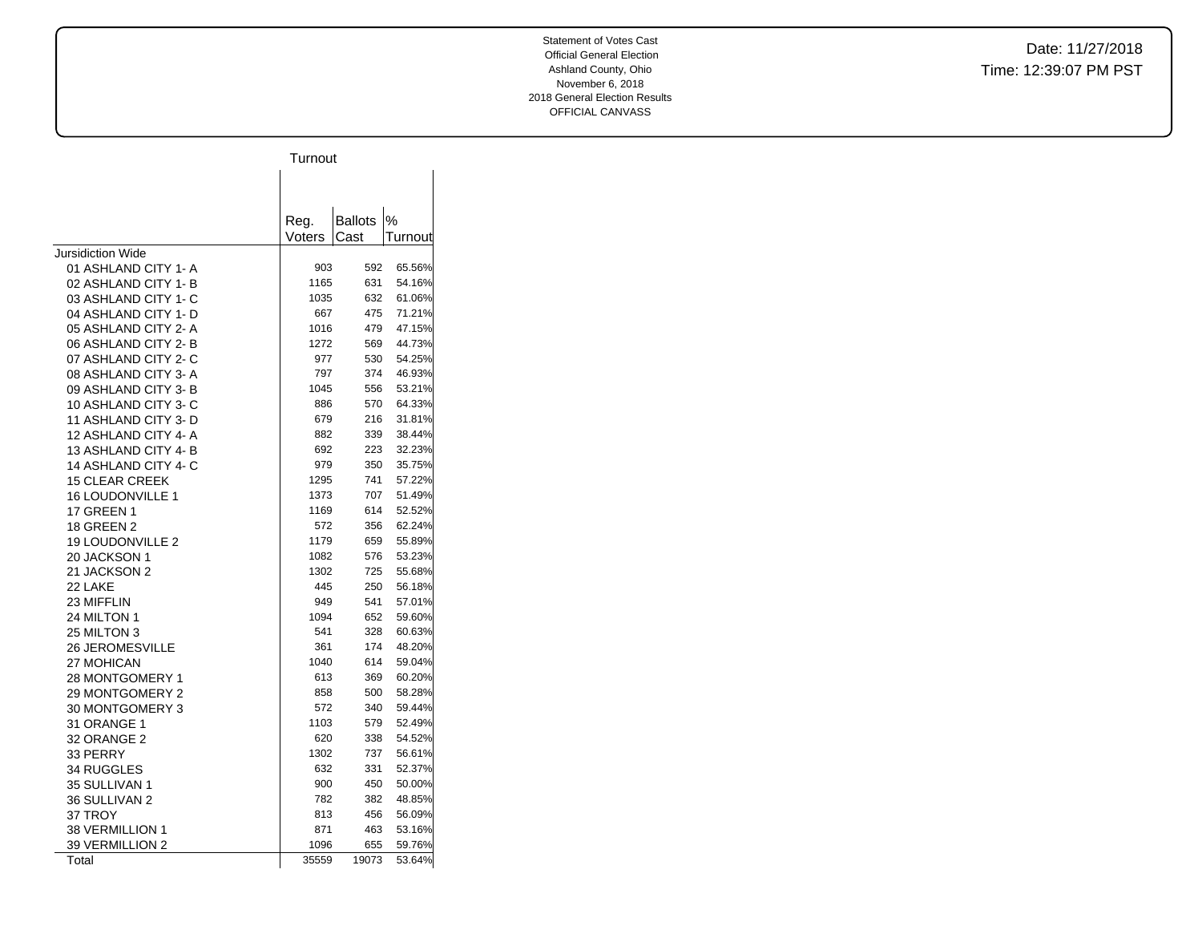|                                    | Turnout      |                |                  |
|------------------------------------|--------------|----------------|------------------|
|                                    |              |                |                  |
|                                    |              |                |                  |
|                                    |              |                |                  |
|                                    | Reg.         | <b>Ballots</b> | $\%$             |
|                                    | Voters       | Cast           | Turnout          |
| Jursidiction Wide                  |              |                |                  |
| 01 ASHLAND CITY 1- A               | 903          | 592            | 65.56%           |
| 02 ASHLAND CITY 1-B                | 1165         | 631            | 54.16%           |
| 03 ASHLAND CITY 1- C               | 1035         | 632            | 61.06%           |
| 04 ASHLAND CITY 1- D               | 667          | 475            | 71.21%           |
| 05 ASHLAND CITY 2-A                | 1016         | 479            | 47.15%           |
| 06 ASHLAND CITY 2-B                | 1272         | 569<br>530     | 44.73%           |
| 07 ASHLAND CITY 2- C               | 977<br>797   | 374            | 54.25%<br>46.93% |
| 08 ASHLAND CITY 3-A                |              |                |                  |
| 09 ASHLAND CITY 3-B                | 1045         | 556            | 53.21%           |
| 10 ASHLAND CITY 3-C                | 886          | 570            | 64.33%           |
| 11 ASHLAND CITY 3-D                | 679          | 216            | 31.81%           |
| 12 ASHLAND CITY 4- A               | 882          | 339            | 38.44%           |
| 13 ASHLAND CITY 4-B                | 692          | 223            | 32.23%           |
| 14 ASHLAND CITY 4-C                | 979          | 350            | 35.75%           |
| <b>15 CLEAR CREEK</b>              | 1295         | 741            | 57.22%           |
| <b>16 LOUDONVILLE 1</b>            | 1373         | 707            | 51.49%           |
| <b>17 GREEN 1</b>                  | 1169         | 614            | 52.52%           |
| <b>18 GREEN 2</b>                  | 572          | 356            | 62.24%           |
| <b>19 LOUDONVILLE 2</b>            | 1179<br>1082 | 659<br>576     | 55.89%<br>53.23% |
| 20 JACKSON 1                       |              |                |                  |
| 21 JACKSON 2                       | 1302<br>445  | 725<br>250     | 55.68%<br>56.18% |
| 22 LAKE                            | 949          | 541            | 57.01%           |
| 23 MIFFLIN                         | 1094         | 652            |                  |
| 24 MILTON 1                        | 541          | 328            | 59.60%<br>60.63% |
| 25 MILTON 3                        | 361          | 174            | 48.20%           |
| <b>26 JEROMESVILLE</b>             | 1040         | 614            | 59.04%           |
| 27 MOHICAN<br>28 MONTGOMERY 1      | 613          | 369            | 60.20%           |
| 29 MONTGOMERY 2                    | 858          | 500            | 58.28%           |
| 30 MONTGOMERY 3                    | 572          | 340            | 59.44%           |
| 31 ORANGE 1                        | 1103         | 579            | 52.49%           |
|                                    | 620          | 338            | 54.52%           |
| 32 ORANGE 2                        | 1302         | 737            | 56.61%           |
| 33 PERRY<br>34 RUGGLES             | 632          | 331            | 52.37%           |
| 35 SULLIVAN 1                      | 900          | 450            | 50.00%           |
| 36 SULLIVAN 2                      | 782          | 382            | 48.85%           |
| 37 TROY                            | 813          | 456            | 56.09%           |
|                                    | 871          | 463            | 53.16%           |
| 38 VERMILLION 1<br>39 VERMILLION 2 | 1096         | 655            | 59.76%           |
| Total                              | 35559        | 19073          | 53.64%           |
|                                    |              |                |                  |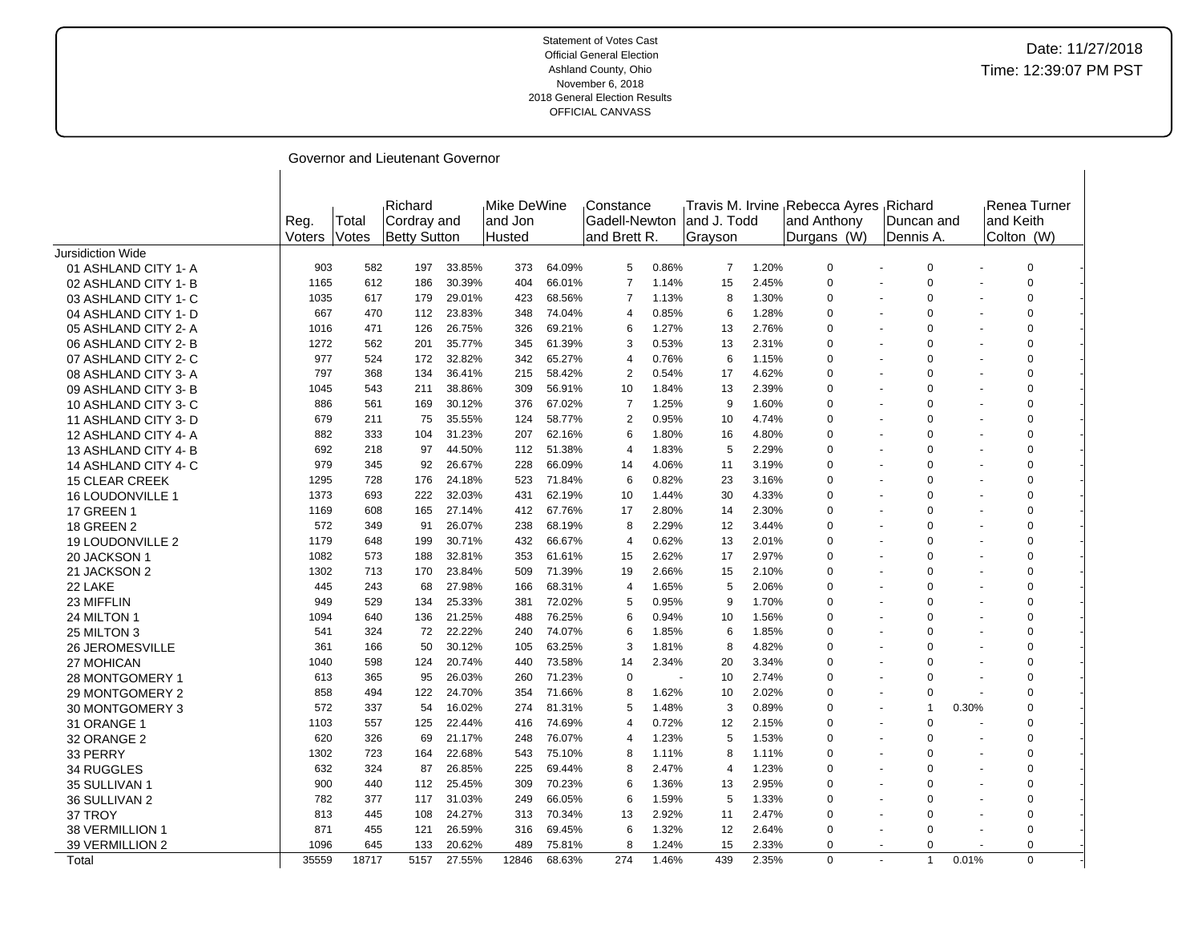| Governor and Lieutenant Governor |
|----------------------------------|
|                                  |

|                         | Reg.<br>Voters | Total<br>Votes | Richard<br>Cordray and<br><b>Betty Sutton</b> |        | Mike DeWine<br>land Jon<br>Husted |        | Constance<br>Gadell-Newton<br>and Brett R. |       | land J. Todd<br>Grayson |       | Travis M. Irvine Rebecca Ayres Richard<br>and Anthony<br>Durgans (W) | Duncan and<br>Dennis A               |                | Renea Turner<br>and Keith<br>Colton (W) |  |
|-------------------------|----------------|----------------|-----------------------------------------------|--------|-----------------------------------|--------|--------------------------------------------|-------|-------------------------|-------|----------------------------------------------------------------------|--------------------------------------|----------------|-----------------------------------------|--|
| Jursidiction Wide       |                |                |                                               |        |                                   |        |                                            |       |                         |       |                                                                      |                                      |                |                                         |  |
| 01 ASHLAND CITY 1-A     | 903            | 582            | 197                                           | 33.85% | 373                               | 64.09% | 5                                          | 0.86% | 7                       | 1.20% | $\Omega$                                                             | 0                                    |                | 0                                       |  |
| 02 ASHLAND CITY 1-B     | 1165           | 612            | 186                                           | 30.39% | 404                               | 66.01% | $\overline{7}$                             | 1.14% | 15                      | 2.45% | $\Omega$                                                             | $\mathbf 0$                          |                | $\pmb{0}$                               |  |
| 03 ASHLAND CITY 1- C    | 1035           | 617            | 179                                           | 29.01% | 423                               | 68.56% | $\overline{7}$                             | 1.13% | 8                       | 1.30% | $\Omega$                                                             | $\mathbf 0$<br>$\sim$                |                | $\pmb{0}$                               |  |
| 04 ASHLAND CITY 1- D    | 667            | 470            | 112                                           | 23.83% | 348                               | 74.04% | $\overline{4}$                             | 0.85% | 6                       | 1.28% | $\Omega$                                                             | 0<br>$\sim$                          | $\overline{a}$ | 0                                       |  |
| 05 ASHLAND CITY 2-A     | 1016           | 471            | 126                                           | 26.75% | 326                               | 69.21% | 6                                          | 1.27% | 13                      | 2.76% | 0                                                                    | 0                                    |                | 0                                       |  |
| 06 ASHLAND CITY 2-B     | 1272           | 562            | 201                                           | 35.77% | 345                               | 61.39% | 3                                          | 0.53% | 13                      | 2.31% | $\Omega$                                                             | $\Omega$<br>$\overline{\phantom{a}}$ |                | $\Omega$                                |  |
| 07 ASHLAND CITY 2- C    | 977            | 524            | 172                                           | 32.82% | 342                               | 65.27% | $\overline{4}$                             | 0.76% | 6                       | 1.15% | $\Omega$                                                             | $\Omega$                             |                | $\mathbf 0$                             |  |
| 08 ASHLAND CITY 3-A     | 797            | 368            | 134                                           | 36.41% | 215                               | 58.42% | $\overline{2}$                             | 0.54% | 17                      | 4.62% | $\Omega$                                                             | 0<br>$\overline{\phantom{a}}$        | $\overline{a}$ | 0                                       |  |
| 09 ASHLAND CITY 3-B     | 1045           | 543            | 211                                           | 38.86% | 309                               | 56.91% | 10                                         | 1.84% | 13                      | 2.39% | $\Omega$                                                             | 0<br>$\overline{\phantom{a}}$        |                | 0                                       |  |
| 10 ASHLAND CITY 3-C     | 886            | 561            | 169                                           | 30.12% | 376                               | 67.02% | 7                                          | 1.25% | 9                       | 1.60% | $\mathbf 0$                                                          | 0                                    | $\blacksquare$ | 0                                       |  |
| 11 ASHLAND CITY 3- D    | 679            | 211            | 75                                            | 35.55% | 124                               | 58.77% | $\overline{2}$                             | 0.95% | 10                      | 4.74% | $\Omega$                                                             | $\Omega$                             | $\sim$         | $\mathbf 0$                             |  |
| 12 ASHLAND CITY 4- A    | 882            | 333            | 104                                           | 31.23% | 207                               | 62.16% | 6                                          | 1.80% | 16                      | 4.80% | $\Omega$                                                             | $\mathbf 0$                          |                | 0                                       |  |
| 13 ASHLAND CITY 4-B     | 692            | 218            | 97                                            | 44.50% | 112                               | 51.38% | $\overline{4}$                             | 1.83% | 5                       | 2.29% | $\mathbf 0$                                                          | $\Omega$                             |                | 0                                       |  |
| 14 ASHLAND CITY 4-C     | 979            | 345            | 92                                            | 26.67% | 228                               | 66.09% | 14                                         | 4.06% | 11                      | 3.19% | $\Omega$                                                             | 0                                    |                | $\mathbf 0$                             |  |
| <b>15 CLEAR CREEK</b>   | 1295           | 728            | 176                                           | 24.18% | 523                               | 71.84% | 6                                          | 0.82% | 23                      | 3.16% | 0                                                                    | 0<br>$\overline{\phantom{a}}$        |                | 0                                       |  |
| <b>16 LOUDONVILLE 1</b> | 1373           | 693            | 222                                           | 32.03% | 431                               | 62.19% | 10                                         | 1.44% | 30                      | 4.33% | $\Omega$                                                             | $\Omega$                             | ÷.             | $\mathbf 0$                             |  |
| <b>17 GREEN 1</b>       | 1169           | 608            | 165                                           | 27.14% | 412                               | 67.76% | 17                                         | 2.80% | 14                      | 2.30% | $\Omega$                                                             | $\Omega$<br>$\blacksquare$           | $\sim$         | $\mathbf 0$                             |  |
| <b>18 GREEN 2</b>       | 572            | 349            | 91                                            | 26.07% | 238                               | 68.19% | 8                                          | 2.29% | 12                      | 3.44% | $\Omega$                                                             | 0                                    |                | 0                                       |  |
| <b>19 LOUDONVILLE 2</b> | 1179           | 648            | 199                                           | 30.71% | 432                               | 66.67% | $\overline{4}$                             | 0.62% | 13                      | 2.01% | $\mathbf 0$                                                          | $\Omega$                             | $\sim$         | 0                                       |  |
| 20 JACKSON 1            | 1082           | 573            | 188                                           | 32.81% | 353                               | 61.61% | 15                                         | 2.62% | 17                      | 2.97% | $\Omega$                                                             | $\Omega$<br>$\overline{\phantom{a}}$ | $\blacksquare$ | $\mathbf 0$                             |  |
| 21 JACKSON 2            | 1302           | 713            | 170                                           | 23.84% | 509                               | 71.39% | 19                                         | 2.66% | 15                      | 2.10% | $\Omega$                                                             | $\Omega$                             |                | $\pmb{0}$                               |  |
| 22 LAKE                 | 445            | 243            | 68                                            | 27.98% | 166                               | 68.31% | $\overline{4}$                             | 1.65% | 5                       | 2.06% | $\Omega$                                                             | $\Omega$                             | $\blacksquare$ | 0                                       |  |
| 23 MIFFLIN              | 949            | 529            | 134                                           | 25.33% | 381                               | 72.02% | 5                                          | 0.95% | 9                       | 1.70% | $\Omega$                                                             | $\Omega$<br>$\blacksquare$           | $\sim$         | $\mathbf 0$                             |  |
| 24 MILTON 1             | 1094           | 640            | 136                                           | 21.25% | 488                               | 76.25% | 6                                          | 0.94% | 10                      | 1.56% | $\mathbf 0$                                                          | 0                                    |                | 0                                       |  |
| 25 MILTON 3             | 541            | 324            | 72                                            | 22.22% | 240                               | 74.07% | 6                                          | 1.85% | 6                       | 1.85% | $\mathbf 0$                                                          | 0<br>$\overline{\phantom{a}}$        | $\overline{a}$ | 0                                       |  |
| <b>26 JEROMESVILLE</b>  | 361            | 166            | 50                                            | 30.12% | 105                               | 63.25% | 3                                          | 1.81% | 8                       | 4.82% | $\Omega$                                                             | $\Omega$<br>$\overline{a}$           |                | $\mathbf 0$                             |  |
| 27 MOHICAN              | 1040           | 598            | 124                                           | 20.74% | 440                               | 73.58% | 14                                         | 2.34% | 20                      | 3.34% | $\Omega$                                                             | 0                                    |                | 0                                       |  |
| 28 MONTGOMERY 1         | 613            | 365            | 95                                            | 26.03% | 260                               | 71.23% | $\Omega$                                   |       | 10                      | 2.74% | $\Omega$                                                             | $\mathbf 0$                          | $\blacksquare$ | 0                                       |  |
| 29 MONTGOMERY 2         | 858            | 494            | 122                                           | 24.70% | 354                               | 71.66% | 8                                          | 1.62% | 10                      | 2.02% | $\Omega$                                                             | 0<br>$\blacksquare$                  |                | 0                                       |  |
| 30 MONTGOMERY 3         | 572            | 337            | 54                                            | 16.02% | 274                               | 81.31% | 5                                          | 1.48% | 3                       | 0.89% | $\mathbf 0$                                                          | $\mathbf{1}$                         | 0.30%          | 0                                       |  |
| 31 ORANGE 1             | 1103           | 557            | 125                                           | 22.44% | 416                               | 74.69% | $\overline{4}$                             | 0.72% | 12                      | 2.15% | $\Omega$                                                             | $\Omega$                             |                | $\Omega$                                |  |
| 32 ORANGE 2             | 620            | 326            | 69                                            | 21.17% | 248                               | 76.07% | $\overline{4}$                             | 1.23% | 5                       | 1.53% | $\Omega$                                                             | $\Omega$<br>$\overline{a}$           |                | $\mathbf 0$                             |  |
| 33 PERRY                | 1302           | 723            | 164                                           | 22.68% | 543                               | 75.10% | 8                                          | 1.11% | 8                       | 1.11% | $\Omega$                                                             | 0<br>$\overline{\phantom{a}}$        | $\overline{a}$ | 0                                       |  |
| 34 RUGGLES              | 632            | 324            | 87                                            | 26.85% | 225                               | 69.44% | 8                                          | 2.47% | 4                       | 1.23% | $\Omega$                                                             | $\Omega$<br>$\blacksquare$           |                | 0                                       |  |
| 35 SULLIVAN 1           | 900            | 440            | 112                                           | 25.45% | 309                               | 70.23% | 6                                          | 1.36% | 13                      | 2.95% | $\mathbf 0$                                                          | 0                                    |                | 0                                       |  |
| 36 SULLIVAN 2           | 782            | 377            | 117                                           | 31.03% | 249                               | 66.05% | 6                                          | 1.59% | 5                       | 1.33% | $\Omega$                                                             | $\Omega$                             |                | $\mathbf 0$                             |  |
| 37 TROY                 | 813            | 445            | 108                                           | 24.27% | 313                               | 70.34% | 13                                         | 2.92% | 11                      | 2.47% | $\Omega$                                                             | $\Omega$                             |                | $\pmb{0}$                               |  |
| 38 VERMILLION 1         | 871            | 455            | 121                                           | 26.59% | 316                               | 69.45% | 6                                          | 1.32% | 12                      | 2.64% | $\mathbf 0$                                                          | $\Omega$                             |                | 0                                       |  |
| 39 VERMILLION 2         | 1096           | 645            | 133                                           | 20.62% | 489                               | 75.81% | 8                                          | 1.24% | 15                      | 2.33% | 0                                                                    | $\mathbf 0$                          |                | $\mathbf 0$                             |  |
| Total                   | 35559          | 18717          | 5157                                          | 27.55% | 12846                             | 68.63% | 274                                        | 1.46% | 439                     | 2.35% | 0                                                                    | $\mathbf{1}$<br>$\sim$               | 0.01%          | $\mathbf 0$                             |  |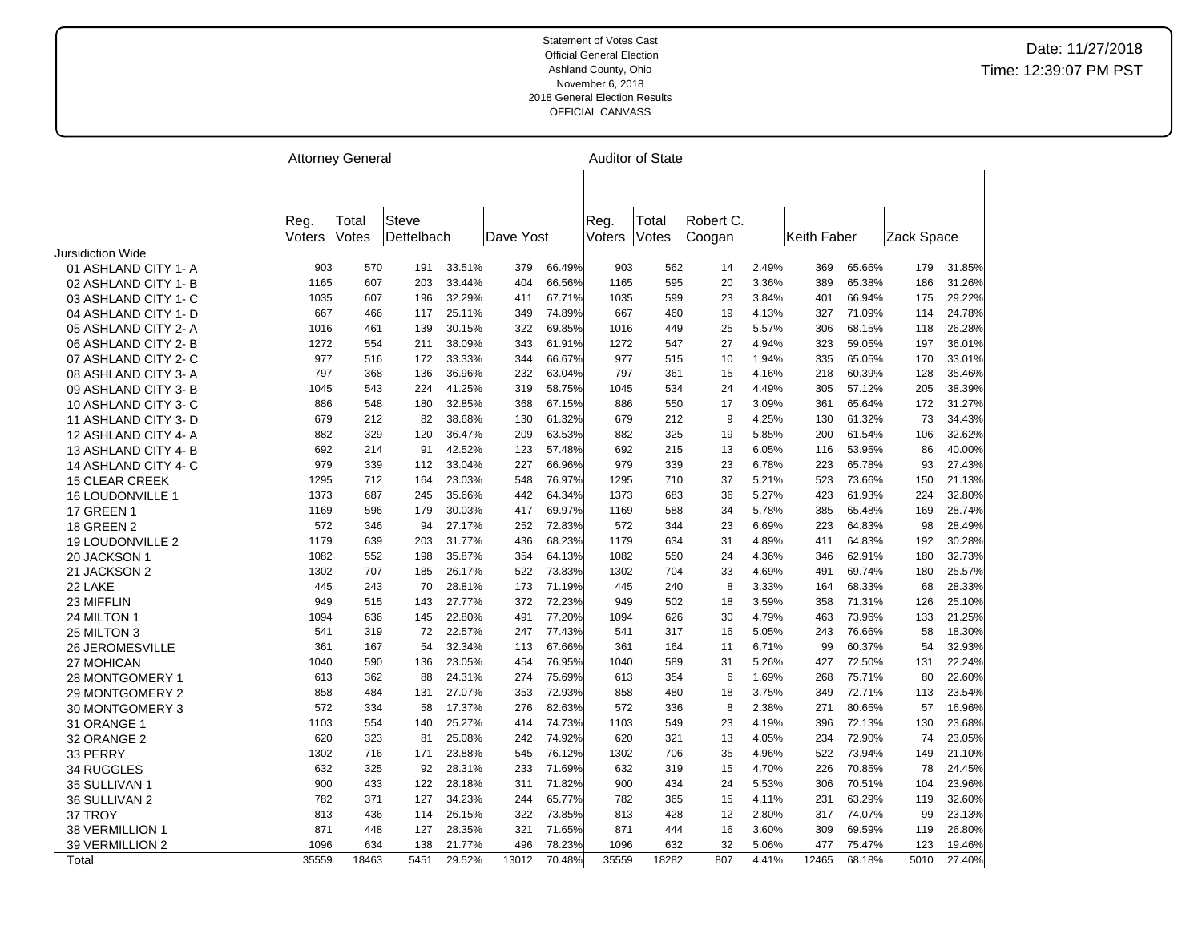|                         |        | <b>Attorney General</b> |              |        |           |        |        | <b>Auditor of State</b> |           |       |             |        |            |        |
|-------------------------|--------|-------------------------|--------------|--------|-----------|--------|--------|-------------------------|-----------|-------|-------------|--------|------------|--------|
|                         |        |                         |              |        |           |        |        |                         |           |       |             |        |            |        |
|                         |        |                         |              |        |           |        |        |                         |           |       |             |        |            |        |
|                         |        |                         |              |        |           |        |        |                         |           |       |             |        |            |        |
|                         | Reg.   | Total                   | <b>Steve</b> |        |           |        | Reg.   | Total                   | Robert C. |       |             |        |            |        |
|                         | Voters | Votes                   | Dettelbach   |        | Dave Yost |        | Voters | Votes                   | Coogan    |       | Keith Faber |        | Zack Space |        |
| Jursidiction Wide       |        |                         |              |        |           |        |        |                         |           |       |             |        |            |        |
| 01 ASHLAND CITY 1-A     | 903    | 570                     | 191          | 33.51% | 379       | 66.49% | 903    | 562                     | 14        | 2.49% | 369         | 65.66% | 179        | 31.85% |
| 02 ASHLAND CITY 1- B    | 1165   | 607                     | 203          | 33.44% | 404       | 66.56% | 1165   | 595                     | 20        | 3.36% | 389         | 65.38% | 186        | 31.26% |
| 03 ASHLAND CITY 1- C    | 1035   | 607                     | 196          | 32.29% | 411       | 67.71% | 1035   | 599                     | 23        | 3.84% | 401         | 66.94% | 175        | 29.22% |
| 04 ASHLAND CITY 1- D    | 667    | 466                     | 117          | 25.11% | 349       | 74.89% | 667    | 460                     | 19        | 4.13% | 327         | 71.09% | 114        | 24.78% |
| 05 ASHLAND CITY 2-A     | 1016   | 461                     | 139          | 30.15% | 322       | 69.85% | 1016   | 449                     | 25        | 5.57% | 306         | 68.15% | 118        | 26.28% |
| 06 ASHLAND CITY 2-B     | 1272   | 554                     | 211          | 38.09% | 343       | 61.91% | 1272   | 547                     | 27        | 4.94% | 323         | 59.05% | 197        | 36.01% |
| 07 ASHLAND CITY 2- C    | 977    | 516                     | 172          | 33.33% | 344       | 66.67% | 977    | 515                     | 10        | 1.94% | 335         | 65.05% | 170        | 33.01% |
| 08 ASHLAND CITY 3-A     | 797    | 368                     | 136          | 36.96% | 232       | 63.04% | 797    | 361                     | 15        | 4.16% | 218         | 60.39% | 128        | 35.46% |
| 09 ASHLAND CITY 3-B     | 1045   | 543                     | 224          | 41.25% | 319       | 58.75% | 1045   | 534                     | 24        | 4.49% | 305         | 57.12% | 205        | 38.39% |
| 10 ASHLAND CITY 3-C     | 886    | 548                     | 180          | 32.85% | 368       | 67.15% | 886    | 550                     | 17        | 3.09% | 361         | 65.64% | 172        | 31.27% |
| 11 ASHLAND CITY 3-D     | 679    | 212                     | 82           | 38.68% | 130       | 61.32% | 679    | 212                     | 9         | 4.25% | 130         | 61.32% | 73         | 34.43% |
| 12 ASHLAND CITY 4-A     | 882    | 329                     | 120          | 36.47% | 209       | 63.53% | 882    | 325                     | 19        | 5.85% | 200         | 61.54% | 106        | 32.62% |
| 13 ASHLAND CITY 4-B     | 692    | 214                     | 91           | 42.52% | 123       | 57.48% | 692    | 215                     | 13        | 6.05% | 116         | 53.95% | 86         | 40.00% |
| 14 ASHLAND CITY 4-C     | 979    | 339                     | 112          | 33.04% | 227       | 66.96% | 979    | 339                     | 23        | 6.78% | 223         | 65.78% | 93         | 27.43% |
| <b>15 CLEAR CREEK</b>   | 1295   | 712                     | 164          | 23.03% | 548       | 76.97% | 1295   | 710                     | 37        | 5.21% | 523         | 73.66% | 150        | 21.13% |
| <b>16 LOUDONVILLE 1</b> | 1373   | 687                     | 245          | 35.66% | 442       | 64.34% | 1373   | 683                     | 36        | 5.27% | 423         | 61.93% | 224        | 32.80% |
| <b>17 GREEN 1</b>       | 1169   | 596                     | 179          | 30.03% | 417       | 69.97% | 1169   | 588                     | 34        | 5.78% | 385         | 65.48% | 169        | 28.74% |
| <b>18 GREEN 2</b>       | 572    | 346                     | 94           | 27.17% | 252       | 72.83% | 572    | 344                     | 23        | 6.69% | 223         | 64.83% | 98         | 28.49% |
| 19 LOUDONVILLE 2        | 1179   | 639                     | 203          | 31.77% | 436       | 68.23% | 1179   | 634                     | 31        | 4.89% | 411         | 64.83% | 192        | 30.28% |
| 20 JACKSON 1            | 1082   | 552                     | 198          | 35.87% | 354       | 64.13% | 1082   | 550                     | 24        | 4.36% | 346         | 62.91% | 180        | 32.73% |
| 21 JACKSON 2            | 1302   | 707                     | 185          | 26.17% | 522       | 73.83% | 1302   | 704                     | 33        | 4.69% | 491         | 69.74% | 180        | 25.57% |
| 22 LAKE                 | 445    | 243                     | 70           | 28.81% | 173       | 71.19% | 445    | 240                     | 8         | 3.33% | 164         | 68.33% | 68         | 28.33% |
| 23 MIFFLIN              | 949    | 515                     | 143          | 27.77% | 372       | 72.23% | 949    | 502                     | 18        | 3.59% | 358         | 71.31% | 126        | 25.10% |
| 24 MILTON 1             | 1094   | 636                     | 145          | 22.80% | 491       | 77.20% | 1094   | 626                     | 30        | 4.79% | 463         | 73.96% | 133        | 21.25% |
| 25 MILTON 3             | 541    | 319                     | 72           | 22.57% | 247       | 77.43% | 541    | 317                     | 16        | 5.05% | 243         | 76.66% | 58         | 18.30% |
| <b>26 JEROMESVILLE</b>  | 361    | 167                     | 54           | 32.34% | 113       | 67.66% | 361    | 164                     | 11        | 6.71% | 99          | 60.37% | 54         | 32.93% |
| 27 MOHICAN              | 1040   | 590                     | 136          | 23.05% | 454       | 76.95% | 1040   | 589                     | 31        | 5.26% | 427         | 72.50% | 131        | 22.24% |
| 28 MONTGOMERY 1         | 613    | 362                     | 88           | 24.31% | 274       | 75.69% | 613    | 354                     | 6         | 1.69% | 268         | 75.71% | 80         | 22.60% |
| 29 MONTGOMERY 2         | 858    | 484                     | 131          | 27.07% | 353       | 72.93% | 858    | 480                     | 18        | 3.75% | 349         | 72.71% | 113        | 23.54% |
| 30 MONTGOMERY 3         | 572    | 334                     | 58           | 17.37% | 276       | 82.63% | 572    | 336                     | 8         | 2.38% | 271         | 80.65% | 57         | 16.96% |
| 31 ORANGE 1             | 1103   | 554                     | 140          | 25.27% | 414       | 74.73% | 1103   | 549                     | 23        | 4.19% | 396         | 72.13% | 130        | 23.68% |
| 32 ORANGE 2             | 620    | 323                     | 81           | 25.08% | 242       | 74.92% | 620    | 321                     | 13        | 4.05% | 234         | 72.90% | 74         | 23.05% |
| 33 PERRY                | 1302   | 716                     | 171          | 23.88% | 545       | 76.12% | 1302   | 706                     | 35        | 4.96% | 522         | 73.94% | 149        | 21.10% |
| 34 RUGGLES              | 632    | 325                     | 92           | 28.31% | 233       | 71.69% | 632    | 319                     | 15        | 4.70% | 226         | 70.85% | 78         | 24.45% |
| 35 SULLIVAN 1           | 900    | 433                     | 122          | 28.18% | 311       | 71.82% | 900    | 434                     | 24        | 5.53% | 306         | 70.51% | 104        | 23.96% |
| 36 SULLIVAN 2           | 782    | 371                     | 127          | 34.23% | 244       | 65.77% | 782    | 365                     | 15        | 4.11% | 231         | 63.29% | 119        | 32.60% |
| 37 TROY                 | 813    | 436                     | 114          | 26.15% | 322       | 73.85% | 813    | 428                     | 12        | 2.80% | 317         | 74.07% | 99         | 23.13% |
| <b>38 VERMILLION 1</b>  | 871    | 448                     | 127          | 28.35% | 321       | 71.65% | 871    | 444                     | 16        | 3.60% | 309         | 69.59% | 119        | 26.80% |
| 39 VERMILLION 2         | 1096   | 634                     | 138          | 21.77% | 496       | 78.23% | 1096   | 632                     | 32        | 5.06% | 477         | 75.47% | 123        | 19.46% |
| Total                   | 35559  | 18463                   | 5451         | 29.52% | 13012     | 70.48% | 35559  | 18282                   | 807       | 4.41% | 12465       | 68.18% | 5010       | 27.40% |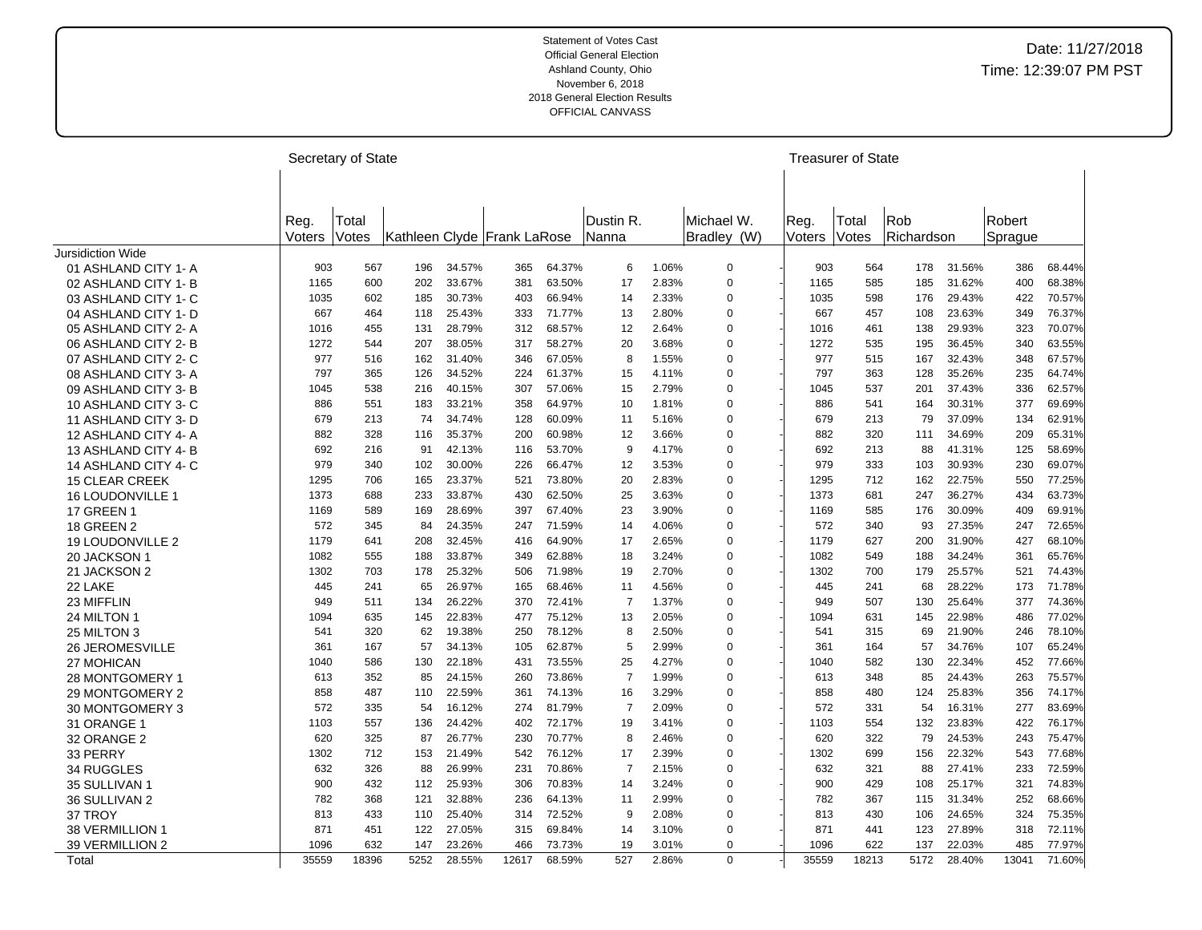| Rob<br>Dustin R.<br>Robert<br>Michael W.<br>Reg.<br>Reg.<br>Total<br>Total<br>Richardson<br>Bradley (W)<br>Votes<br>Votes<br>Kathleen Clyde Frank LaRose<br>Nanna<br>Voters<br>Sprague<br>Voters<br><b>Jursidiction Wide</b><br>34.57%<br>64.37%<br>1.06%<br>01 ASHLAND CITY 1- A<br>903<br>567<br>196<br>365<br>6<br>0<br>903<br>564<br>178<br>31.56%<br>386<br>68.44%<br>$\mathbf 0$<br>600<br>33.67%<br>63.50%<br>17<br>2.83%<br>31.62%<br>400<br>68.38%<br>02 ASHLAND CITY 1-B<br>1165<br>202<br>381<br>1165<br>585<br>185<br>30.73%<br>2.33%<br>$\mathbf 0$<br>70.57%<br>03 ASHLAND CITY 1- C<br>1035<br>602<br>185<br>403<br>66.94%<br>14<br>1035<br>598<br>176<br>29.43%<br>422<br>667<br>25.43%<br>333<br>71.77%<br>2.80%<br>$\mathbf 0$<br>667<br>23.63%<br>349<br>76.37%<br>04 ASHLAND CITY 1- D<br>464<br>118<br>13<br>457<br>108<br>28.79%<br>68.57%<br>29.93%<br>323<br>70.07%<br>1016<br>455<br>131<br>312<br>12<br>2.64%<br>0<br>1016<br>461<br>138<br>05 ASHLAND CITY 2-A<br>38.05%<br>58.27%<br>3.68%<br>$\mathbf 0$<br>1272<br>36.45%<br>340<br>63.55%<br>06 ASHLAND CITY 2-B<br>1272<br>544<br>207<br>317<br>20<br>535<br>195<br>977<br>162<br>31.40%<br>346<br>67.05%<br>8<br>1.55%<br>0<br>977<br>515<br>167<br>32.43%<br>348<br>67.57%<br>07 ASHLAND CITY 2- C<br>516<br>797<br>365<br>126<br>34.52%<br>224<br>61.37%<br>4.11%<br>$\mathbf 0$<br>797<br>363<br>128<br>35.26%<br>235<br>64.74%<br>08 ASHLAND CITY 3-A<br>15<br>57.06%<br>2.79%<br>$\mathbf 0$<br>37.43%<br>62.57%<br>09 ASHLAND CITY 3-B<br>1045<br>538<br>216<br>40.15%<br>307<br>1045<br>537<br>201<br>336<br>15<br>33.21%<br>64.97%<br>1.81%<br>$\mathbf 0$<br>30.31%<br>377<br>69.69%<br>10 ASHLAND CITY 3-C<br>886<br>551<br>183<br>358<br>10<br>886<br>541<br>164<br>34.74%<br>60.09%<br>679<br>37.09%<br>134<br>62.91%<br>11 ASHLAND CITY 3-D<br>679<br>213<br>74<br>128<br>11<br>5.16%<br>0<br>213<br>79<br>35.37%<br>60.98%<br>882<br>34.69%<br>209<br>65.31%<br>882<br>328<br>116<br>200<br>12<br>3.66%<br>$\mathbf 0$<br>320<br>111<br>12 ASHLAND CITY 4-A<br>692<br>42.13%<br>53.70%<br>9<br>4.17%<br>$\mathbf 0$<br>692<br>41.31%<br>125<br>58.69%<br>216<br>91<br>116<br>213<br>88<br>13 ASHLAND CITY 4-B<br>979<br>340<br>102<br>30.00%<br>226<br>66.47%<br>3.53%<br>$\mathbf 0$<br>979<br>333<br>103<br>30.93%<br>230<br>69.07%<br>14 ASHLAND CITY 4-C<br>12<br>23.37%<br>1295<br>706<br>521<br>73.80%<br>20<br>2.83%<br>$\mathbf 0$<br>1295<br>712<br>162<br>22.75%<br>550<br>77.25%<br><b>15 CLEAR CREEK</b><br>165<br>1373<br>33.87%<br>62.50%<br>1373<br>36.27%<br>63.73%<br>688<br>233<br>430<br>25<br>3.63%<br>$\mathbf 0$<br>681<br>247<br>434<br>16 LOUDONVILLE 1<br>28.69%<br>$\mathbf 0$<br>30.09%<br>69.91%<br><b>17 GREEN 1</b><br>1169<br>589<br>169<br>397<br>67.40%<br>23<br>3.90%<br>1169<br>585<br>176<br>409<br>24.35%<br>27.35%<br>72.65%<br><b>18 GREEN 2</b><br>572<br>345<br>84<br>247<br>71.59%<br>14<br>4.06%<br>$\mathbf 0$<br>572<br>340<br>93<br>247<br>1179<br>208<br>32.45%<br>64.90%<br>2.65%<br>1179<br>627<br>200<br>31.90%<br>427<br>68.10%<br>641<br>416<br>17<br>0<br>19 LOUDONVILLE 2<br>33.87%<br>62.88%<br>$\mathbf 0$<br>34.24%<br>361<br>1082<br>188<br>349<br>18<br>3.24%<br>1082<br>188<br>65.76%<br>20 JACKSON 1<br>555<br>549<br>21 JACKSON 2<br>1302<br>25.32%<br>71.98%<br>2.70%<br>$\mathbf 0$<br>1302<br>25.57%<br>521<br>74.43%<br>703<br>178<br>506<br>19<br>700<br>179<br>26.97%<br>28.22%<br>71.78%<br>22 LAKE<br>445<br>241<br>65<br>165<br>68.46%<br>4.56%<br>0<br>445<br>241<br>68<br>173<br>11<br>26.22%<br>1.37%<br>377<br>949<br>370<br>72.41%<br>$\overline{7}$<br>$\mathbf 0$<br>949<br>507<br>130<br>25.64%<br>74.36%<br>23 MIFFLIN<br>511<br>134<br>22.83%<br>2.05%<br>22.98%<br>486<br>77.02%<br>24 MILTON 1<br>1094<br>635<br>145<br>477<br>75.12%<br>13<br>0<br>1094<br>631<br>145<br>320<br>62<br>19.38%<br>250<br>78.12%<br>8<br>2.50%<br>$\mathbf 0$<br>541<br>21.90%<br>246<br>78.10%<br>25 MILTON 3<br>541<br>315<br>69<br>34.13%<br>105<br>62.87%<br>5<br>2.99%<br>361<br>34.76%<br>107<br>65.24%<br>361<br>167<br>57<br>0<br>164<br>57<br><b>26 JEROMESVILLE</b><br>73.55%<br>4.27%<br>$\mathbf 0$<br>22.34%<br>130<br>22.18%<br>431<br>25<br>1040<br>582<br>130<br>452<br>77.66%<br>27 MOHICAN<br>1040<br>586<br>$\overline{7}$<br>24.15%<br>73.86%<br>1.99%<br>$\mathbf 0$<br>24.43%<br>263<br>75.57%<br>613<br>352<br>85<br>260<br>613<br>348<br>85<br>28 MONTGOMERY 1<br>858<br>487<br>22.59%<br>361<br>74.13%<br>3.29%<br>$\mathbf 0$<br>858<br>480<br>124<br>25.83%<br>356<br>74.17%<br>29 MONTGOMERY 2<br>110<br>16<br>572<br>335<br>16.12%<br>274<br>81.79%<br>$\overline{7}$<br>2.09%<br>$\mathbf 0$<br>572<br>16.31%<br>277<br>83.69%<br>30 MONTGOMERY 3<br>54<br>331<br>54<br>72.17%<br>422<br>76.17%<br>1103<br>557<br>24.42%<br>402<br>3.41%<br>$\mathbf 0$<br>1103<br>554<br>132<br>23.83%<br>31 ORANGE 1<br>136<br>19<br>620<br>325<br>87<br>26.77%<br>230<br>70.77%<br>2.46%<br>620<br>79<br>24.53%<br>243<br>75.47%<br>32 ORANGE 2<br>8<br>0<br>322<br>21.49%<br>76.12%<br>2.39%<br>22.32%<br>77.68%<br>33 PERRY<br>1302<br>712<br>153<br>542<br>0<br>1302<br>699<br>156<br>543<br>17<br>26.99%<br>231<br>70.86%<br>2.15%<br>$\mathbf 0$<br>632<br>27.41%<br>233<br>72.59%<br>632<br>326<br>88<br>7<br>321<br>88<br><b>34 RUGGLES</b><br>321<br>900<br>432<br>112<br>25.93%<br>306<br>70.83%<br>3.24%<br>$\mathbf 0$<br>900<br>429<br>108<br>25.17%<br>74.83%<br>35 SULLIVAN 1<br>14<br>36 SULLIVAN 2<br>782<br>368<br>121<br>32.88%<br>236<br>64.13%<br>2.99%<br>$\mathbf 0$<br>782<br>367<br>31.34%<br>252<br>68.66%<br>11<br>115<br>72.52%<br>813<br>24.65%<br>324<br>37 TROY<br>813<br>433<br>110<br>25.40%<br>9<br>2.08%<br>0<br>430<br>106<br>75.35%<br>314<br>871<br>122<br>27.05%<br>69.84%<br>3.10%<br>$\mathbf 0$<br>871<br>27.89%<br>72.11%<br>38 VERMILLION 1<br>451<br>315<br>14<br>441<br>123<br>318<br>1096<br>632<br>23.26%<br>73.73%<br>1096<br>22.03%<br>77.97%<br>39 VERMILLION 2<br>147<br>466<br>19<br>3.01%<br>$\mathbf 0$<br>622<br>137<br>485<br>35559<br>18396<br>5252<br>28.55%<br>527<br>$\mathbf 0$<br>35559<br>5172<br>28.40%<br>71.60%<br>12617<br>68.59%<br>2.86%<br>18213<br>13041<br>Total |  | Secretary of State |  |  |  |  | <b>Treasurer of State</b> |  |  |
|---------------------------------------------------------------------------------------------------------------------------------------------------------------------------------------------------------------------------------------------------------------------------------------------------------------------------------------------------------------------------------------------------------------------------------------------------------------------------------------------------------------------------------------------------------------------------------------------------------------------------------------------------------------------------------------------------------------------------------------------------------------------------------------------------------------------------------------------------------------------------------------------------------------------------------------------------------------------------------------------------------------------------------------------------------------------------------------------------------------------------------------------------------------------------------------------------------------------------------------------------------------------------------------------------------------------------------------------------------------------------------------------------------------------------------------------------------------------------------------------------------------------------------------------------------------------------------------------------------------------------------------------------------------------------------------------------------------------------------------------------------------------------------------------------------------------------------------------------------------------------------------------------------------------------------------------------------------------------------------------------------------------------------------------------------------------------------------------------------------------------------------------------------------------------------------------------------------------------------------------------------------------------------------------------------------------------------------------------------------------------------------------------------------------------------------------------------------------------------------------------------------------------------------------------------------------------------------------------------------------------------------------------------------------------------------------------------------------------------------------------------------------------------------------------------------------------------------------------------------------------------------------------------------------------------------------------------------------------------------------------------------------------------------------------------------------------------------------------------------------------------------------------------------------------------------------------------------------------------------------------------------------------------------------------------------------------------------------------------------------------------------------------------------------------------------------------------------------------------------------------------------------------------------------------------------------------------------------------------------------------------------------------------------------------------------------------------------------------------------------------------------------------------------------------------------------------------------------------------------------------------------------------------------------------------------------------------------------------------------------------------------------------------------------------------------------------------------------------------------------------------------------------------------------------------------------------------------------------------------------------------------------------------------------------------------------------------------------------------------------------------------------------------------------------------------------------------------------------------------------------------------------------------------------------------------------------------------------------------------------------------------------------------------------------------------------------------------------------------------------------------------------------------------------------------------------------------------------------------------------------------------------------------------------------------------------------------------------------------------------------------------------------------------------------------------------------------------------------------------------------------------------------------------------------------------------------------------------------------------------------------------------------------------------------------------------------------------------------------------------------------------------------------------------------------------------------------------------------------------------------------------------------------------------------------------------------------------------------------------------------------------------------------------------------------------------------------------------------------------------------------------------------------------------------------------------------------------------------------------------------------------------------------------------------------------------------------------------------------------------------------------------------------------------------------------------------------------------------------------------------------------------------------------------------------------------------------------------------|--|--------------------|--|--|--|--|---------------------------|--|--|
|                                                                                                                                                                                                                                                                                                                                                                                                                                                                                                                                                                                                                                                                                                                                                                                                                                                                                                                                                                                                                                                                                                                                                                                                                                                                                                                                                                                                                                                                                                                                                                                                                                                                                                                                                                                                                                                                                                                                                                                                                                                                                                                                                                                                                                                                                                                                                                                                                                                                                                                                                                                                                                                                                                                                                                                                                                                                                                                                                                                                                                                                                                                                                                                                                                                                                                                                                                                                                                                                                                                                                                                                                                                                                                                                                                                                                                                                                                                                                                                                                                                                                                                                                                                                                                                                                                                                                                                                                                                                                                                                                                                                                                                                                                                                                                                                                                                                                                                                                                                                                                                                                                                                                                                                                                                                                                                                                                                                                                                                                                                                                                                                                                                                                                                                                                                                                                                                                                                                                                                                                                                                                                                                                                                                                           |  |                    |  |  |  |  |                           |  |  |
|                                                                                                                                                                                                                                                                                                                                                                                                                                                                                                                                                                                                                                                                                                                                                                                                                                                                                                                                                                                                                                                                                                                                                                                                                                                                                                                                                                                                                                                                                                                                                                                                                                                                                                                                                                                                                                                                                                                                                                                                                                                                                                                                                                                                                                                                                                                                                                                                                                                                                                                                                                                                                                                                                                                                                                                                                                                                                                                                                                                                                                                                                                                                                                                                                                                                                                                                                                                                                                                                                                                                                                                                                                                                                                                                                                                                                                                                                                                                                                                                                                                                                                                                                                                                                                                                                                                                                                                                                                                                                                                                                                                                                                                                                                                                                                                                                                                                                                                                                                                                                                                                                                                                                                                                                                                                                                                                                                                                                                                                                                                                                                                                                                                                                                                                                                                                                                                                                                                                                                                                                                                                                                                                                                                                                           |  |                    |  |  |  |  |                           |  |  |
|                                                                                                                                                                                                                                                                                                                                                                                                                                                                                                                                                                                                                                                                                                                                                                                                                                                                                                                                                                                                                                                                                                                                                                                                                                                                                                                                                                                                                                                                                                                                                                                                                                                                                                                                                                                                                                                                                                                                                                                                                                                                                                                                                                                                                                                                                                                                                                                                                                                                                                                                                                                                                                                                                                                                                                                                                                                                                                                                                                                                                                                                                                                                                                                                                                                                                                                                                                                                                                                                                                                                                                                                                                                                                                                                                                                                                                                                                                                                                                                                                                                                                                                                                                                                                                                                                                                                                                                                                                                                                                                                                                                                                                                                                                                                                                                                                                                                                                                                                                                                                                                                                                                                                                                                                                                                                                                                                                                                                                                                                                                                                                                                                                                                                                                                                                                                                                                                                                                                                                                                                                                                                                                                                                                                                           |  |                    |  |  |  |  |                           |  |  |
|                                                                                                                                                                                                                                                                                                                                                                                                                                                                                                                                                                                                                                                                                                                                                                                                                                                                                                                                                                                                                                                                                                                                                                                                                                                                                                                                                                                                                                                                                                                                                                                                                                                                                                                                                                                                                                                                                                                                                                                                                                                                                                                                                                                                                                                                                                                                                                                                                                                                                                                                                                                                                                                                                                                                                                                                                                                                                                                                                                                                                                                                                                                                                                                                                                                                                                                                                                                                                                                                                                                                                                                                                                                                                                                                                                                                                                                                                                                                                                                                                                                                                                                                                                                                                                                                                                                                                                                                                                                                                                                                                                                                                                                                                                                                                                                                                                                                                                                                                                                                                                                                                                                                                                                                                                                                                                                                                                                                                                                                                                                                                                                                                                                                                                                                                                                                                                                                                                                                                                                                                                                                                                                                                                                                                           |  |                    |  |  |  |  |                           |  |  |
|                                                                                                                                                                                                                                                                                                                                                                                                                                                                                                                                                                                                                                                                                                                                                                                                                                                                                                                                                                                                                                                                                                                                                                                                                                                                                                                                                                                                                                                                                                                                                                                                                                                                                                                                                                                                                                                                                                                                                                                                                                                                                                                                                                                                                                                                                                                                                                                                                                                                                                                                                                                                                                                                                                                                                                                                                                                                                                                                                                                                                                                                                                                                                                                                                                                                                                                                                                                                                                                                                                                                                                                                                                                                                                                                                                                                                                                                                                                                                                                                                                                                                                                                                                                                                                                                                                                                                                                                                                                                                                                                                                                                                                                                                                                                                                                                                                                                                                                                                                                                                                                                                                                                                                                                                                                                                                                                                                                                                                                                                                                                                                                                                                                                                                                                                                                                                                                                                                                                                                                                                                                                                                                                                                                                                           |  |                    |  |  |  |  |                           |  |  |
|                                                                                                                                                                                                                                                                                                                                                                                                                                                                                                                                                                                                                                                                                                                                                                                                                                                                                                                                                                                                                                                                                                                                                                                                                                                                                                                                                                                                                                                                                                                                                                                                                                                                                                                                                                                                                                                                                                                                                                                                                                                                                                                                                                                                                                                                                                                                                                                                                                                                                                                                                                                                                                                                                                                                                                                                                                                                                                                                                                                                                                                                                                                                                                                                                                                                                                                                                                                                                                                                                                                                                                                                                                                                                                                                                                                                                                                                                                                                                                                                                                                                                                                                                                                                                                                                                                                                                                                                                                                                                                                                                                                                                                                                                                                                                                                                                                                                                                                                                                                                                                                                                                                                                                                                                                                                                                                                                                                                                                                                                                                                                                                                                                                                                                                                                                                                                                                                                                                                                                                                                                                                                                                                                                                                                           |  |                    |  |  |  |  |                           |  |  |
|                                                                                                                                                                                                                                                                                                                                                                                                                                                                                                                                                                                                                                                                                                                                                                                                                                                                                                                                                                                                                                                                                                                                                                                                                                                                                                                                                                                                                                                                                                                                                                                                                                                                                                                                                                                                                                                                                                                                                                                                                                                                                                                                                                                                                                                                                                                                                                                                                                                                                                                                                                                                                                                                                                                                                                                                                                                                                                                                                                                                                                                                                                                                                                                                                                                                                                                                                                                                                                                                                                                                                                                                                                                                                                                                                                                                                                                                                                                                                                                                                                                                                                                                                                                                                                                                                                                                                                                                                                                                                                                                                                                                                                                                                                                                                                                                                                                                                                                                                                                                                                                                                                                                                                                                                                                                                                                                                                                                                                                                                                                                                                                                                                                                                                                                                                                                                                                                                                                                                                                                                                                                                                                                                                                                                           |  |                    |  |  |  |  |                           |  |  |
|                                                                                                                                                                                                                                                                                                                                                                                                                                                                                                                                                                                                                                                                                                                                                                                                                                                                                                                                                                                                                                                                                                                                                                                                                                                                                                                                                                                                                                                                                                                                                                                                                                                                                                                                                                                                                                                                                                                                                                                                                                                                                                                                                                                                                                                                                                                                                                                                                                                                                                                                                                                                                                                                                                                                                                                                                                                                                                                                                                                                                                                                                                                                                                                                                                                                                                                                                                                                                                                                                                                                                                                                                                                                                                                                                                                                                                                                                                                                                                                                                                                                                                                                                                                                                                                                                                                                                                                                                                                                                                                                                                                                                                                                                                                                                                                                                                                                                                                                                                                                                                                                                                                                                                                                                                                                                                                                                                                                                                                                                                                                                                                                                                                                                                                                                                                                                                                                                                                                                                                                                                                                                                                                                                                                                           |  |                    |  |  |  |  |                           |  |  |
|                                                                                                                                                                                                                                                                                                                                                                                                                                                                                                                                                                                                                                                                                                                                                                                                                                                                                                                                                                                                                                                                                                                                                                                                                                                                                                                                                                                                                                                                                                                                                                                                                                                                                                                                                                                                                                                                                                                                                                                                                                                                                                                                                                                                                                                                                                                                                                                                                                                                                                                                                                                                                                                                                                                                                                                                                                                                                                                                                                                                                                                                                                                                                                                                                                                                                                                                                                                                                                                                                                                                                                                                                                                                                                                                                                                                                                                                                                                                                                                                                                                                                                                                                                                                                                                                                                                                                                                                                                                                                                                                                                                                                                                                                                                                                                                                                                                                                                                                                                                                                                                                                                                                                                                                                                                                                                                                                                                                                                                                                                                                                                                                                                                                                                                                                                                                                                                                                                                                                                                                                                                                                                                                                                                                                           |  |                    |  |  |  |  |                           |  |  |
|                                                                                                                                                                                                                                                                                                                                                                                                                                                                                                                                                                                                                                                                                                                                                                                                                                                                                                                                                                                                                                                                                                                                                                                                                                                                                                                                                                                                                                                                                                                                                                                                                                                                                                                                                                                                                                                                                                                                                                                                                                                                                                                                                                                                                                                                                                                                                                                                                                                                                                                                                                                                                                                                                                                                                                                                                                                                                                                                                                                                                                                                                                                                                                                                                                                                                                                                                                                                                                                                                                                                                                                                                                                                                                                                                                                                                                                                                                                                                                                                                                                                                                                                                                                                                                                                                                                                                                                                                                                                                                                                                                                                                                                                                                                                                                                                                                                                                                                                                                                                                                                                                                                                                                                                                                                                                                                                                                                                                                                                                                                                                                                                                                                                                                                                                                                                                                                                                                                                                                                                                                                                                                                                                                                                                           |  |                    |  |  |  |  |                           |  |  |
|                                                                                                                                                                                                                                                                                                                                                                                                                                                                                                                                                                                                                                                                                                                                                                                                                                                                                                                                                                                                                                                                                                                                                                                                                                                                                                                                                                                                                                                                                                                                                                                                                                                                                                                                                                                                                                                                                                                                                                                                                                                                                                                                                                                                                                                                                                                                                                                                                                                                                                                                                                                                                                                                                                                                                                                                                                                                                                                                                                                                                                                                                                                                                                                                                                                                                                                                                                                                                                                                                                                                                                                                                                                                                                                                                                                                                                                                                                                                                                                                                                                                                                                                                                                                                                                                                                                                                                                                                                                                                                                                                                                                                                                                                                                                                                                                                                                                                                                                                                                                                                                                                                                                                                                                                                                                                                                                                                                                                                                                                                                                                                                                                                                                                                                                                                                                                                                                                                                                                                                                                                                                                                                                                                                                                           |  |                    |  |  |  |  |                           |  |  |
|                                                                                                                                                                                                                                                                                                                                                                                                                                                                                                                                                                                                                                                                                                                                                                                                                                                                                                                                                                                                                                                                                                                                                                                                                                                                                                                                                                                                                                                                                                                                                                                                                                                                                                                                                                                                                                                                                                                                                                                                                                                                                                                                                                                                                                                                                                                                                                                                                                                                                                                                                                                                                                                                                                                                                                                                                                                                                                                                                                                                                                                                                                                                                                                                                                                                                                                                                                                                                                                                                                                                                                                                                                                                                                                                                                                                                                                                                                                                                                                                                                                                                                                                                                                                                                                                                                                                                                                                                                                                                                                                                                                                                                                                                                                                                                                                                                                                                                                                                                                                                                                                                                                                                                                                                                                                                                                                                                                                                                                                                                                                                                                                                                                                                                                                                                                                                                                                                                                                                                                                                                                                                                                                                                                                                           |  |                    |  |  |  |  |                           |  |  |
|                                                                                                                                                                                                                                                                                                                                                                                                                                                                                                                                                                                                                                                                                                                                                                                                                                                                                                                                                                                                                                                                                                                                                                                                                                                                                                                                                                                                                                                                                                                                                                                                                                                                                                                                                                                                                                                                                                                                                                                                                                                                                                                                                                                                                                                                                                                                                                                                                                                                                                                                                                                                                                                                                                                                                                                                                                                                                                                                                                                                                                                                                                                                                                                                                                                                                                                                                                                                                                                                                                                                                                                                                                                                                                                                                                                                                                                                                                                                                                                                                                                                                                                                                                                                                                                                                                                                                                                                                                                                                                                                                                                                                                                                                                                                                                                                                                                                                                                                                                                                                                                                                                                                                                                                                                                                                                                                                                                                                                                                                                                                                                                                                                                                                                                                                                                                                                                                                                                                                                                                                                                                                                                                                                                                                           |  |                    |  |  |  |  |                           |  |  |
|                                                                                                                                                                                                                                                                                                                                                                                                                                                                                                                                                                                                                                                                                                                                                                                                                                                                                                                                                                                                                                                                                                                                                                                                                                                                                                                                                                                                                                                                                                                                                                                                                                                                                                                                                                                                                                                                                                                                                                                                                                                                                                                                                                                                                                                                                                                                                                                                                                                                                                                                                                                                                                                                                                                                                                                                                                                                                                                                                                                                                                                                                                                                                                                                                                                                                                                                                                                                                                                                                                                                                                                                                                                                                                                                                                                                                                                                                                                                                                                                                                                                                                                                                                                                                                                                                                                                                                                                                                                                                                                                                                                                                                                                                                                                                                                                                                                                                                                                                                                                                                                                                                                                                                                                                                                                                                                                                                                                                                                                                                                                                                                                                                                                                                                                                                                                                                                                                                                                                                                                                                                                                                                                                                                                                           |  |                    |  |  |  |  |                           |  |  |
|                                                                                                                                                                                                                                                                                                                                                                                                                                                                                                                                                                                                                                                                                                                                                                                                                                                                                                                                                                                                                                                                                                                                                                                                                                                                                                                                                                                                                                                                                                                                                                                                                                                                                                                                                                                                                                                                                                                                                                                                                                                                                                                                                                                                                                                                                                                                                                                                                                                                                                                                                                                                                                                                                                                                                                                                                                                                                                                                                                                                                                                                                                                                                                                                                                                                                                                                                                                                                                                                                                                                                                                                                                                                                                                                                                                                                                                                                                                                                                                                                                                                                                                                                                                                                                                                                                                                                                                                                                                                                                                                                                                                                                                                                                                                                                                                                                                                                                                                                                                                                                                                                                                                                                                                                                                                                                                                                                                                                                                                                                                                                                                                                                                                                                                                                                                                                                                                                                                                                                                                                                                                                                                                                                                                                           |  |                    |  |  |  |  |                           |  |  |
|                                                                                                                                                                                                                                                                                                                                                                                                                                                                                                                                                                                                                                                                                                                                                                                                                                                                                                                                                                                                                                                                                                                                                                                                                                                                                                                                                                                                                                                                                                                                                                                                                                                                                                                                                                                                                                                                                                                                                                                                                                                                                                                                                                                                                                                                                                                                                                                                                                                                                                                                                                                                                                                                                                                                                                                                                                                                                                                                                                                                                                                                                                                                                                                                                                                                                                                                                                                                                                                                                                                                                                                                                                                                                                                                                                                                                                                                                                                                                                                                                                                                                                                                                                                                                                                                                                                                                                                                                                                                                                                                                                                                                                                                                                                                                                                                                                                                                                                                                                                                                                                                                                                                                                                                                                                                                                                                                                                                                                                                                                                                                                                                                                                                                                                                                                                                                                                                                                                                                                                                                                                                                                                                                                                                                           |  |                    |  |  |  |  |                           |  |  |
|                                                                                                                                                                                                                                                                                                                                                                                                                                                                                                                                                                                                                                                                                                                                                                                                                                                                                                                                                                                                                                                                                                                                                                                                                                                                                                                                                                                                                                                                                                                                                                                                                                                                                                                                                                                                                                                                                                                                                                                                                                                                                                                                                                                                                                                                                                                                                                                                                                                                                                                                                                                                                                                                                                                                                                                                                                                                                                                                                                                                                                                                                                                                                                                                                                                                                                                                                                                                                                                                                                                                                                                                                                                                                                                                                                                                                                                                                                                                                                                                                                                                                                                                                                                                                                                                                                                                                                                                                                                                                                                                                                                                                                                                                                                                                                                                                                                                                                                                                                                                                                                                                                                                                                                                                                                                                                                                                                                                                                                                                                                                                                                                                                                                                                                                                                                                                                                                                                                                                                                                                                                                                                                                                                                                                           |  |                    |  |  |  |  |                           |  |  |
|                                                                                                                                                                                                                                                                                                                                                                                                                                                                                                                                                                                                                                                                                                                                                                                                                                                                                                                                                                                                                                                                                                                                                                                                                                                                                                                                                                                                                                                                                                                                                                                                                                                                                                                                                                                                                                                                                                                                                                                                                                                                                                                                                                                                                                                                                                                                                                                                                                                                                                                                                                                                                                                                                                                                                                                                                                                                                                                                                                                                                                                                                                                                                                                                                                                                                                                                                                                                                                                                                                                                                                                                                                                                                                                                                                                                                                                                                                                                                                                                                                                                                                                                                                                                                                                                                                                                                                                                                                                                                                                                                                                                                                                                                                                                                                                                                                                                                                                                                                                                                                                                                                                                                                                                                                                                                                                                                                                                                                                                                                                                                                                                                                                                                                                                                                                                                                                                                                                                                                                                                                                                                                                                                                                                                           |  |                    |  |  |  |  |                           |  |  |
|                                                                                                                                                                                                                                                                                                                                                                                                                                                                                                                                                                                                                                                                                                                                                                                                                                                                                                                                                                                                                                                                                                                                                                                                                                                                                                                                                                                                                                                                                                                                                                                                                                                                                                                                                                                                                                                                                                                                                                                                                                                                                                                                                                                                                                                                                                                                                                                                                                                                                                                                                                                                                                                                                                                                                                                                                                                                                                                                                                                                                                                                                                                                                                                                                                                                                                                                                                                                                                                                                                                                                                                                                                                                                                                                                                                                                                                                                                                                                                                                                                                                                                                                                                                                                                                                                                                                                                                                                                                                                                                                                                                                                                                                                                                                                                                                                                                                                                                                                                                                                                                                                                                                                                                                                                                                                                                                                                                                                                                                                                                                                                                                                                                                                                                                                                                                                                                                                                                                                                                                                                                                                                                                                                                                                           |  |                    |  |  |  |  |                           |  |  |
|                                                                                                                                                                                                                                                                                                                                                                                                                                                                                                                                                                                                                                                                                                                                                                                                                                                                                                                                                                                                                                                                                                                                                                                                                                                                                                                                                                                                                                                                                                                                                                                                                                                                                                                                                                                                                                                                                                                                                                                                                                                                                                                                                                                                                                                                                                                                                                                                                                                                                                                                                                                                                                                                                                                                                                                                                                                                                                                                                                                                                                                                                                                                                                                                                                                                                                                                                                                                                                                                                                                                                                                                                                                                                                                                                                                                                                                                                                                                                                                                                                                                                                                                                                                                                                                                                                                                                                                                                                                                                                                                                                                                                                                                                                                                                                                                                                                                                                                                                                                                                                                                                                                                                                                                                                                                                                                                                                                                                                                                                                                                                                                                                                                                                                                                                                                                                                                                                                                                                                                                                                                                                                                                                                                                                           |  |                    |  |  |  |  |                           |  |  |
|                                                                                                                                                                                                                                                                                                                                                                                                                                                                                                                                                                                                                                                                                                                                                                                                                                                                                                                                                                                                                                                                                                                                                                                                                                                                                                                                                                                                                                                                                                                                                                                                                                                                                                                                                                                                                                                                                                                                                                                                                                                                                                                                                                                                                                                                                                                                                                                                                                                                                                                                                                                                                                                                                                                                                                                                                                                                                                                                                                                                                                                                                                                                                                                                                                                                                                                                                                                                                                                                                                                                                                                                                                                                                                                                                                                                                                                                                                                                                                                                                                                                                                                                                                                                                                                                                                                                                                                                                                                                                                                                                                                                                                                                                                                                                                                                                                                                                                                                                                                                                                                                                                                                                                                                                                                                                                                                                                                                                                                                                                                                                                                                                                                                                                                                                                                                                                                                                                                                                                                                                                                                                                                                                                                                                           |  |                    |  |  |  |  |                           |  |  |
|                                                                                                                                                                                                                                                                                                                                                                                                                                                                                                                                                                                                                                                                                                                                                                                                                                                                                                                                                                                                                                                                                                                                                                                                                                                                                                                                                                                                                                                                                                                                                                                                                                                                                                                                                                                                                                                                                                                                                                                                                                                                                                                                                                                                                                                                                                                                                                                                                                                                                                                                                                                                                                                                                                                                                                                                                                                                                                                                                                                                                                                                                                                                                                                                                                                                                                                                                                                                                                                                                                                                                                                                                                                                                                                                                                                                                                                                                                                                                                                                                                                                                                                                                                                                                                                                                                                                                                                                                                                                                                                                                                                                                                                                                                                                                                                                                                                                                                                                                                                                                                                                                                                                                                                                                                                                                                                                                                                                                                                                                                                                                                                                                                                                                                                                                                                                                                                                                                                                                                                                                                                                                                                                                                                                                           |  |                    |  |  |  |  |                           |  |  |
|                                                                                                                                                                                                                                                                                                                                                                                                                                                                                                                                                                                                                                                                                                                                                                                                                                                                                                                                                                                                                                                                                                                                                                                                                                                                                                                                                                                                                                                                                                                                                                                                                                                                                                                                                                                                                                                                                                                                                                                                                                                                                                                                                                                                                                                                                                                                                                                                                                                                                                                                                                                                                                                                                                                                                                                                                                                                                                                                                                                                                                                                                                                                                                                                                                                                                                                                                                                                                                                                                                                                                                                                                                                                                                                                                                                                                                                                                                                                                                                                                                                                                                                                                                                                                                                                                                                                                                                                                                                                                                                                                                                                                                                                                                                                                                                                                                                                                                                                                                                                                                                                                                                                                                                                                                                                                                                                                                                                                                                                                                                                                                                                                                                                                                                                                                                                                                                                                                                                                                                                                                                                                                                                                                                                                           |  |                    |  |  |  |  |                           |  |  |
|                                                                                                                                                                                                                                                                                                                                                                                                                                                                                                                                                                                                                                                                                                                                                                                                                                                                                                                                                                                                                                                                                                                                                                                                                                                                                                                                                                                                                                                                                                                                                                                                                                                                                                                                                                                                                                                                                                                                                                                                                                                                                                                                                                                                                                                                                                                                                                                                                                                                                                                                                                                                                                                                                                                                                                                                                                                                                                                                                                                                                                                                                                                                                                                                                                                                                                                                                                                                                                                                                                                                                                                                                                                                                                                                                                                                                                                                                                                                                                                                                                                                                                                                                                                                                                                                                                                                                                                                                                                                                                                                                                                                                                                                                                                                                                                                                                                                                                                                                                                                                                                                                                                                                                                                                                                                                                                                                                                                                                                                                                                                                                                                                                                                                                                                                                                                                                                                                                                                                                                                                                                                                                                                                                                                                           |  |                    |  |  |  |  |                           |  |  |
|                                                                                                                                                                                                                                                                                                                                                                                                                                                                                                                                                                                                                                                                                                                                                                                                                                                                                                                                                                                                                                                                                                                                                                                                                                                                                                                                                                                                                                                                                                                                                                                                                                                                                                                                                                                                                                                                                                                                                                                                                                                                                                                                                                                                                                                                                                                                                                                                                                                                                                                                                                                                                                                                                                                                                                                                                                                                                                                                                                                                                                                                                                                                                                                                                                                                                                                                                                                                                                                                                                                                                                                                                                                                                                                                                                                                                                                                                                                                                                                                                                                                                                                                                                                                                                                                                                                                                                                                                                                                                                                                                                                                                                                                                                                                                                                                                                                                                                                                                                                                                                                                                                                                                                                                                                                                                                                                                                                                                                                                                                                                                                                                                                                                                                                                                                                                                                                                                                                                                                                                                                                                                                                                                                                                                           |  |                    |  |  |  |  |                           |  |  |
|                                                                                                                                                                                                                                                                                                                                                                                                                                                                                                                                                                                                                                                                                                                                                                                                                                                                                                                                                                                                                                                                                                                                                                                                                                                                                                                                                                                                                                                                                                                                                                                                                                                                                                                                                                                                                                                                                                                                                                                                                                                                                                                                                                                                                                                                                                                                                                                                                                                                                                                                                                                                                                                                                                                                                                                                                                                                                                                                                                                                                                                                                                                                                                                                                                                                                                                                                                                                                                                                                                                                                                                                                                                                                                                                                                                                                                                                                                                                                                                                                                                                                                                                                                                                                                                                                                                                                                                                                                                                                                                                                                                                                                                                                                                                                                                                                                                                                                                                                                                                                                                                                                                                                                                                                                                                                                                                                                                                                                                                                                                                                                                                                                                                                                                                                                                                                                                                                                                                                                                                                                                                                                                                                                                                                           |  |                    |  |  |  |  |                           |  |  |
|                                                                                                                                                                                                                                                                                                                                                                                                                                                                                                                                                                                                                                                                                                                                                                                                                                                                                                                                                                                                                                                                                                                                                                                                                                                                                                                                                                                                                                                                                                                                                                                                                                                                                                                                                                                                                                                                                                                                                                                                                                                                                                                                                                                                                                                                                                                                                                                                                                                                                                                                                                                                                                                                                                                                                                                                                                                                                                                                                                                                                                                                                                                                                                                                                                                                                                                                                                                                                                                                                                                                                                                                                                                                                                                                                                                                                                                                                                                                                                                                                                                                                                                                                                                                                                                                                                                                                                                                                                                                                                                                                                                                                                                                                                                                                                                                                                                                                                                                                                                                                                                                                                                                                                                                                                                                                                                                                                                                                                                                                                                                                                                                                                                                                                                                                                                                                                                                                                                                                                                                                                                                                                                                                                                                                           |  |                    |  |  |  |  |                           |  |  |
|                                                                                                                                                                                                                                                                                                                                                                                                                                                                                                                                                                                                                                                                                                                                                                                                                                                                                                                                                                                                                                                                                                                                                                                                                                                                                                                                                                                                                                                                                                                                                                                                                                                                                                                                                                                                                                                                                                                                                                                                                                                                                                                                                                                                                                                                                                                                                                                                                                                                                                                                                                                                                                                                                                                                                                                                                                                                                                                                                                                                                                                                                                                                                                                                                                                                                                                                                                                                                                                                                                                                                                                                                                                                                                                                                                                                                                                                                                                                                                                                                                                                                                                                                                                                                                                                                                                                                                                                                                                                                                                                                                                                                                                                                                                                                                                                                                                                                                                                                                                                                                                                                                                                                                                                                                                                                                                                                                                                                                                                                                                                                                                                                                                                                                                                                                                                                                                                                                                                                                                                                                                                                                                                                                                                                           |  |                    |  |  |  |  |                           |  |  |
|                                                                                                                                                                                                                                                                                                                                                                                                                                                                                                                                                                                                                                                                                                                                                                                                                                                                                                                                                                                                                                                                                                                                                                                                                                                                                                                                                                                                                                                                                                                                                                                                                                                                                                                                                                                                                                                                                                                                                                                                                                                                                                                                                                                                                                                                                                                                                                                                                                                                                                                                                                                                                                                                                                                                                                                                                                                                                                                                                                                                                                                                                                                                                                                                                                                                                                                                                                                                                                                                                                                                                                                                                                                                                                                                                                                                                                                                                                                                                                                                                                                                                                                                                                                                                                                                                                                                                                                                                                                                                                                                                                                                                                                                                                                                                                                                                                                                                                                                                                                                                                                                                                                                                                                                                                                                                                                                                                                                                                                                                                                                                                                                                                                                                                                                                                                                                                                                                                                                                                                                                                                                                                                                                                                                                           |  |                    |  |  |  |  |                           |  |  |
|                                                                                                                                                                                                                                                                                                                                                                                                                                                                                                                                                                                                                                                                                                                                                                                                                                                                                                                                                                                                                                                                                                                                                                                                                                                                                                                                                                                                                                                                                                                                                                                                                                                                                                                                                                                                                                                                                                                                                                                                                                                                                                                                                                                                                                                                                                                                                                                                                                                                                                                                                                                                                                                                                                                                                                                                                                                                                                                                                                                                                                                                                                                                                                                                                                                                                                                                                                                                                                                                                                                                                                                                                                                                                                                                                                                                                                                                                                                                                                                                                                                                                                                                                                                                                                                                                                                                                                                                                                                                                                                                                                                                                                                                                                                                                                                                                                                                                                                                                                                                                                                                                                                                                                                                                                                                                                                                                                                                                                                                                                                                                                                                                                                                                                                                                                                                                                                                                                                                                                                                                                                                                                                                                                                                                           |  |                    |  |  |  |  |                           |  |  |
|                                                                                                                                                                                                                                                                                                                                                                                                                                                                                                                                                                                                                                                                                                                                                                                                                                                                                                                                                                                                                                                                                                                                                                                                                                                                                                                                                                                                                                                                                                                                                                                                                                                                                                                                                                                                                                                                                                                                                                                                                                                                                                                                                                                                                                                                                                                                                                                                                                                                                                                                                                                                                                                                                                                                                                                                                                                                                                                                                                                                                                                                                                                                                                                                                                                                                                                                                                                                                                                                                                                                                                                                                                                                                                                                                                                                                                                                                                                                                                                                                                                                                                                                                                                                                                                                                                                                                                                                                                                                                                                                                                                                                                                                                                                                                                                                                                                                                                                                                                                                                                                                                                                                                                                                                                                                                                                                                                                                                                                                                                                                                                                                                                                                                                                                                                                                                                                                                                                                                                                                                                                                                                                                                                                                                           |  |                    |  |  |  |  |                           |  |  |
|                                                                                                                                                                                                                                                                                                                                                                                                                                                                                                                                                                                                                                                                                                                                                                                                                                                                                                                                                                                                                                                                                                                                                                                                                                                                                                                                                                                                                                                                                                                                                                                                                                                                                                                                                                                                                                                                                                                                                                                                                                                                                                                                                                                                                                                                                                                                                                                                                                                                                                                                                                                                                                                                                                                                                                                                                                                                                                                                                                                                                                                                                                                                                                                                                                                                                                                                                                                                                                                                                                                                                                                                                                                                                                                                                                                                                                                                                                                                                                                                                                                                                                                                                                                                                                                                                                                                                                                                                                                                                                                                                                                                                                                                                                                                                                                                                                                                                                                                                                                                                                                                                                                                                                                                                                                                                                                                                                                                                                                                                                                                                                                                                                                                                                                                                                                                                                                                                                                                                                                                                                                                                                                                                                                                                           |  |                    |  |  |  |  |                           |  |  |
|                                                                                                                                                                                                                                                                                                                                                                                                                                                                                                                                                                                                                                                                                                                                                                                                                                                                                                                                                                                                                                                                                                                                                                                                                                                                                                                                                                                                                                                                                                                                                                                                                                                                                                                                                                                                                                                                                                                                                                                                                                                                                                                                                                                                                                                                                                                                                                                                                                                                                                                                                                                                                                                                                                                                                                                                                                                                                                                                                                                                                                                                                                                                                                                                                                                                                                                                                                                                                                                                                                                                                                                                                                                                                                                                                                                                                                                                                                                                                                                                                                                                                                                                                                                                                                                                                                                                                                                                                                                                                                                                                                                                                                                                                                                                                                                                                                                                                                                                                                                                                                                                                                                                                                                                                                                                                                                                                                                                                                                                                                                                                                                                                                                                                                                                                                                                                                                                                                                                                                                                                                                                                                                                                                                                                           |  |                    |  |  |  |  |                           |  |  |
|                                                                                                                                                                                                                                                                                                                                                                                                                                                                                                                                                                                                                                                                                                                                                                                                                                                                                                                                                                                                                                                                                                                                                                                                                                                                                                                                                                                                                                                                                                                                                                                                                                                                                                                                                                                                                                                                                                                                                                                                                                                                                                                                                                                                                                                                                                                                                                                                                                                                                                                                                                                                                                                                                                                                                                                                                                                                                                                                                                                                                                                                                                                                                                                                                                                                                                                                                                                                                                                                                                                                                                                                                                                                                                                                                                                                                                                                                                                                                                                                                                                                                                                                                                                                                                                                                                                                                                                                                                                                                                                                                                                                                                                                                                                                                                                                                                                                                                                                                                                                                                                                                                                                                                                                                                                                                                                                                                                                                                                                                                                                                                                                                                                                                                                                                                                                                                                                                                                                                                                                                                                                                                                                                                                                                           |  |                    |  |  |  |  |                           |  |  |
|                                                                                                                                                                                                                                                                                                                                                                                                                                                                                                                                                                                                                                                                                                                                                                                                                                                                                                                                                                                                                                                                                                                                                                                                                                                                                                                                                                                                                                                                                                                                                                                                                                                                                                                                                                                                                                                                                                                                                                                                                                                                                                                                                                                                                                                                                                                                                                                                                                                                                                                                                                                                                                                                                                                                                                                                                                                                                                                                                                                                                                                                                                                                                                                                                                                                                                                                                                                                                                                                                                                                                                                                                                                                                                                                                                                                                                                                                                                                                                                                                                                                                                                                                                                                                                                                                                                                                                                                                                                                                                                                                                                                                                                                                                                                                                                                                                                                                                                                                                                                                                                                                                                                                                                                                                                                                                                                                                                                                                                                                                                                                                                                                                                                                                                                                                                                                                                                                                                                                                                                                                                                                                                                                                                                                           |  |                    |  |  |  |  |                           |  |  |
|                                                                                                                                                                                                                                                                                                                                                                                                                                                                                                                                                                                                                                                                                                                                                                                                                                                                                                                                                                                                                                                                                                                                                                                                                                                                                                                                                                                                                                                                                                                                                                                                                                                                                                                                                                                                                                                                                                                                                                                                                                                                                                                                                                                                                                                                                                                                                                                                                                                                                                                                                                                                                                                                                                                                                                                                                                                                                                                                                                                                                                                                                                                                                                                                                                                                                                                                                                                                                                                                                                                                                                                                                                                                                                                                                                                                                                                                                                                                                                                                                                                                                                                                                                                                                                                                                                                                                                                                                                                                                                                                                                                                                                                                                                                                                                                                                                                                                                                                                                                                                                                                                                                                                                                                                                                                                                                                                                                                                                                                                                                                                                                                                                                                                                                                                                                                                                                                                                                                                                                                                                                                                                                                                                                                                           |  |                    |  |  |  |  |                           |  |  |
|                                                                                                                                                                                                                                                                                                                                                                                                                                                                                                                                                                                                                                                                                                                                                                                                                                                                                                                                                                                                                                                                                                                                                                                                                                                                                                                                                                                                                                                                                                                                                                                                                                                                                                                                                                                                                                                                                                                                                                                                                                                                                                                                                                                                                                                                                                                                                                                                                                                                                                                                                                                                                                                                                                                                                                                                                                                                                                                                                                                                                                                                                                                                                                                                                                                                                                                                                                                                                                                                                                                                                                                                                                                                                                                                                                                                                                                                                                                                                                                                                                                                                                                                                                                                                                                                                                                                                                                                                                                                                                                                                                                                                                                                                                                                                                                                                                                                                                                                                                                                                                                                                                                                                                                                                                                                                                                                                                                                                                                                                                                                                                                                                                                                                                                                                                                                                                                                                                                                                                                                                                                                                                                                                                                                                           |  |                    |  |  |  |  |                           |  |  |
|                                                                                                                                                                                                                                                                                                                                                                                                                                                                                                                                                                                                                                                                                                                                                                                                                                                                                                                                                                                                                                                                                                                                                                                                                                                                                                                                                                                                                                                                                                                                                                                                                                                                                                                                                                                                                                                                                                                                                                                                                                                                                                                                                                                                                                                                                                                                                                                                                                                                                                                                                                                                                                                                                                                                                                                                                                                                                                                                                                                                                                                                                                                                                                                                                                                                                                                                                                                                                                                                                                                                                                                                                                                                                                                                                                                                                                                                                                                                                                                                                                                                                                                                                                                                                                                                                                                                                                                                                                                                                                                                                                                                                                                                                                                                                                                                                                                                                                                                                                                                                                                                                                                                                                                                                                                                                                                                                                                                                                                                                                                                                                                                                                                                                                                                                                                                                                                                                                                                                                                                                                                                                                                                                                                                                           |  |                    |  |  |  |  |                           |  |  |
|                                                                                                                                                                                                                                                                                                                                                                                                                                                                                                                                                                                                                                                                                                                                                                                                                                                                                                                                                                                                                                                                                                                                                                                                                                                                                                                                                                                                                                                                                                                                                                                                                                                                                                                                                                                                                                                                                                                                                                                                                                                                                                                                                                                                                                                                                                                                                                                                                                                                                                                                                                                                                                                                                                                                                                                                                                                                                                                                                                                                                                                                                                                                                                                                                                                                                                                                                                                                                                                                                                                                                                                                                                                                                                                                                                                                                                                                                                                                                                                                                                                                                                                                                                                                                                                                                                                                                                                                                                                                                                                                                                                                                                                                                                                                                                                                                                                                                                                                                                                                                                                                                                                                                                                                                                                                                                                                                                                                                                                                                                                                                                                                                                                                                                                                                                                                                                                                                                                                                                                                                                                                                                                                                                                                                           |  |                    |  |  |  |  |                           |  |  |
|                                                                                                                                                                                                                                                                                                                                                                                                                                                                                                                                                                                                                                                                                                                                                                                                                                                                                                                                                                                                                                                                                                                                                                                                                                                                                                                                                                                                                                                                                                                                                                                                                                                                                                                                                                                                                                                                                                                                                                                                                                                                                                                                                                                                                                                                                                                                                                                                                                                                                                                                                                                                                                                                                                                                                                                                                                                                                                                                                                                                                                                                                                                                                                                                                                                                                                                                                                                                                                                                                                                                                                                                                                                                                                                                                                                                                                                                                                                                                                                                                                                                                                                                                                                                                                                                                                                                                                                                                                                                                                                                                                                                                                                                                                                                                                                                                                                                                                                                                                                                                                                                                                                                                                                                                                                                                                                                                                                                                                                                                                                                                                                                                                                                                                                                                                                                                                                                                                                                                                                                                                                                                                                                                                                                                           |  |                    |  |  |  |  |                           |  |  |
|                                                                                                                                                                                                                                                                                                                                                                                                                                                                                                                                                                                                                                                                                                                                                                                                                                                                                                                                                                                                                                                                                                                                                                                                                                                                                                                                                                                                                                                                                                                                                                                                                                                                                                                                                                                                                                                                                                                                                                                                                                                                                                                                                                                                                                                                                                                                                                                                                                                                                                                                                                                                                                                                                                                                                                                                                                                                                                                                                                                                                                                                                                                                                                                                                                                                                                                                                                                                                                                                                                                                                                                                                                                                                                                                                                                                                                                                                                                                                                                                                                                                                                                                                                                                                                                                                                                                                                                                                                                                                                                                                                                                                                                                                                                                                                                                                                                                                                                                                                                                                                                                                                                                                                                                                                                                                                                                                                                                                                                                                                                                                                                                                                                                                                                                                                                                                                                                                                                                                                                                                                                                                                                                                                                                                           |  |                    |  |  |  |  |                           |  |  |
|                                                                                                                                                                                                                                                                                                                                                                                                                                                                                                                                                                                                                                                                                                                                                                                                                                                                                                                                                                                                                                                                                                                                                                                                                                                                                                                                                                                                                                                                                                                                                                                                                                                                                                                                                                                                                                                                                                                                                                                                                                                                                                                                                                                                                                                                                                                                                                                                                                                                                                                                                                                                                                                                                                                                                                                                                                                                                                                                                                                                                                                                                                                                                                                                                                                                                                                                                                                                                                                                                                                                                                                                                                                                                                                                                                                                                                                                                                                                                                                                                                                                                                                                                                                                                                                                                                                                                                                                                                                                                                                                                                                                                                                                                                                                                                                                                                                                                                                                                                                                                                                                                                                                                                                                                                                                                                                                                                                                                                                                                                                                                                                                                                                                                                                                                                                                                                                                                                                                                                                                                                                                                                                                                                                                                           |  |                    |  |  |  |  |                           |  |  |
|                                                                                                                                                                                                                                                                                                                                                                                                                                                                                                                                                                                                                                                                                                                                                                                                                                                                                                                                                                                                                                                                                                                                                                                                                                                                                                                                                                                                                                                                                                                                                                                                                                                                                                                                                                                                                                                                                                                                                                                                                                                                                                                                                                                                                                                                                                                                                                                                                                                                                                                                                                                                                                                                                                                                                                                                                                                                                                                                                                                                                                                                                                                                                                                                                                                                                                                                                                                                                                                                                                                                                                                                                                                                                                                                                                                                                                                                                                                                                                                                                                                                                                                                                                                                                                                                                                                                                                                                                                                                                                                                                                                                                                                                                                                                                                                                                                                                                                                                                                                                                                                                                                                                                                                                                                                                                                                                                                                                                                                                                                                                                                                                                                                                                                                                                                                                                                                                                                                                                                                                                                                                                                                                                                                                                           |  |                    |  |  |  |  |                           |  |  |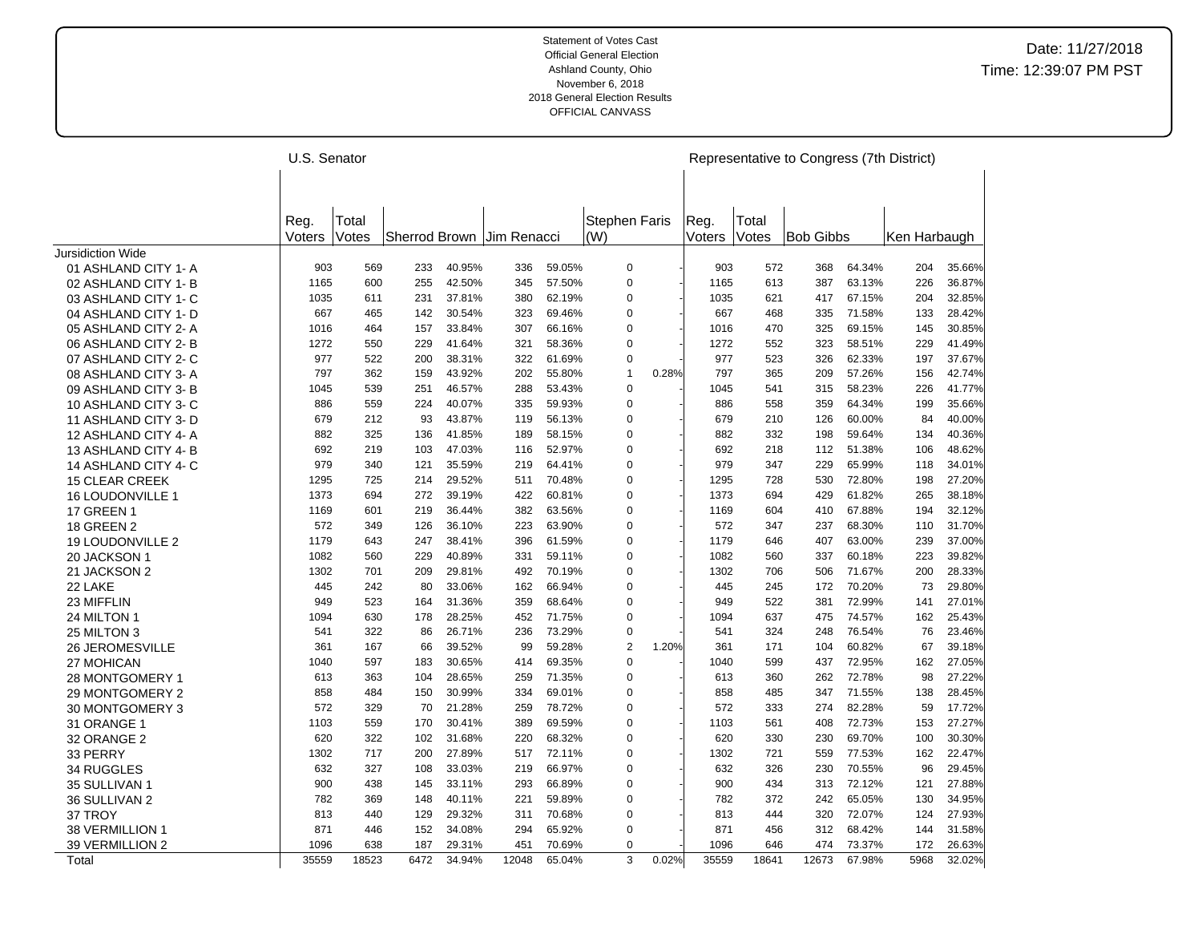|                          | U.S. Senator   |                |      |        |                           |        |                             |                |       |                |                | Representative to Congress (7th District) |        |              |        |
|--------------------------|----------------|----------------|------|--------|---------------------------|--------|-----------------------------|----------------|-------|----------------|----------------|-------------------------------------------|--------|--------------|--------|
|                          |                |                |      |        |                           |        |                             |                |       |                |                |                                           |        |              |        |
|                          |                |                |      |        |                           |        |                             |                |       |                |                |                                           |        |              |        |
|                          | Reg.<br>Voters | Total<br>Votes |      |        | Sherrod Brown Jim Renacci |        | <b>Stephen Faris</b><br>(W) |                |       | Reg.<br>Voters | Total<br>Votes | <b>Bob Gibbs</b>                          |        | Ken Harbaugh |        |
| <b>Jursidiction Wide</b> |                |                |      |        |                           |        |                             |                |       |                |                |                                           |        |              |        |
| 01 ASHLAND CITY 1-A      | 903            | 569            | 233  | 40.95% | 336                       | 59.05% |                             | 0              |       | 903            | 572            | 368                                       | 64.34% | 204          | 35.66% |
| 02 ASHLAND CITY 1-B      | 1165           | 600            | 255  | 42.50% | 345                       | 57.50% |                             | $\mathbf 0$    |       | 1165           | 613            | 387                                       | 63.13% | 226          | 36.87% |
| 03 ASHLAND CITY 1- C     | 1035           | 611            | 231  | 37.81% | 380                       | 62.19% |                             | 0              |       | 1035           | 621            | 417                                       | 67.15% | 204          | 32.85% |
| 04 ASHLAND CITY 1- D     | 667            | 465            | 142  | 30.54% | 323                       | 69.46% |                             | $\mathbf 0$    |       | 667            | 468            | 335                                       | 71.58% | 133          | 28.42% |
| 05 ASHLAND CITY 2-A      | 1016           | 464            | 157  | 33.84% | 307                       | 66.16% |                             | 0              |       | 1016           | 470            | 325                                       | 69.15% | 145          | 30.85% |
| 06 ASHLAND CITY 2-B      | 1272           | 550            | 229  | 41.64% | 321                       | 58.36% |                             | $\mathbf 0$    |       | 1272           | 552            | 323                                       | 58.51% | 229          | 41.49% |
| 07 ASHLAND CITY 2-C      | 977            | 522            | 200  | 38.31% | 322                       | 61.69% |                             | $\pmb{0}$      |       | 977            | 523            | 326                                       | 62.33% | 197          | 37.67% |
| 08 ASHLAND CITY 3-A      | 797            | 362            | 159  | 43.92% | 202                       | 55.80% |                             | $\mathbf{1}$   | 0.28% | 797            | 365            | 209                                       | 57.26% | 156          | 42.74% |
| 09 ASHLAND CITY 3-B      | 1045           | 539            | 251  | 46.57% | 288                       | 53.43% |                             | $\pmb{0}$      |       | 1045           | 541            | 315                                       | 58.23% | 226          | 41.77% |
| 10 ASHLAND CITY 3-C      | 886            | 559            | 224  | 40.07% | 335                       | 59.93% |                             | $\mathbf 0$    |       | 886            | 558            | 359                                       | 64.34% | 199          | 35.66% |
| 11 ASHLAND CITY 3-D      | 679            | 212            | 93   | 43.87% | 119                       | 56.13% |                             | $\mathbf 0$    |       | 679            | 210            | 126                                       | 60.00% | 84           | 40.00% |
| 12 ASHLAND CITY 4- A     | 882            | 325            | 136  | 41.85% | 189                       | 58.15% |                             | $\mathbf 0$    |       | 882            | 332            | 198                                       | 59.64% | 134          | 40.36% |
| 13 ASHLAND CITY 4-B      | 692            | 219            | 103  | 47.03% | 116                       | 52.97% |                             | $\mathbf 0$    |       | 692            | 218            | 112                                       | 51.38% | 106          | 48.62% |
| 14 ASHLAND CITY 4-C      | 979            | 340            | 121  | 35.59% | 219                       | 64.41% |                             | $\mathbf 0$    |       | 979            | 347            | 229                                       | 65.99% | 118          | 34.01% |
| <b>15 CLEAR CREEK</b>    | 1295           | 725            | 214  | 29.52% | 511                       | 70.48% |                             | $\mathbf 0$    |       | 1295           | 728            | 530                                       | 72.80% | 198          | 27.20% |
| 16 LOUDONVILLE 1         | 1373           | 694            | 272  | 39.19% | 422                       | 60.81% |                             | $\mathbf 0$    |       | 1373           | 694            | 429                                       | 61.82% | 265          | 38.18% |
| <b>17 GREEN 1</b>        | 1169           | 601            | 219  | 36.44% | 382                       | 63.56% |                             | $\mathbf 0$    |       | 1169           | 604            | 410                                       | 67.88% | 194          | 32.12% |
| <b>18 GREEN 2</b>        | 572            | 349            | 126  | 36.10% | 223                       | 63.90% |                             | $\mathbf 0$    |       | 572            | 347            | 237                                       | 68.30% | 110          | 31.70% |
| <b>19 LOUDONVILLE 2</b>  | 1179           | 643            | 247  | 38.41% | 396                       | 61.59% |                             | 0              |       | 1179           | 646            | 407                                       | 63.00% | 239          | 37.00% |
| 20 JACKSON 1             | 1082           | 560            | 229  | 40.89% | 331                       | 59.11% |                             | $\pmb{0}$      |       | 1082           | 560            | 337                                       | 60.18% | 223          | 39.82% |
| 21 JACKSON 2             | 1302           | 701            | 209  | 29.81% | 492                       | 70.19% |                             | 0              |       | 1302           | 706            | 506                                       | 71.67% | 200          | 28.33% |
| 22 LAKE                  | 445            | 242            | 80   | 33.06% | 162                       | 66.94% |                             | 0              |       | 445            | 245            | 172                                       | 70.20% | 73           | 29.80% |
| 23 MIFFLIN               | 949            | 523            | 164  | 31.36% | 359                       | 68.64% |                             | $\mathbf 0$    |       | 949            | 522            | 381                                       | 72.99% | 141          | 27.01% |
| 24 MILTON 1              | 1094           | 630            | 178  | 28.25% | 452                       | 71.75% |                             | 0              |       | 1094           | 637            | 475                                       | 74.57% | 162          | 25.43% |
| 25 MILTON 3              | 541            | 322            | 86   | 26.71% | 236                       | 73.29% |                             | $\mathbf 0$    |       | 541            | 324            | 248                                       | 76.54% | 76           | 23.46% |
| <b>26 JEROMESVILLE</b>   | 361            | 167            | 66   | 39.52% | 99                        | 59.28% |                             | $\overline{2}$ | 1.20% | 361            | 171            | 104                                       | 60.82% | 67           | 39.18% |
| 27 MOHICAN               | 1040           | 597            | 183  | 30.65% | 414                       | 69.35% |                             | $\mathbf 0$    |       | 1040           | 599            | 437                                       | 72.95% | 162          | 27.05% |
| 28 MONTGOMERY 1          | 613            | 363            | 104  | 28.65% | 259                       | 71.35% |                             | $\pmb{0}$      |       | 613            | 360            | 262                                       | 72.78% | 98           | 27.22% |
| 29 MONTGOMERY 2          | 858            | 484            | 150  | 30.99% | 334                       | 69.01% |                             | $\mathbf 0$    |       | 858            | 485            | 347                                       | 71.55% | 138          | 28.45% |
| 30 MONTGOMERY 3          | 572            | 329            | 70   | 21.28% | 259                       | 78.72% |                             | $\mathbf 0$    |       | 572            | 333            | 274                                       | 82.28% | 59           | 17.72% |
| 31 ORANGE 1              | 1103           | 559            | 170  | 30.41% | 389                       | 69.59% |                             | $\mathbf 0$    |       | 1103           | 561            | 408                                       | 72.73% | 153          | 27.27% |
| 32 ORANGE 2              | 620            | 322            | 102  | 31.68% | 220                       | 68.32% |                             | $\mathbf 0$    |       | 620            | 330            | 230                                       | 69.70% | 100          | 30.30% |
| 33 PERRY                 | 1302           | 717            | 200  | 27.89% | 517                       | 72.11% |                             | 0              |       | 1302           | 721            | 559                                       | 77.53% | 162          | 22.47% |
| 34 RUGGLES               | 632            | 327            | 108  | 33.03% | 219                       | 66.97% |                             | $\mathbf 0$    |       | 632            | 326            | 230                                       | 70.55% | 96           | 29.45% |
| 35 SULLIVAN 1            | 900            | 438            | 145  | 33.11% | 293                       | 66.89% |                             | $\mathbf 0$    |       | 900            | 434            | 313                                       | 72.12% | 121          | 27.88% |
| 36 SULLIVAN 2            | 782            | 369            | 148  | 40.11% | 221                       | 59.89% |                             | $\mathbf 0$    |       | 782            | 372            | 242                                       | 65.05% | 130          | 34.95% |
| 37 TROY                  | 813            | 440            | 129  | 29.32% | 311                       | 70.68% |                             | $\pmb{0}$      |       | 813            | 444            | 320                                       | 72.07% | 124          | 27.93% |
| 38 VERMILLION 1          | 871            | 446            | 152  | 34.08% | 294                       | 65.92% |                             | $\mathbf 0$    |       | 871            | 456            | 312                                       | 68.42% | 144          | 31.58% |
| 39 VERMILLION 2          | 1096           | 638            | 187  | 29.31% | 451                       | 70.69% |                             | $\mathbf 0$    |       | 1096           | 646            | 474                                       | 73.37% | 172          | 26.63% |
| Total                    | 35559          | 18523          | 6472 | 34.94% | 12048                     | 65.04% |                             | 3              | 0.02% | 35559          | 18641          | 12673                                     | 67.98% | 5968         | 32.02% |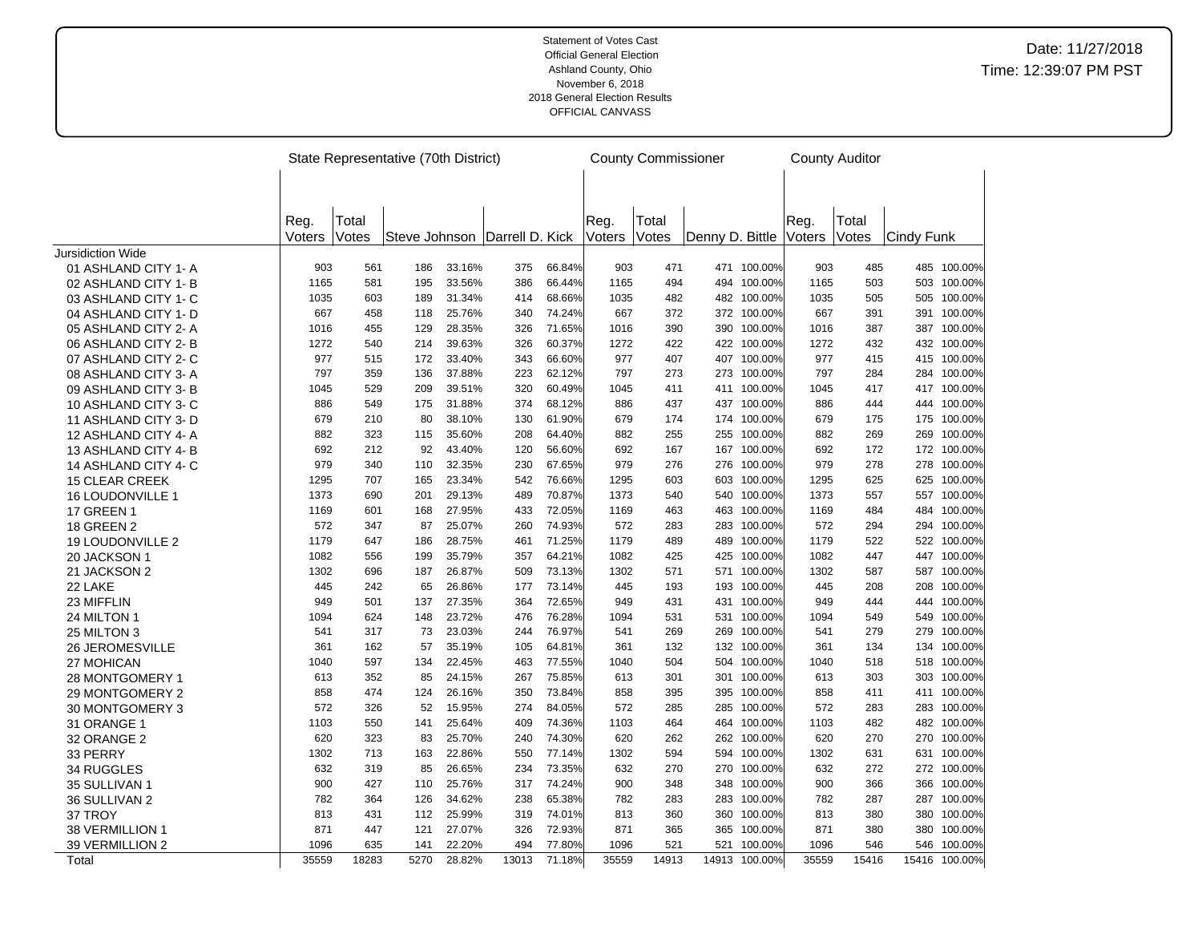|                                              |                |                | State Representative (70th District) |        |                               |        |                | <b>County Commissioner</b> |                 |               |                | <b>County Auditor</b> |            |               |
|----------------------------------------------|----------------|----------------|--------------------------------------|--------|-------------------------------|--------|----------------|----------------------------|-----------------|---------------|----------------|-----------------------|------------|---------------|
|                                              |                |                |                                      |        |                               |        |                |                            |                 |               |                |                       |            |               |
|                                              |                |                |                                      |        |                               |        |                |                            |                 |               |                |                       |            |               |
|                                              |                |                |                                      |        |                               |        |                |                            |                 |               |                |                       |            |               |
|                                              | Reg.<br>Voters | Total<br>Votes |                                      |        | Steve Johnson Darrell D. Kick |        | Reg.<br>Voters | Total<br>Votes             | Denny D. Bittle |               | Reg.<br>Voters | Total<br>Votes        | Cindy Funk |               |
| Jursidiction Wide                            |                |                |                                      |        |                               |        |                |                            |                 |               |                |                       |            |               |
| 01 ASHLAND CITY 1-A                          | 903            | 561            | 186                                  | 33.16% | 375                           | 66.84% | 903            | 471                        |                 | 471 100.00%   | 903            | 485                   |            | 485 100.00%   |
| 02 ASHLAND CITY 1-B                          | 1165           | 581            | 195                                  | 33.56% | 386                           | 66.44% | 1165           | 494                        |                 | 494 100.00%   | 1165           | 503                   |            | 503 100.00%   |
| 03 ASHLAND CITY 1- C                         | 1035           | 603            | 189                                  | 31.34% | 414                           | 68.66% | 1035           | 482                        |                 | 482 100.00%   | 1035           | 505                   |            | 505 100.00%   |
| 04 ASHLAND CITY 1- D                         | 667            | 458            | 118                                  | 25.76% | 340                           | 74.24% | 667            | 372                        |                 | 372 100.00%   | 667            | 391                   |            | 391 100.00%   |
| 05 ASHLAND CITY 2-A                          | 1016           | 455            | 129                                  | 28.35% | 326                           | 71.65% | 1016           | 390                        | 390             | 100.00%       | 1016           | 387                   |            | 387 100.00%   |
| 06 ASHLAND CITY 2-B                          | 1272           | 540            | 214                                  | 39.63% | 326                           | 60.37% | 1272           | 422                        |                 | 422 100.00%   | 1272           | 432                   |            | 432 100.00%   |
| 07 ASHLAND CITY 2-C                          | 977            | 515            | 172                                  | 33.40% | 343                           | 66.60% | 977            | 407                        |                 | 407 100.00%   | 977            | 415                   |            | 415 100.00%   |
| 08 ASHLAND CITY 3-A                          | 797            | 359            | 136                                  | 37.88% | 223                           | 62.12% | 797            | 273                        | 273             | 100.00%       | 797            | 284                   |            | 284 100.00%   |
| 09 ASHLAND CITY 3-B                          | 1045           | 529            | 209                                  | 39.51% | 320                           | 60.49% | 1045           | 411                        |                 | 411 100.00%   | 1045           | 417                   |            | 417 100.00%   |
| 10 ASHLAND CITY 3-C                          | 886            | 549            | 175                                  | 31.88% | 374                           | 68.12% | 886            | 437                        |                 | 437 100.00%   | 886            | 444                   |            | 444 100.00%   |
| 11 ASHLAND CITY 3-D                          | 679            | 210            | 80                                   | 38.10% | 130                           | 61.90% | 679            | 174                        |                 | 174 100.00%   | 679            | 175                   |            | 175 100.00%   |
| 12 ASHLAND CITY 4-A                          | 882            | 323            | 115                                  | 35.60% | 208                           | 64.40% | 882            | 255                        | 255             | 100.00%       | 882            | 269                   | 269        | 100.00%       |
| 13 ASHLAND CITY 4-B                          | 692            | 212            | 92                                   | 43.40% | 120                           | 56.60% | 692            | 167                        |                 | 167 100.00%   | 692            | 172                   |            | 172 100.00%   |
|                                              | 979            | 340            | 110                                  | 32.35% | 230                           | 67.65% | 979            | 276                        | 276             | 100.00%       | 979            | 278                   |            | 278 100.00%   |
| 14 ASHLAND CITY 4-C<br><b>15 CLEAR CREEK</b> | 1295           | 707            | 165                                  | 23.34% | 542                           | 76.66% | 1295           | 603                        | 603             | 100.00%       | 1295           | 625                   |            | 625 100.00%   |
|                                              | 1373           | 690            | 201                                  | 29.13% | 489                           | 70.87% | 1373           | 540                        | 540             | 100.00%       | 1373           | 557                   |            | 557 100.00%   |
| 16 LOUDONVILLE 1                             | 1169           | 601            |                                      | 27.95% | 433                           | 72.05% | 1169           | 463                        | 463             | 100.00%       | 1169           | 484                   | 484        | 100.00%       |
| <b>17 GREEN 1</b>                            | 572            | 347            | 168<br>87                            | 25.07% | 260                           | 74.93% | 572            | 283                        | 283             | 100.00%       | 572            | 294                   |            | 294 100.00%   |
| <b>18 GREEN 2</b>                            | 1179           | 647            | 186                                  | 28.75% | 461                           | 71.25% | 1179           | 489                        | 489             | 100.00%       | 1179           | 522                   |            | 522 100.00%   |
| 19 LOUDONVILLE 2                             | 1082           | 556            | 199                                  | 35.79% | 357                           | 64.21% | 1082           |                            | 425             | 100.00%       | 1082           | 447                   |            | 447 100.00%   |
| 20 JACKSON 1                                 |                |                |                                      |        |                               |        |                | 425                        |                 |               |                |                       |            |               |
| 21 JACKSON 2                                 | 1302           | 696            | 187                                  | 26.87% | 509                           | 73.13% | 1302           | 571                        | 571             | 100.00%       | 1302           | 587                   |            | 587 100.00%   |
| 22 LAKE                                      | 445            | 242            | 65                                   | 26.86% | 177                           | 73.14% | 445            | 193                        | 193             | 100.00%       | 445            | 208                   | 208        | 100.00%       |
| 23 MIFFLIN                                   | 949            | 501            | 137                                  | 27.35% | 364                           | 72.65% | 949            | 431                        |                 | 431 100.00%   | 949            | 444                   |            | 444 100.00%   |
| 24 MILTON 1                                  | 1094           | 624            | 148                                  | 23.72% | 476                           | 76.28% | 1094           | 531                        |                 | 531 100.00%   | 1094           | 549                   | 549        | 100.00%       |
| 25 MILTON 3                                  | 541            | 317            | 73                                   | 23.03% | 244                           | 76.97% | 541            | 269                        | 269             | 100.00%       | 541            | 279                   |            | 279 100.00%   |
| <b>26 JEROMESVILLE</b>                       | 361            | 162            | 57                                   | 35.19% | 105                           | 64.81% | 361            | 132                        | 132             | 100.00%       | 361            | 134                   | 134        | 100.00%       |
| 27 MOHICAN                                   | 1040           | 597            | 134                                  | 22.45% | 463                           | 77.55% | 1040           | 504                        |                 | 504 100.00%   | 1040           | 518                   |            | 518 100.00%   |
| 28 MONTGOMERY 1                              | 613            | 352            | 85                                   | 24.15% | 267                           | 75.85% | 613            | 301                        |                 | 301 100.00%   | 613            | 303                   |            | 303 100.00%   |
| 29 MONTGOMERY 2                              | 858            | 474            | 124                                  | 26.16% | 350                           | 73.84% | 858            | 395                        | 395             | 100.00%       | 858            | 411                   |            | 411 100.00%   |
| 30 MONTGOMERY 3                              | 572            | 326            | 52                                   | 15.95% | 274                           | 84.05% | 572            | 285                        | 285             | 100.00%       | 572            | 283                   |            | 283 100.00%   |
| 31 ORANGE 1                                  | 1103           | 550            | 141                                  | 25.64% | 409                           | 74.36% | 1103           | 464                        | 464             | 100.00%       | 1103           | 482                   | 482        | 100.00%       |
| 32 ORANGE 2                                  | 620            | 323            | 83                                   | 25.70% | 240                           | 74.30% | 620            | 262                        |                 | 262 100.00%   | 620            | 270                   |            | 270 100.00%   |
| 33 PERRY                                     | 1302           | 713            | 163                                  | 22.86% | 550                           | 77.14% | 1302           | 594                        |                 | 594 100.00%   | 1302           | 631                   |            | 631 100.00%   |
| 34 RUGGLES                                   | 632            | 319            | 85                                   | 26.65% | 234                           | 73.35% | 632            | 270                        | 270             | 100.00%       | 632            | 272                   |            | 272 100.00%   |
| 35 SULLIVAN 1                                | 900            | 427            | 110                                  | 25.76% | 317                           | 74.24% | 900            | 348                        | 348             | 100.00%       | 900            | 366                   |            | 366 100.00%   |
| 36 SULLIVAN 2                                | 782            | 364            | 126                                  | 34.62% | 238                           | 65.38% | 782            | 283                        | 283             | 100.00%       | 782            | 287                   |            | 287 100.00%   |
| 37 TROY                                      | 813            | 431            | 112                                  | 25.99% | 319                           | 74.01% | 813            | 360                        | 360             | 100.00%       | 813            | 380                   |            | 380 100.00%   |
| 38 VERMILLION 1                              | 871            | 447            | 121                                  | 27.07% | 326                           | 72.93% | 871            | 365                        | 365             | 100.00%       | 871            | 380                   | 380        | 100.00%       |
| 39 VERMILLION 2                              | 1096           | 635            | 141                                  | 22.20% | 494                           | 77.80% | 1096           | 521                        | 521             | 100.00%       | 1096           | 546                   |            | 546 100.00%   |
| Total                                        | 35559          | 18283          | 5270                                 | 28.82% | 13013                         | 71.18% | 35559          | 14913                      |                 | 14913 100.00% | 35559          | 15416                 |            | 15416 100.00% |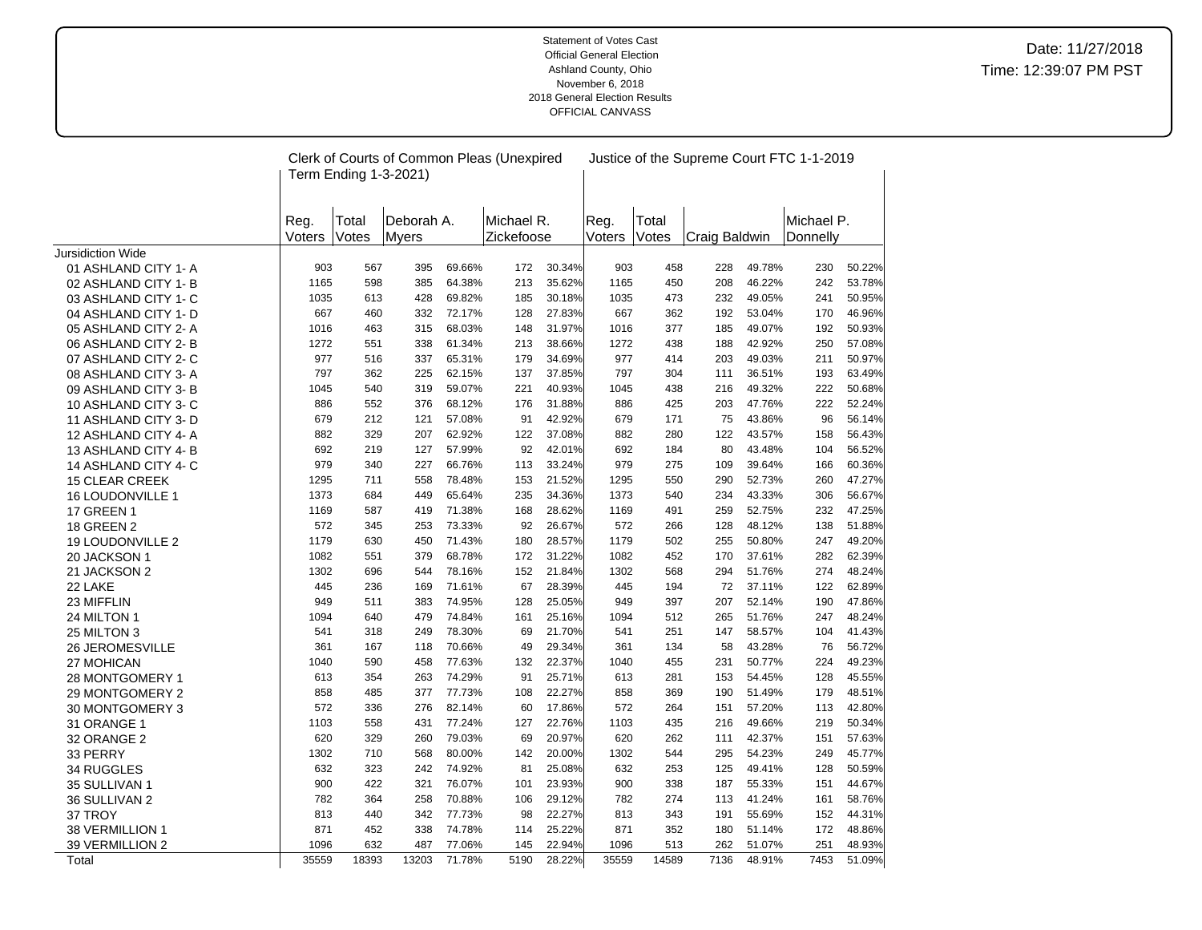|                                    |             |                       | Clerk of Courts of Common Pleas (Unexpired |                  |            |                  |             |            |               |                  | Justice of the Supreme Court FTC 1-1-2019 |                  |
|------------------------------------|-------------|-----------------------|--------------------------------------------|------------------|------------|------------------|-------------|------------|---------------|------------------|-------------------------------------------|------------------|
|                                    |             | Term Ending 1-3-2021) |                                            |                  |            |                  |             |            |               |                  |                                           |                  |
|                                    |             |                       |                                            |                  |            |                  |             |            |               |                  |                                           |                  |
|                                    | Reg.        | Total                 | Deborah A.                                 |                  | Michael R. |                  | Reg.        | Total      |               |                  | Michael P.                                |                  |
|                                    | Voters      | Votes                 | <b>M</b> vers                              |                  | Zickefoose |                  | Voters      | Votes      | Craig Baldwin |                  | Donnelly                                  |                  |
| <b>Jursidiction Wide</b>           |             |                       |                                            |                  |            |                  |             |            |               |                  |                                           |                  |
| 01 ASHLAND CITY 1- A               | 903         | 567                   | 395                                        | 69.66%           | 172        | 30.34%           | 903         | 458        | 228           | 49.78%           | 230                                       | 50.22%           |
| 02 ASHLAND CITY 1-B                | 1165        | 598                   | 385                                        | 64.38%           | 213        | 35.62%           | 1165        | 450        | 208           | 46.22%           | 242                                       | 53.78%           |
| 03 ASHLAND CITY 1- C               | 1035        | 613                   | 428                                        | 69.82%           | 185        | 30.18%           | 1035        | 473        | 232           | 49.05%           | 241                                       | 50.95%           |
| 04 ASHLAND CITY 1- D               | 667         | 460                   | 332                                        | 72.17%           | 128        | 27.83%           | 667         | 362        | 192           | 53.04%           | 170                                       | 46.96%           |
| 05 ASHLAND CITY 2-A                | 1016        | 463                   | 315                                        | 68.03%           | 148        | 31.97%           | 1016        | 377        | 185           | 49.07%           | 192                                       | 50.93%           |
| 06 ASHLAND CITY 2-B                | 1272        | 551                   | 338                                        | 61.34%           | 213        | 38.66%           | 1272        | 438        | 188           | 42.92%           | 250                                       | 57.08%           |
| 07 ASHLAND CITY 2-C                | 977         | 516                   | 337                                        | 65.31%           | 179        | 34.69%           | 977         | 414        | 203           | 49.03%           | 211                                       | 50.97%           |
| 08 ASHLAND CITY 3-A                | 797         | 362                   | 225                                        | 62.15%           | 137        | 37.85%           | 797         | 304        | 111           | 36.51%           | 193                                       | 63.49%           |
| 09 ASHLAND CITY 3-B                | 1045        | 540                   | 319                                        | 59.07%           | 221        | 40.93%           | 1045        | 438        | 216           | 49.32%           | 222                                       | 50.68%           |
| 10 ASHLAND CITY 3-C                | 886         | 552                   | 376                                        | 68.12%           | 176        | 31.88%           | 886         | 425        | 203           | 47.76%           | 222                                       | 52.24%           |
| 11 ASHLAND CITY 3- D               | 679         | 212                   | 121                                        | 57.08%           | 91         | 42.92%           | 679         | 171        | 75            | 43.86%           | 96                                        | 56.14%           |
| 12 ASHLAND CITY 4-A                | 882         | 329                   | 207                                        | 62.92%           | 122        | 37.08%           | 882         | 280        | 122           | 43.57%           | 158                                       | 56.43%           |
| 13 ASHLAND CITY 4-B                | 692         | 219                   | 127                                        | 57.99%           | 92         | 42.01%           | 692         | 184        | 80            | 43.48%           | 104                                       | 56.52%           |
| 14 ASHLAND CITY 4-C                | 979         | 340                   | 227                                        | 66.76%           | 113        | 33.24%           | 979         | 275        | 109           | 39.64%           | 166                                       | 60.36%           |
| <b>15 CLEAR CREEK</b>              | 1295        | 711                   | 558                                        | 78.48%           | 153        | 21.52%           | 1295        | 550        | 290           | 52.73%           | 260                                       | 47.27%           |
| 16 LOUDONVILLE 1                   | 1373        | 684                   | 449                                        | 65.64%           | 235        | 34.36%           | 1373        | 540        | 234           | 43.33%           | 306                                       | 56.67%           |
| <b>17 GREEN 1</b>                  | 1169        | 587                   | 419                                        | 71.38%           | 168        | 28.62%           | 1169        | 491        | 259           | 52.75%           | 232                                       | 47.25%           |
| <b>18 GREEN 2</b>                  | 572         | 345                   | 253                                        | 73.33%           | 92         | 26.67%           | 572         | 266        | 128           | 48.12%           | 138                                       | 51.88%           |
| 19 LOUDONVILLE 2                   | 1179        | 630                   | 450                                        | 71.43%           | 180        | 28.57%           | 1179        | 502        | 255           | 50.80%           | 247                                       | 49.20%           |
| 20 JACKSON 1                       | 1082        | 551                   | 379                                        | 68.78%           | 172        | 31.22%           | 1082        | 452        | 170           | 37.61%           | 282                                       | 62.39%           |
| 21 JACKSON 2                       | 1302        | 696                   | 544                                        | 78.16%           | 152        | 21.84%           | 1302        | 568        | 294           | 51.76%           | 274                                       | 48.24%           |
| 22 LAKE                            | 445         | 236                   | 169                                        | 71.61%           | 67         | 28.39%           | 445         | 194        | 72            | 37.11%           | 122                                       | 62.89%           |
| 23 MIFFLIN                         | 949         | 511                   | 383                                        | 74.95%           | 128        | 25.05%           | 949         | 397        | 207           | 52.14%           | 190                                       | 47.86%           |
| 24 MILTON 1                        | 1094        | 640<br>318            | 479<br>249                                 | 74.84%           | 161        | 25.16%<br>21.70% | 1094<br>541 | 512<br>251 | 265<br>147    | 51.76%<br>58.57% | 247<br>104                                | 48.24%           |
| 25 MILTON 3                        | 541<br>361  | 167                   | 118                                        | 78.30%<br>70.66% | 69<br>49   | 29.34%           | 361         | 134        | 58            | 43.28%           | 76                                        | 41.43%<br>56.72% |
| <b>26 JEROMESVILLE</b>             |             | 590                   | 458                                        |                  |            |                  | 1040        |            | 231           | 50.77%           | 224                                       |                  |
| 27 MOHICAN                         | 1040<br>613 | 354                   | 263                                        | 77.63%<br>74.29% | 132<br>91  | 22.37%<br>25.71% | 613         | 455<br>281 | 153           | 54.45%           | 128                                       | 49.23%<br>45.55% |
| 28 MONTGOMERY 1                    | 858         | 485                   | 377                                        | 77.73%           | 108        | 22.27%           | 858         | 369        | 190           | 51.49%           | 179                                       | 48.51%           |
| 29 MONTGOMERY 2<br>30 MONTGOMERY 3 | 572         | 336                   | 276                                        | 82.14%           | 60         | 17.86%           | 572         | 264        | 151           | 57.20%           | 113                                       | 42.80%           |
| 31 ORANGE 1                        | 1103        | 558                   | 431                                        | 77.24%           | 127        | 22.76%           | 1103        | 435        | 216           | 49.66%           | 219                                       | 50.34%           |
| 32 ORANGE 2                        | 620         | 329                   | 260                                        | 79.03%           | 69         | 20.97%           | 620         | 262        | 111           | 42.37%           | 151                                       | 57.63%           |
| 33 PERRY                           | 1302        | 710                   | 568                                        | 80.00%           | 142        | 20.00%           | 1302        | 544        | 295           | 54.23%           | 249                                       | 45.77%           |
| 34 RUGGLES                         | 632         | 323                   | 242                                        | 74.92%           | 81         | 25.08%           | 632         | 253        | 125           | 49.41%           | 128                                       | 50.59%           |
| 35 SULLIVAN 1                      | 900         | 422                   | 321                                        | 76.07%           | 101        | 23.93%           | 900         | 338        | 187           | 55.33%           | 151                                       | 44.67%           |
| 36 SULLIVAN 2                      | 782         | 364                   | 258                                        | 70.88%           | 106        | 29.12%           | 782         | 274        | 113           | 41.24%           | 161                                       | 58.76%           |
| 37 TROY                            | 813         | 440                   | 342                                        | 77.73%           | 98         | 22.27%           | 813         | 343        | 191           | 55.69%           | 152                                       | 44.31%           |
| 38 VERMILLION 1                    | 871         | 452                   | 338                                        | 74.78%           | 114        | 25.22%           | 871         | 352        | 180           | 51.14%           | 172                                       | 48.86%           |
| 39 VERMILLION 2                    | 1096        | 632                   | 487                                        | 77.06%           | 145        | 22.94%           | 1096        | 513        | 262           | 51.07%           | 251                                       | 48.93%           |
| Total                              | 35559       | 18393                 | 13203                                      | 71.78%           | 5190       | 28.22%           | 35559       | 14589      | 7136          | 48.91%           | 7453                                      | 51.09%           |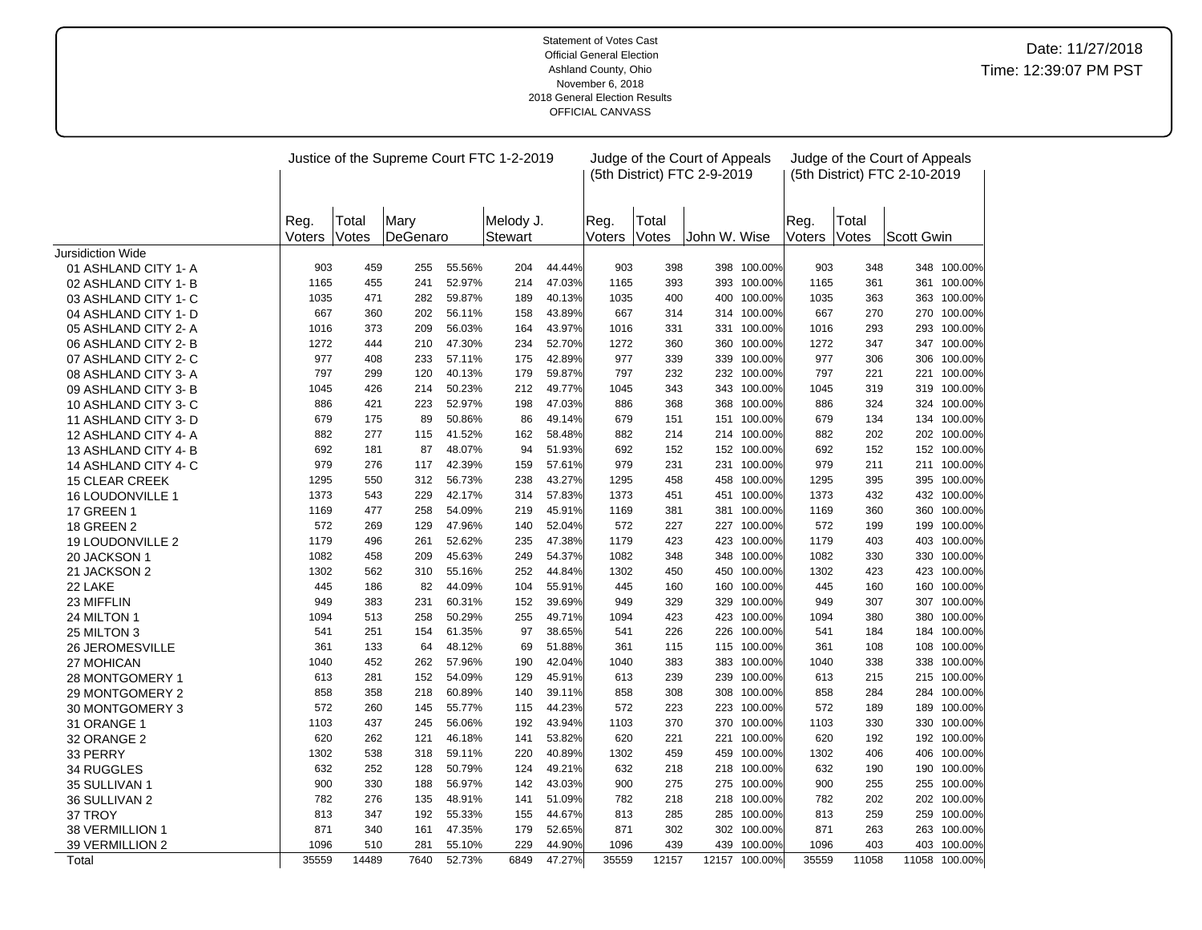|                       |                |                |                  |        | Justice of the Supreme Court FTC 1-2-2019 |        |                |                | Judge of the Court of Appeals<br>(5th District) FTC 2-9-2019 |               |                |                | Judge of the Court of Appeals<br>(5th District) FTC 2-10-2019 |               |
|-----------------------|----------------|----------------|------------------|--------|-------------------------------------------|--------|----------------|----------------|--------------------------------------------------------------|---------------|----------------|----------------|---------------------------------------------------------------|---------------|
|                       | Reg.<br>Voters | Total<br>Votes | Mary<br>DeGenaro |        | Melody J.<br><b>Stewart</b>               |        | Reg.<br>Voters | Total<br>Votes | John W. Wise                                                 |               | Reg.<br>Voters | Total<br>Votes | Scott Gwin                                                    |               |
| Jursidiction Wide     |                |                |                  |        |                                           |        |                |                |                                                              |               |                |                |                                                               |               |
| 01 ASHLAND CITY 1- A  | 903            | 459            | 255              | 55.56% | 204                                       | 44.44% | 903            | 398            |                                                              | 398 100.00%   | 903            | 348            |                                                               | 348 100.00%   |
| 02 ASHLAND CITY 1-B   | 1165           | 455            | 241              | 52.97% | 214                                       | 47.03% | 1165           | 393            |                                                              | 393 100.00%   | 1165           | 361            | 361                                                           | 100.00%       |
| 03 ASHLAND CITY 1- C  | 1035           | 471            | 282              | 59.87% | 189                                       | 40.13% | 1035           | 400            | 400                                                          | 100.00%       | 1035           | 363            |                                                               | 363 100.00%   |
| 04 ASHLAND CITY 1- D  | 667            | 360            | 202              | 56.11% | 158                                       | 43.89% | 667            | 314            |                                                              | 314 100.00%   | 667            | 270            |                                                               | 270 100.00%   |
| 05 ASHLAND CITY 2-A   | 1016           | 373            | 209              | 56.03% | 164                                       | 43.97% | 1016           | 331            | 331                                                          | 100.00%       | 1016           | 293            |                                                               | 293 100.00%   |
| 06 ASHLAND CITY 2-B   | 1272           | 444            | 210              | 47.30% | 234                                       | 52.70% | 1272           | 360            |                                                              | 360 100.00%   | 1272           | 347            |                                                               | 347 100.00%   |
| 07 ASHLAND CITY 2- C  | 977            | 408            | 233              | 57.11% | 175                                       | 42.89% | 977            | 339            | 339                                                          | 100.00%       | 977            | 306            | 306                                                           | 100.00%       |
| 08 ASHLAND CITY 3-A   | 797            | 299            | 120              | 40.13% | 179                                       | 59.87% | 797            | 232            |                                                              | 232 100.00%   | 797            | 221            | 221                                                           | 100.00%       |
| 09 ASHLAND CITY 3- B  | 1045           | 426            | 214              | 50.23% | 212                                       | 49.77% | 1045           | 343            |                                                              | 343 100.00%   | 1045           | 319            |                                                               | 319 100.00%   |
| 10 ASHLAND CITY 3-C   | 886            | 421            | 223              | 52.97% | 198                                       | 47.03% | 886            | 368            | 368                                                          | 100.00%       | 886            | 324            |                                                               | 324 100.00%   |
| 11 ASHLAND CITY 3-D   | 679            | 175            | 89               | 50.86% | 86                                        | 49.14% | 679            | 151            | 151                                                          | 100.00%       | 679            | 134            |                                                               | 134 100.00%   |
| 12 ASHLAND CITY 4-A   | 882            | 277            | 115              | 41.52% | 162                                       | 58.48% | 882            | 214            |                                                              | 214 100.00%   | 882            | 202            | 202                                                           | 100.00%       |
| 13 ASHLAND CITY 4-B   | 692            | 181            | 87               | 48.07% | 94                                        | 51.93% | 692            | 152            |                                                              | 152 100.00%   | 692            | 152            |                                                               | 152 100.00%   |
| 14 ASHLAND CITY 4- C  | 979            | 276            | 117              | 42.39% | 159                                       | 57.61% | 979            | 231            |                                                              | 231 100.00%   | 979            | 211            |                                                               | 211 100.00%   |
| <b>15 CLEAR CREEK</b> | 1295           | 550            | 312              | 56.73% | 238                                       | 43.27% | 1295           | 458            |                                                              | 458 100.00%   | 1295           | 395            |                                                               | 395 100.00%   |
| 16 LOUDONVILLE 1      | 1373           | 543            | 229              | 42.17% | 314                                       | 57.83% | 1373           | 451            | 451                                                          | 100.00%       | 1373           | 432            | 432                                                           | 100.00%       |
| 17 GREEN 1            | 1169           | 477            | 258              | 54.09% | 219                                       | 45.91% | 1169           | 381            | 381                                                          | 100.00%       | 1169           | 360            | 360                                                           | 100.00%       |
| <b>18 GREEN 2</b>     | 572            | 269            | 129              | 47.96% | 140                                       | 52.04% | 572            | 227            |                                                              | 227 100.00%   | 572            | 199            |                                                               | 199 100.00%   |
| 19 LOUDONVILLE 2      | 1179           | 496            | 261              | 52.62% | 235                                       | 47.38% | 1179           | 423            |                                                              | 423 100.00%   | 1179           | 403            | 403                                                           | 100.00%       |
| 20 JACKSON 1          | 1082           | 458            | 209              | 45.63% | 249                                       | 54.37% | 1082           | 348            |                                                              | 348 100.00%   | 1082           | 330            |                                                               | 330 100.00%   |
| 21 JACKSON 2          | 1302           | 562            | 310              | 55.16% | 252                                       | 44.84% | 1302           | 450            | 450                                                          | 100.00%       | 1302           | 423            | 423                                                           | 100.00%       |
| 22 LAKE               | 445            | 186            | 82               | 44.09% | 104                                       | 55.91% | 445            | 160            | 160                                                          | 100.00%       | 445            | 160            | 160                                                           | 100.00%       |
| 23 MIFFLIN            | 949            | 383            | 231              | 60.31% | 152                                       | 39.69% | 949            | 329            | 329                                                          | 100.00%       | 949            | 307            |                                                               | 307 100.00%   |
| 24 MILTON 1           | 1094           | 513            | 258              | 50.29% | 255                                       | 49.71% | 1094           | 423            |                                                              | 423 100.00%   | 1094           | 380            | 380                                                           | 100.00%       |
| 25 MILTON 3           | 541            | 251            | 154              | 61.35% | 97                                        | 38.65% | 541            | 226            | 226                                                          | 100.00%       | 541            | 184            | 184                                                           | 100.00%       |
| 26 JEROMESVILLE       | 361            | 133            | 64               | 48.12% | 69                                        | 51.88% | 361            | 115            | 115                                                          | 100.00%       | 361            | 108            | 108                                                           | 100.00%       |
| 27 MOHICAN            | 1040           | 452            | 262              | 57.96% | 190                                       | 42.04% | 1040           | 383            |                                                              | 383 100.00%   | 1040           | 338            | 338                                                           | 100.00%       |
| 28 MONTGOMERY 1       | 613            | 281            | 152              | 54.09% | 129                                       | 45.91% | 613            | 239            | 239                                                          | 100.00%       | 613            | 215            |                                                               | 215 100.00%   |
| 29 MONTGOMERY 2       | 858            | 358            | 218              | 60.89% | 140                                       | 39.11% | 858            | 308            | 308                                                          | 100.00%       | 858            | 284            | 284                                                           | 100.00%       |
| 30 MONTGOMERY 3       | 572            | 260            | 145              | 55.77% | 115                                       | 44.23% | 572            | 223            |                                                              | 223 100.00%   | 572            | 189            | 189                                                           | 100.00%       |
| 31 ORANGE 1           | 1103           | 437            | 245              | 56.06% | 192                                       | 43.94% | 1103           | 370            | 370                                                          | 100.00%       | 1103           | 330            | 330                                                           | 100.00%       |
| 32 ORANGE 2           | 620            | 262            | 121              | 46.18% | 141                                       | 53.82% | 620            | 221            | 221                                                          | 100.00%       | 620            | 192            |                                                               | 192 100.00%   |
| 33 PERRY              | 1302           | 538            | 318              | 59.11% | 220                                       | 40.89% | 1302           | 459            | 459                                                          | 100.00%       | 1302           | 406            | 406                                                           | 100.00%       |
| 34 RUGGLES            | 632            | 252            | 128              | 50.79% | 124                                       | 49.21% | 632            | 218            | 218                                                          | 100.00%       | 632            | 190            | 190                                                           | 100.00%       |
| 35 SULLIVAN 1         | 900            | 330            | 188              | 56.97% | 142                                       | 43.03% | 900            | 275            | 275                                                          | 100.00%       | 900            | 255            |                                                               | 255 100.00%   |
| 36 SULLIVAN 2         | 782            | 276            | 135              | 48.91% | 141                                       | 51.09% | 782            | 218            | 218                                                          | 100.00%       | 782            | 202            | 202                                                           | 100.00%       |
| 37 TROY               | 813            | 347            | 192              | 55.33% | 155                                       | 44.67% | 813            | 285            | 285                                                          | 100.00%       | 813            | 259            | 259                                                           | 100.00%       |
| 38 VERMILLION 1       | 871            | 340            | 161              | 47.35% | 179                                       | 52.65% | 871            | 302            | 302                                                          | 100.00%       | 871            | 263            | 263                                                           | 100.00%       |
| 39 VERMILLION 2       | 1096           | 510            | 281              | 55.10% | 229                                       | 44.90% | 1096           | 439            | 439                                                          | 100.00%       | 1096           | 403            |                                                               | 403 100.00%   |
| Total                 | 35559          | 14489          | 7640             | 52.73% | 6849                                      | 47.27% | 35559          | 12157          |                                                              | 12157 100.00% | 35559          | 11058          |                                                               | 11058 100.00% |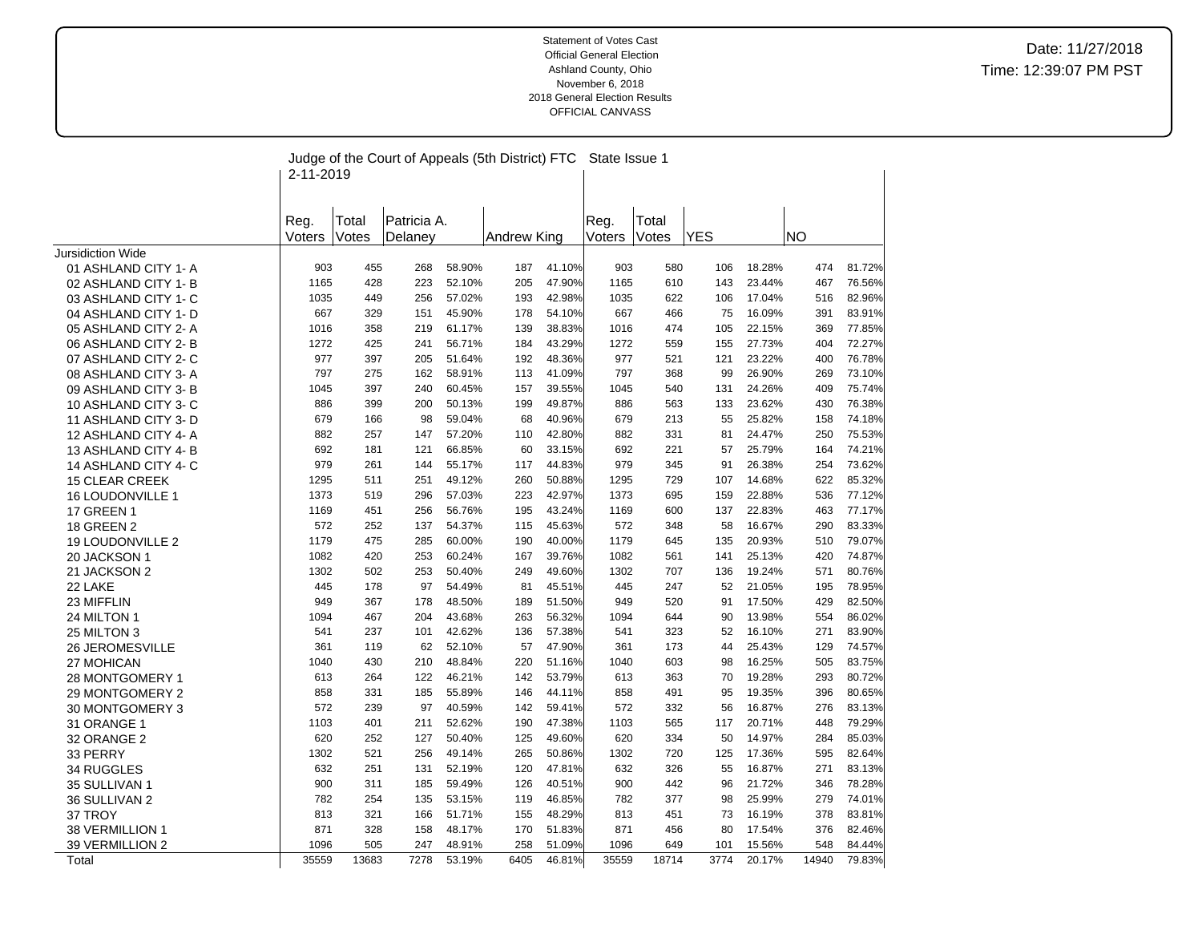|                                | 2-11-2019   |            | Judge of the Court of Appeals (5th District) FTC |                  |             |                  | State Issue 1 |            |            |                  |            |                  |
|--------------------------------|-------------|------------|--------------------------------------------------|------------------|-------------|------------------|---------------|------------|------------|------------------|------------|------------------|
|                                |             |            |                                                  |                  |             |                  |               |            |            |                  |            |                  |
|                                | Reg.        | Total      | Patricia A.                                      |                  |             |                  | Reg.          | Total      |            |                  |            |                  |
|                                | Voters      | Votes      | Delaney                                          |                  | Andrew King |                  | Voters        | Votes      | <b>YES</b> |                  | <b>NO</b>  |                  |
| <b>Jursidiction Wide</b>       |             |            |                                                  |                  |             |                  |               |            |            |                  |            |                  |
| 01 ASHLAND CITY 1- A           | 903         | 455        | 268                                              | 58.90%           | 187         | 41.10%           | 903           | 580        | 106        | 18.28%           | 474        | 81.72%           |
| 02 ASHLAND CITY 1-B            | 1165        | 428        | 223                                              | 52.10%           | 205         | 47.90%           | 1165          | 610        | 143        | 23.44%           | 467        | 76.56%           |
| 03 ASHLAND CITY 1- C           | 1035        | 449        | 256                                              | 57.02%           | 193         | 42.98%           | 1035          | 622        | 106        | 17.04%           | 516        | 82.96%           |
| 04 ASHLAND CITY 1- D           | 667         | 329        | 151                                              | 45.90%           | 178         | 54.10%           | 667           | 466        | 75         | 16.09%           | 391        | 83.91%           |
| 05 ASHLAND CITY 2-A            | 1016        | 358        | 219                                              | 61.17%           | 139         | 38.83%           | 1016          | 474        | 105        | 22.15%           | 369        | 77.85%           |
| 06 ASHLAND CITY 2-B            | 1272        | 425        | 241                                              | 56.71%           | 184         | 43.29%           | 1272          | 559        | 155        | 27.73%           | 404        | 72.27%           |
| 07 ASHLAND CITY 2- C           | 977         | 397        | 205                                              | 51.64%           | 192         | 48.36%           | 977           | 521        | 121        | 23.22%           | 400        | 76.78%           |
| 08 ASHLAND CITY 3-A            | 797         | 275        | 162                                              | 58.91%           | 113         | 41.09%           | 797           | 368        | 99         | 26.90%           | 269        | 73.10%           |
| 09 ASHLAND CITY 3-B            | 1045        | 397        | 240                                              | 60.45%           | 157         | 39.55%           | 1045          | 540        | 131        | 24.26%           | 409        | 75.74%           |
| 10 ASHLAND CITY 3-C            | 886         | 399        | 200                                              | 50.13%           | 199         | 49.87%           | 886           | 563        | 133        | 23.62%           | 430        | 76.38%           |
| 11 ASHLAND CITY 3- D           | 679         | 166        | 98                                               | 59.04%           | 68          | 40.96%           | 679           | 213        | 55         | 25.82%           | 158        | 74.18%           |
| 12 ASHLAND CITY 4-A            | 882         | 257        | 147                                              | 57.20%           | 110         | 42.80%           | 882           | 331        | 81         | 24.47%           | 250        | 75.53%           |
| 13 ASHLAND CITY 4-B            | 692         | 181        | 121                                              | 66.85%           | 60          | 33.15%           | 692           | 221        | 57         | 25.79%           | 164        | 74.21%           |
| 14 ASHLAND CITY 4-C            | 979         | 261        | 144                                              | 55.17%           | 117         | 44.83%           | 979           | 345        | 91         | 26.38%           | 254        | 73.62%           |
| <b>15 CLEAR CREEK</b>          | 1295        | 511        | 251                                              | 49.12%           | 260         | 50.88%           | 1295          | 729        | 107        | 14.68%           | 622        | 85.32%           |
| 16 LOUDONVILLE 1               | 1373        | 519        | 296                                              | 57.03%           | 223         | 42.97%           | 1373          | 695        | 159        | 22.88%           | 536        | 77.12%           |
| 17 GREEN 1                     | 1169        | 451        | 256                                              | 56.76%           | 195         | 43.24%           | 1169          | 600        | 137        | 22.83%           | 463        | 77.17%           |
| 18 GREEN 2                     | 572         | 252        | 137                                              | 54.37%           | 115         | 45.63%           | 572           | 348        | 58         | 16.67%           | 290        | 83.33%           |
| <b>19 LOUDONVILLE 2</b>        | 1179        | 475        | 285                                              | 60.00%           | 190         | 40.00%           | 1179          | 645        | 135        | 20.93%           | 510        | 79.07%           |
| 20 JACKSON 1                   | 1082        | 420        | 253                                              | 60.24%           | 167         | 39.76%           | 1082          | 561        | 141        | 25.13%           | 420        | 74.87%           |
| 21 JACKSON 2                   | 1302        | 502        | 253                                              | 50.40%           | 249         | 49.60%           | 1302          | 707        | 136        | 19.24%           | 571        | 80.76%           |
| 22 LAKE                        | 445         | 178        | 97                                               | 54.49%           | 81          | 45.51%           | 445           | 247        | 52         | 21.05%           | 195        | 78.95%           |
| 23 MIFFLIN                     | 949         | 367        | 178                                              | 48.50%           | 189         | 51.50%           | 949           | 520        | 91         | 17.50%           | 429        | 82.50%           |
| 24 MILTON 1                    | 1094        | 467        | 204                                              | 43.68%           | 263         | 56.32%           | 1094          | 644        | 90         | 13.98%           | 554        | 86.02%           |
| 25 MILTON 3                    | 541         | 237        | 101                                              | 42.62%           | 136         | 57.38%           | 541           | 323        | 52         | 16.10%           | 271        | 83.90%           |
| 26 JEROMESVILLE                | 361         | 119        | 62                                               | 52.10%           | 57          | 47.90%           | 361           | 173        | 44         | 25.43%           | 129        | 74.57%           |
| 27 MOHICAN                     | 1040<br>613 | 430        | 210                                              | 48.84%<br>46.21% | 220         | 51.16%<br>53.79% | 1040<br>613   | 603        | 98<br>70   | 16.25%<br>19.28% | 505        | 83.75%<br>80.72% |
| 28 MONTGOMERY 1                | 858         | 264<br>331 | 122<br>185                                       | 55.89%           | 142         | 44.11%           | 858           | 363<br>491 | 95         | 19.35%           | 293<br>396 |                  |
| 29 MONTGOMERY 2                | 572         | 239        | 97                                               | 40.59%           | 146<br>142  | 59.41%           | 572           | 332        | 56         | 16.87%           | 276        | 80.65%<br>83.13% |
| 30 MONTGOMERY 3<br>31 ORANGE 1 | 1103        | 401        | 211                                              | 52.62%           | 190         | 47.38%           | 1103          | 565        | 117        | 20.71%           | 448        | 79.29%           |
|                                | 620         | 252        | 127                                              | 50.40%           | 125         | 49.60%           | 620           | 334        | 50         | 14.97%           | 284        | 85.03%           |
| 32 ORANGE 2                    | 1302        | 521        | 256                                              | 49.14%           | 265         | 50.86%           | 1302          | 720        | 125        | 17.36%           | 595        | 82.64%           |
| 33 PERRY<br>34 RUGGLES         | 632         | 251        | 131                                              | 52.19%           | 120         | 47.81%           | 632           | 326        | 55         | 16.87%           | 271        | 83.13%           |
| 35 SULLIVAN 1                  | 900         | 311        | 185                                              | 59.49%           | 126         | 40.51%           | 900           | 442        | 96         | 21.72%           | 346        | 78.28%           |
| 36 SULLIVAN 2                  | 782         | 254        | 135                                              | 53.15%           | 119         | 46.85%           | 782           | 377        | 98         | 25.99%           | 279        | 74.01%           |
| 37 TROY                        | 813         | 321        | 166                                              | 51.71%           | 155         | 48.29%           | 813           | 451        | 73         | 16.19%           | 378        | 83.81%           |
| 38 VERMILLION 1                | 871         | 328        | 158                                              | 48.17%           | 170         | 51.83%           | 871           | 456        | 80         | 17.54%           | 376        | 82.46%           |
| 39 VERMILLION 2                | 1096        | 505        | 247                                              | 48.91%           | 258         | 51.09%           | 1096          | 649        | 101        | 15.56%           | 548        | 84.44%           |
| Total                          | 35559       | 13683      | 7278                                             | 53.19%           | 6405        | 46.81%           | 35559         | 18714      | 3774       | 20.17%           | 14940      | 79.83%           |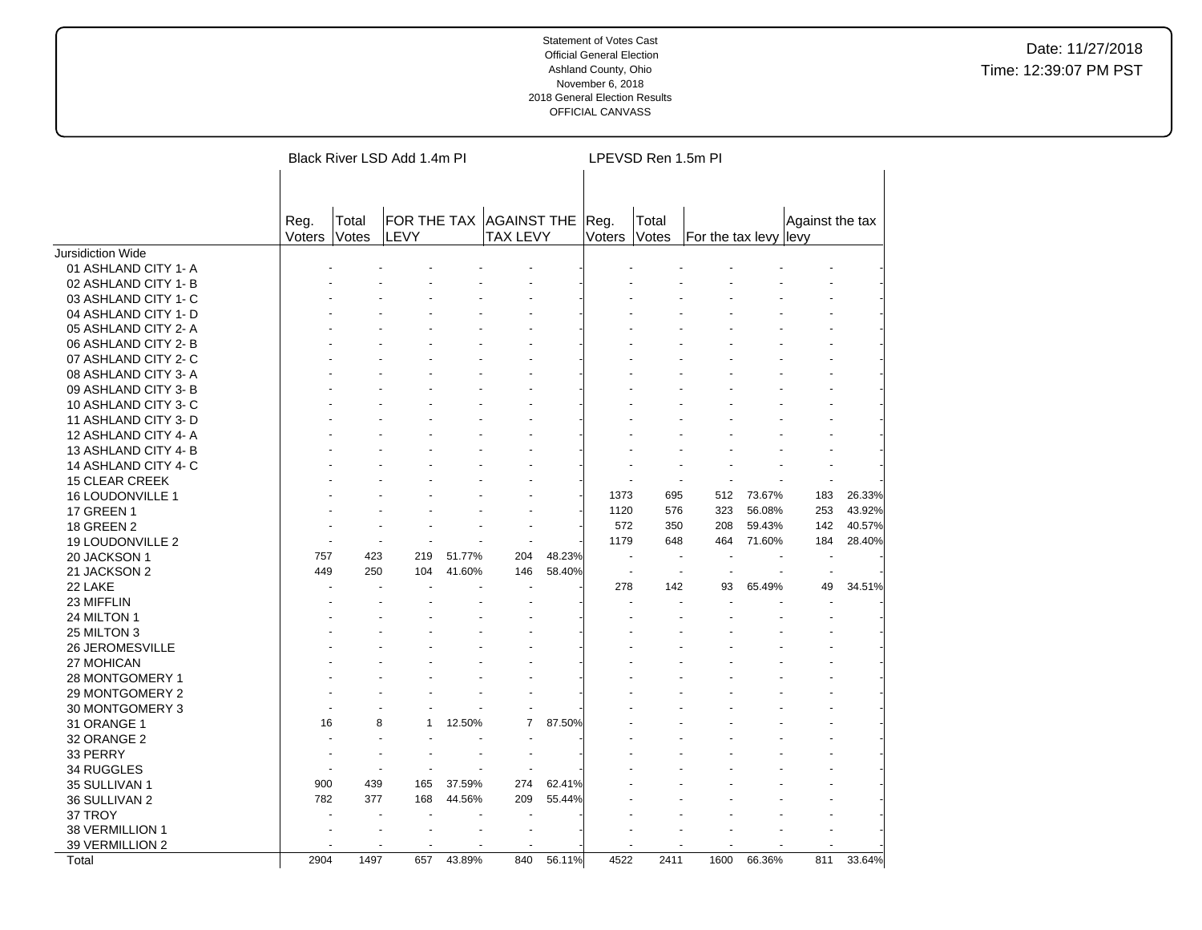|                          |        |       | Black River LSD Add 1.4m PI |        |                 |        |        | LPEVSD Ren 1.5m PI |                       |        |                 |        |
|--------------------------|--------|-------|-----------------------------|--------|-----------------|--------|--------|--------------------|-----------------------|--------|-----------------|--------|
|                          |        |       |                             |        |                 |        |        |                    |                       |        |                 |        |
|                          | Reg.   | Total | FOR THE TAX AGAINST THE     |        |                 |        | Reg.   | Total              |                       |        | Against the tax |        |
|                          | Voters | Votes | LEVY                        |        | <b>TAX LEVY</b> |        | Voters | Votes              | For the tax levy levy |        |                 |        |
| <b>Jursidiction Wide</b> |        |       |                             |        |                 |        |        |                    |                       |        |                 |        |
| 01 ASHLAND CITY 1- A     |        |       |                             |        |                 |        |        |                    |                       |        |                 |        |
| 02 ASHLAND CITY 1-B      |        |       |                             |        |                 |        |        |                    |                       |        |                 |        |
| 03 ASHLAND CITY 1- C     |        |       |                             |        |                 |        |        |                    |                       |        |                 |        |
| 04 ASHLAND CITY 1- D     |        |       |                             |        |                 |        |        |                    |                       |        |                 |        |
| 05 ASHLAND CITY 2-A      |        |       |                             |        |                 |        |        |                    |                       |        |                 |        |
| 06 ASHLAND CITY 2-B      |        |       |                             |        |                 |        |        |                    |                       |        |                 |        |
| 07 ASHLAND CITY 2- C     |        |       |                             |        |                 |        |        |                    |                       |        |                 |        |
| 08 ASHLAND CITY 3-A      |        |       |                             |        |                 |        |        |                    |                       |        |                 |        |
| 09 ASHLAND CITY 3-B      |        |       |                             |        |                 |        |        |                    |                       |        |                 |        |
| 10 ASHLAND CITY 3-C      |        |       |                             |        |                 |        |        |                    |                       |        |                 |        |
| 11 ASHLAND CITY 3- D     |        |       |                             |        |                 |        |        |                    |                       |        |                 |        |
| 12 ASHLAND CITY 4-A      |        |       |                             |        |                 |        |        |                    |                       |        |                 |        |
| 13 ASHLAND CITY 4-B      |        |       |                             |        |                 |        |        |                    |                       |        |                 |        |
| 14 ASHLAND CITY 4- C     |        |       |                             |        |                 |        |        |                    |                       |        |                 |        |
| <b>15 CLEAR CREEK</b>    |        |       |                             |        |                 |        |        |                    |                       |        |                 |        |
| 16 LOUDONVILLE 1         |        |       |                             |        |                 |        | 1373   | 695                | 512                   | 73.67% | 183             | 26.33% |
| <b>17 GREEN 1</b>        |        |       |                             |        |                 |        | 1120   | 576                | 323                   | 56.08% | 253             | 43.92% |
| 18 GREEN 2               |        |       |                             |        |                 |        | 572    | 350                | 208                   | 59.43% | 142             | 40.57% |
| 19 LOUDONVILLE 2         |        |       |                             |        |                 |        | 1179   | 648                | 464                   | 71.60% | 184             | 28.40% |
| 20 JACKSON 1             | 757    | 423   | 219                         | 51.77% | 204             | 48.23% | ÷.     |                    |                       |        |                 |        |
| 21 JACKSON 2             | 449    | 250   | 104                         | 41.60% | 146             | 58.40% |        |                    |                       |        |                 |        |
| 22 LAKE                  |        |       |                             |        |                 |        | 278    | 142                | 93                    | 65.49% | 49              | 34.51% |
| 23 MIFFLIN               |        |       |                             |        |                 |        |        |                    |                       |        |                 |        |
| 24 MILTON 1              |        |       |                             |        |                 |        |        |                    |                       |        |                 |        |
| 25 MILTON 3              |        |       |                             |        |                 |        |        |                    |                       |        |                 |        |
| <b>26 JEROMESVILLE</b>   |        |       |                             |        |                 |        |        |                    |                       |        |                 |        |
| 27 MOHICAN               |        |       |                             |        |                 |        |        |                    |                       |        |                 |        |
| 28 MONTGOMERY 1          |        |       |                             |        |                 |        |        |                    |                       |        |                 |        |
| 29 MONTGOMERY 2          |        |       |                             |        |                 |        |        |                    |                       |        |                 |        |
| 30 MONTGOMERY 3          |        |       |                             |        |                 |        |        |                    |                       |        |                 |        |
| 31 ORANGE 1              | 16     | 8     |                             | 12.50% | 7               | 87.50% |        |                    |                       |        |                 |        |
| 32 ORANGE 2              |        |       |                             |        |                 |        |        |                    |                       |        |                 |        |
| 33 PERRY                 |        |       |                             |        |                 |        |        |                    |                       |        |                 |        |
| 34 RUGGLES               |        |       |                             |        |                 |        |        |                    |                       |        |                 |        |
| 35 SULLIVAN 1            | 900    | 439   | 165                         | 37.59% | 274             | 62.41% |        |                    |                       |        |                 |        |
| 36 SULLIVAN 2            | 782    | 377   | 168                         | 44.56% | 209             | 55.44% |        |                    |                       |        |                 |        |
| 37 TROY                  |        |       |                             |        |                 |        |        |                    |                       |        |                 |        |
| 38 VERMILLION 1          |        |       |                             |        |                 |        |        |                    |                       |        |                 |        |
| 39 VERMILLION 2          |        |       |                             |        |                 |        |        |                    |                       |        |                 |        |
| Total                    | 2904   | 1497  | 657                         | 43.89% | 840             | 56.11% | 4522   | 2411               | 1600                  | 66.36% | 811             | 33.64% |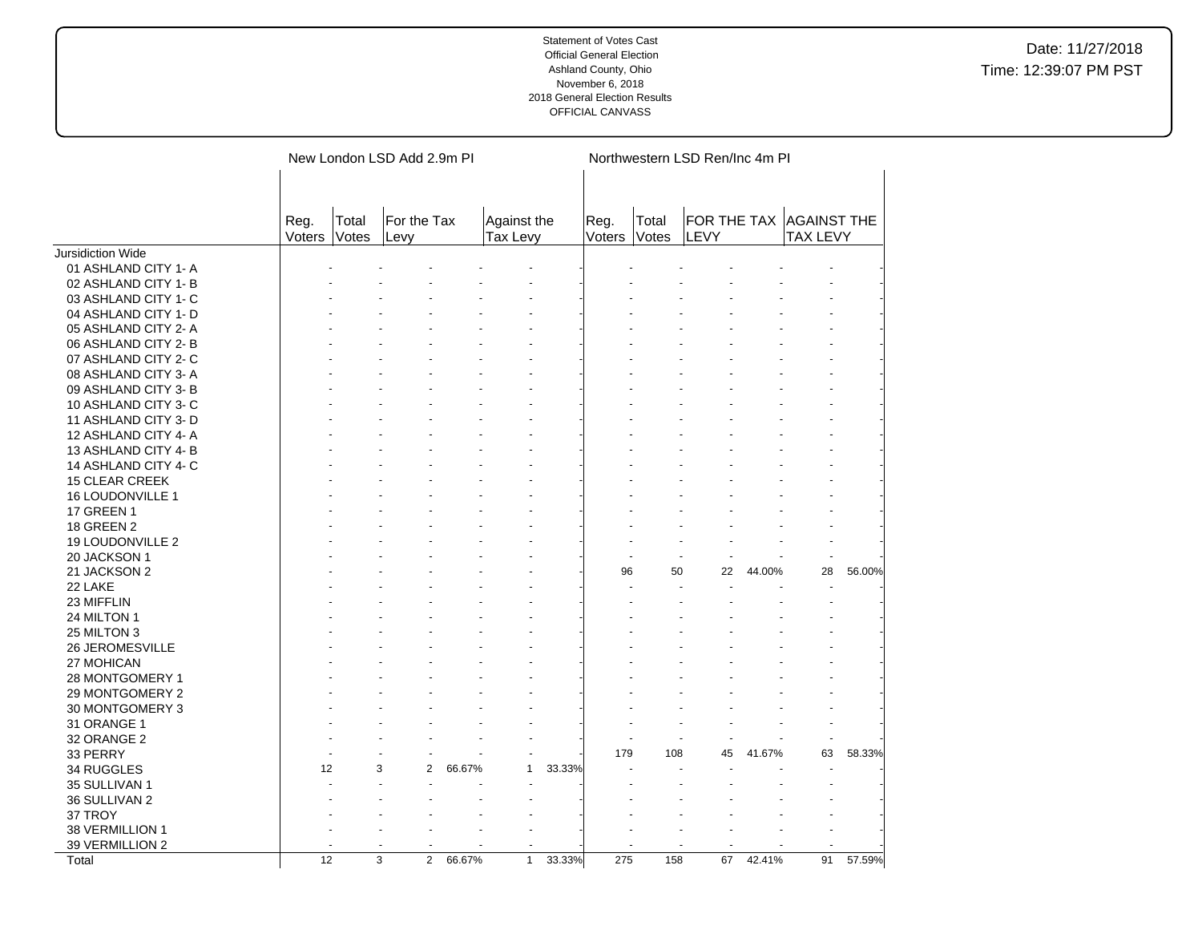|                       |                |                | New London LSD Add 2.9m PI |        |                                |        |                |                | Northwestern LSD Ren/Inc 4m PI |        |                                            |        |
|-----------------------|----------------|----------------|----------------------------|--------|--------------------------------|--------|----------------|----------------|--------------------------------|--------|--------------------------------------------|--------|
|                       | Reg.<br>Voters | Total<br>Votes | For the Tax<br>Levy        |        | Against the<br><b>Tax Levy</b> |        | Reg.<br>Voters | Total<br>Votes | LEVY                           |        | FOR THE TAX AGAINST THE<br><b>TAX LEVY</b> |        |
| Jursidiction Wide     |                |                |                            |        |                                |        |                |                |                                |        |                                            |        |
| 01 ASHLAND CITY 1-A   |                |                |                            |        |                                |        |                |                |                                |        |                                            |        |
| 02 ASHLAND CITY 1-B   |                |                |                            |        |                                |        |                |                |                                |        |                                            |        |
| 03 ASHLAND CITY 1- C  |                |                |                            |        |                                |        |                |                |                                |        |                                            |        |
| 04 ASHLAND CITY 1- D  |                |                |                            |        |                                |        |                |                |                                |        |                                            |        |
| 05 ASHLAND CITY 2-A   |                |                |                            |        |                                |        |                |                |                                |        |                                            |        |
| 06 ASHLAND CITY 2-B   |                |                |                            |        |                                |        |                |                |                                |        |                                            |        |
| 07 ASHLAND CITY 2- C  |                |                |                            |        |                                |        |                |                |                                |        |                                            |        |
| 08 ASHLAND CITY 3-A   |                |                |                            |        |                                |        |                |                |                                |        |                                            |        |
| 09 ASHLAND CITY 3- B  |                |                |                            |        |                                |        |                |                |                                |        |                                            |        |
| 10 ASHLAND CITY 3-C   |                |                |                            |        |                                |        |                |                |                                |        |                                            |        |
| 11 ASHLAND CITY 3- D  |                |                |                            |        |                                |        |                |                |                                |        |                                            |        |
| 12 ASHLAND CITY 4-A   |                |                |                            |        |                                |        |                |                |                                |        |                                            |        |
| 13 ASHLAND CITY 4-B   |                |                |                            |        |                                |        |                |                |                                |        |                                            |        |
| 14 ASHLAND CITY 4- C  |                |                |                            |        |                                |        |                |                |                                |        |                                            |        |
| <b>15 CLEAR CREEK</b> |                |                |                            |        |                                |        |                |                |                                |        |                                            |        |
| 16 LOUDONVILLE 1      |                |                |                            |        |                                |        |                |                |                                |        |                                            |        |
| <b>17 GREEN 1</b>     |                |                |                            |        |                                |        |                |                |                                |        |                                            |        |
| <b>18 GREEN 2</b>     |                |                |                            |        |                                |        |                |                |                                |        |                                            |        |
| 19 LOUDONVILLE 2      |                |                |                            |        |                                |        |                |                |                                |        |                                            |        |
| 20 JACKSON 1          |                |                |                            |        |                                |        |                |                |                                |        |                                            |        |
| 21 JACKSON 2          |                |                |                            |        |                                |        | 96             | 50             | 22                             | 44.00% | 28                                         | 56.00% |
| 22 LAKE               |                |                |                            |        |                                |        |                |                |                                |        |                                            |        |
| 23 MIFFLIN            |                |                |                            |        |                                |        |                |                |                                |        |                                            |        |
| 24 MILTON 1           |                |                |                            |        |                                |        |                |                |                                |        |                                            |        |
| 25 MILTON 3           |                |                |                            |        |                                |        |                |                |                                |        |                                            |        |
| 26 JEROMESVILLE       |                |                |                            |        |                                |        |                |                |                                |        |                                            |        |
| 27 MOHICAN            |                |                |                            |        |                                |        |                |                |                                |        |                                            |        |
| 28 MONTGOMERY 1       |                |                |                            |        |                                |        |                |                |                                |        |                                            |        |
| 29 MONTGOMERY 2       |                |                |                            |        |                                |        |                |                |                                |        |                                            |        |
| 30 MONTGOMERY 3       |                |                |                            |        |                                |        |                |                |                                |        |                                            |        |
| 31 ORANGE 1           |                |                |                            |        |                                |        |                |                |                                |        |                                            |        |
| 32 ORANGE 2           |                |                |                            |        |                                |        |                |                |                                |        |                                            |        |
| 33 PERRY              |                |                |                            |        |                                |        | 179            | 108            | 45                             | 41.67% | 63                                         | 58.33% |
| 34 RUGGLES            | 12             |                | 3<br>2                     | 66.67% | 1                              | 33.33% |                |                |                                |        |                                            |        |
| 35 SULLIVAN 1         |                |                |                            |        |                                |        |                |                |                                |        |                                            |        |
| 36 SULLIVAN 2         |                |                |                            |        |                                |        |                |                |                                |        |                                            |        |
| 37 TROY               |                |                |                            |        |                                |        |                |                |                                |        |                                            |        |
| 38 VERMILLION 1       |                |                |                            |        |                                |        |                |                |                                |        |                                            |        |
| 39 VERMILLION 2       |                |                |                            |        |                                |        |                |                |                                |        |                                            |        |
| Total                 | 12             |                | $\overline{3}$<br>2        | 66.67% | $\mathbf{1}$                   | 33.33% | 275            | 158            | 67                             | 42.41% | 91                                         | 57.59% |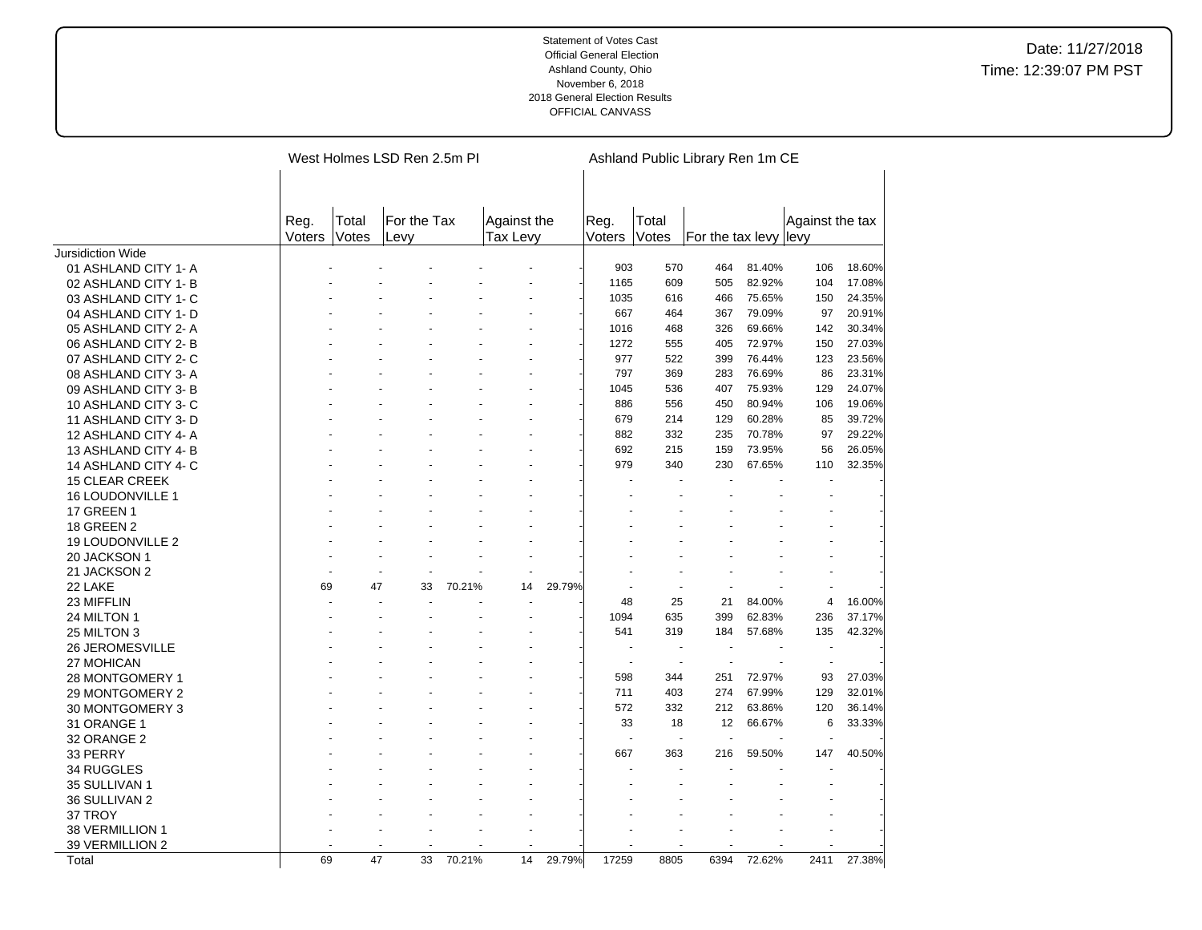|                          |                |                | West Holmes LSD Ren 2.5m PI |        |                         |        |                          |                          | Ashland Public Library Ren 1m CE |        |                          |        |
|--------------------------|----------------|----------------|-----------------------------|--------|-------------------------|--------|--------------------------|--------------------------|----------------------------------|--------|--------------------------|--------|
|                          | Reg.<br>Voters | Total<br>Votes | For the Tax<br>Levy         |        | Against the<br>Tax Levy |        | Reg.<br>Voters           | Total<br>Votes           | For the tax levy levy            |        | Against the tax          |        |
| <b>Jursidiction Wide</b> |                |                |                             |        |                         |        |                          |                          |                                  |        |                          |        |
| 01 ASHLAND CITY 1- A     |                |                |                             |        |                         |        | 903                      | 570                      | 464                              | 81.40% | 106                      | 18.60% |
| 02 ASHLAND CITY 1-B      |                |                |                             |        |                         |        | 1165                     | 609                      | 505                              | 82.92% | 104                      | 17.08% |
| 03 ASHLAND CITY 1- C     |                |                |                             |        |                         |        | 1035                     | 616                      | 466                              | 75.65% | 150                      | 24.35% |
| 04 ASHLAND CITY 1- D     |                |                |                             |        |                         |        | 667                      | 464                      | 367                              | 79.09% | 97                       | 20.91% |
| 05 ASHLAND CITY 2-A      |                |                |                             |        |                         |        | 1016                     | 468                      | 326                              | 69.66% | 142                      | 30.34% |
| 06 ASHLAND CITY 2- B     |                |                |                             |        |                         |        | 1272                     | 555                      | 405                              | 72.97% | 150                      | 27.03% |
| 07 ASHLAND CITY 2-C      |                |                |                             |        |                         |        | 977                      | 522                      | 399                              | 76.44% | 123                      | 23.56% |
| 08 ASHLAND CITY 3-A      |                |                |                             |        |                         |        | 797                      | 369                      | 283                              | 76.69% | 86                       | 23.31% |
| 09 ASHLAND CITY 3-B      |                |                |                             |        |                         |        | 1045                     | 536                      | 407                              | 75.93% | 129                      | 24.07% |
| 10 ASHLAND CITY 3-C      |                |                |                             |        |                         |        | 886                      | 556                      | 450                              | 80.94% | 106                      | 19.06% |
| 11 ASHLAND CITY 3- D     |                |                |                             |        |                         |        | 679                      | 214                      | 129                              | 60.28% | 85                       | 39.72% |
| 12 ASHLAND CITY 4-A      |                |                |                             |        |                         |        | 882                      | 332                      | 235                              | 70.78% | 97                       | 29.22% |
| 13 ASHLAND CITY 4-B      |                |                |                             |        |                         |        | 692                      | 215                      | 159                              | 73.95% | 56                       | 26.05% |
| 14 ASHLAND CITY 4- C     |                |                |                             |        |                         |        | 979                      | 340                      | 230                              | 67.65% | 110                      | 32.35% |
| <b>15 CLEAR CREEK</b>    |                |                |                             |        |                         |        |                          |                          |                                  |        |                          |        |
| <b>16 LOUDONVILLE 1</b>  |                |                |                             |        |                         |        |                          |                          |                                  |        |                          |        |
| <b>17 GREEN 1</b>        |                |                |                             |        |                         |        |                          |                          |                                  |        |                          |        |
| <b>18 GREEN 2</b>        |                |                |                             |        |                         |        |                          |                          |                                  |        |                          |        |
| 19 LOUDONVILLE 2         |                |                |                             |        |                         |        |                          |                          |                                  |        |                          |        |
| 20 JACKSON 1             |                |                |                             |        |                         |        |                          |                          |                                  |        |                          |        |
| 21 JACKSON 2             |                |                |                             |        |                         |        |                          |                          |                                  |        |                          |        |
| 22 LAKE                  | 69             | 47             | 33                          | 70.21% | 14                      | 29.79% |                          |                          |                                  |        |                          |        |
| 23 MIFFLIN               |                |                |                             |        |                         |        | 48                       | 25                       | 21                               | 84.00% | 4                        | 16.00% |
| 24 MILTON 1              |                |                |                             |        |                         |        | 1094                     | 635                      | 399                              | 62.83% | 236                      | 37.17% |
| 25 MILTON 3              |                |                |                             |        |                         |        | 541                      | 319                      | 184                              | 57.68% | 135                      | 42.32% |
| <b>26 JEROMESVILLE</b>   |                |                |                             |        |                         |        |                          |                          |                                  |        |                          |        |
| 27 MOHICAN               |                |                |                             |        |                         |        | $\overline{\phantom{a}}$ | $\overline{\phantom{a}}$ | $\overline{\phantom{a}}$         |        | $\overline{\phantom{a}}$ |        |
| 28 MONTGOMERY 1          |                |                |                             |        |                         |        | 598                      | 344                      | 251                              | 72.97% | 93                       | 27.03% |
| 29 MONTGOMERY 2          |                |                |                             |        |                         |        | 711                      | 403                      | 274                              | 67.99% | 129                      | 32.01% |
| 30 MONTGOMERY 3          |                |                |                             |        |                         |        | 572                      | 332                      | 212                              | 63.86% | 120                      | 36.14% |
| 31 ORANGE 1              |                |                |                             |        |                         |        | 33                       | 18                       | 12                               | 66.67% | 6                        | 33.33% |
| 32 ORANGE 2              |                |                |                             |        |                         |        |                          |                          |                                  |        |                          |        |
| 33 PERRY                 |                |                |                             |        |                         |        | 667                      | 363                      | 216                              | 59.50% | 147                      | 40.50% |
| 34 RUGGLES               |                |                |                             |        |                         |        |                          |                          |                                  |        |                          |        |
| 35 SULLIVAN 1            |                |                |                             |        |                         |        |                          |                          |                                  |        |                          |        |
| 36 SULLIVAN 2            |                |                |                             |        |                         |        |                          |                          |                                  |        |                          |        |
| 37 TROY                  |                |                |                             |        |                         |        |                          |                          |                                  |        |                          |        |
| 38 VERMILLION 1          |                |                |                             |        |                         |        |                          |                          |                                  |        |                          |        |
| 39 VERMILLION 2          |                |                |                             |        |                         |        |                          |                          |                                  |        |                          |        |
| Total                    | 69             | 47             | 33                          | 70.21% | 14                      | 29.79% | 17259                    | 8805                     | 6394                             | 72.62% | 2411                     | 27.38% |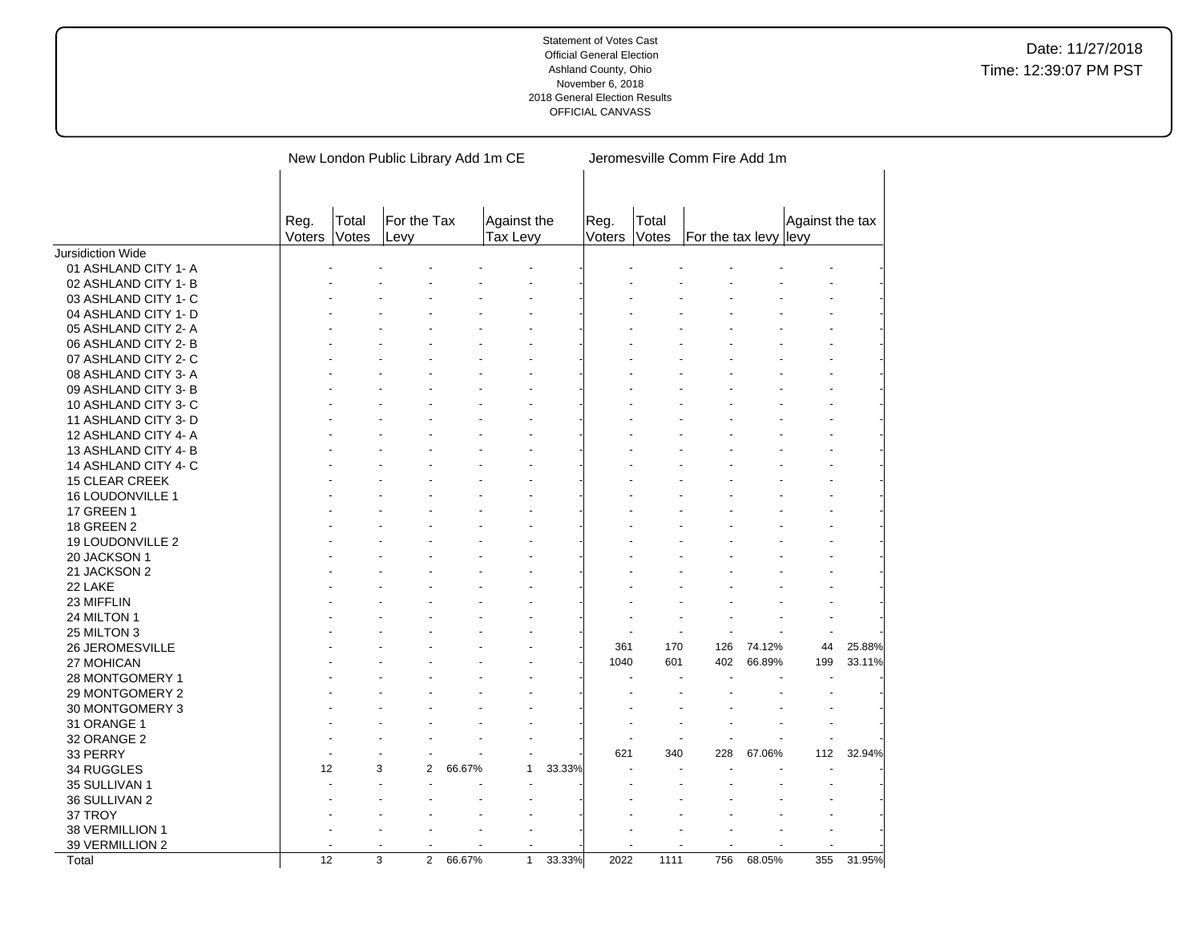|                          |                |                | New London Public Library Add 1m CE |        |                         |        |                |                | Jeromesville Comm Fire Add 1m |        |                 |        |
|--------------------------|----------------|----------------|-------------------------------------|--------|-------------------------|--------|----------------|----------------|-------------------------------|--------|-----------------|--------|
|                          | Reg.<br>Voters | Total<br>Votes | For the Tax<br>Levy                 |        | Against the<br>Tax Levy |        | Reg.<br>Voters | Total<br>Votes | For the tax levy levy         |        | Against the tax |        |
| <b>Jursidiction Wide</b> |                |                |                                     |        |                         |        |                |                |                               |        |                 |        |
| 01 ASHLAND CITY 1- A     |                |                |                                     |        |                         |        |                |                |                               |        |                 |        |
| 02 ASHLAND CITY 1- B     |                |                |                                     |        |                         |        |                |                |                               |        |                 |        |
| 03 ASHLAND CITY 1- C     |                |                |                                     |        |                         |        |                |                |                               |        |                 |        |
| 04 ASHLAND CITY 1- D     |                |                |                                     |        |                         |        |                |                |                               |        |                 |        |
| 05 ASHLAND CITY 2- A     |                |                |                                     |        |                         |        |                |                |                               |        |                 |        |
| 06 ASHLAND CITY 2-B      |                |                |                                     |        |                         |        |                |                |                               |        |                 |        |
| 07 ASHLAND CITY 2- C     |                |                |                                     |        |                         |        |                |                |                               |        |                 |        |
| 08 ASHLAND CITY 3-A      |                |                |                                     |        |                         |        |                |                |                               |        |                 |        |
| 09 ASHLAND CITY 3-B      |                |                |                                     |        |                         |        |                |                |                               |        |                 |        |
| 10 ASHLAND CITY 3-C      |                |                |                                     |        |                         |        |                |                |                               |        |                 |        |
| 11 ASHLAND CITY 3- D     |                |                |                                     |        |                         |        |                |                |                               |        |                 |        |
| 12 ASHLAND CITY 4-A      |                |                |                                     |        |                         |        |                |                |                               |        |                 |        |
| 13 ASHLAND CITY 4-B      |                |                |                                     |        |                         |        |                |                |                               |        |                 |        |
| 14 ASHLAND CITY 4- C     |                |                |                                     |        |                         |        |                |                |                               |        |                 |        |
| <b>15 CLEAR CREEK</b>    |                |                |                                     |        |                         |        |                |                |                               |        |                 |        |
| 16 LOUDONVILLE 1         |                |                |                                     |        |                         |        |                |                |                               |        |                 |        |
| <b>17 GREEN 1</b>        |                |                |                                     |        |                         |        |                |                |                               |        |                 |        |
| <b>18 GREEN 2</b>        |                |                |                                     |        |                         |        |                |                |                               |        |                 |        |
| 19 LOUDONVILLE 2         |                |                |                                     |        |                         |        |                |                |                               |        |                 |        |
| 20 JACKSON 1             |                |                |                                     |        |                         |        |                |                |                               |        |                 |        |
| 21 JACKSON 2             |                |                |                                     |        |                         |        |                |                |                               |        |                 |        |
| 22 LAKE                  |                |                |                                     |        |                         |        |                |                |                               |        |                 |        |
| 23 MIFFLIN               |                |                |                                     |        |                         |        |                |                |                               |        |                 |        |
| 24 MILTON 1              |                |                |                                     |        |                         |        |                |                |                               |        |                 |        |
| 25 MILTON 3              |                |                |                                     |        |                         |        |                |                |                               |        |                 |        |
| 26 JEROMESVILLE          |                |                |                                     |        |                         |        | 361            | 170            | 126                           | 74.12% | 44              | 25.88% |
| 27 MOHICAN               |                |                |                                     |        |                         |        | 1040           | 601            | 402                           | 66.89% | 199             | 33.11% |
| 28 MONTGOMERY 1          |                |                |                                     |        |                         |        |                |                |                               |        |                 |        |
| 29 MONTGOMERY 2          |                |                |                                     |        |                         |        |                |                |                               |        |                 |        |
| 30 MONTGOMERY 3          |                |                |                                     |        |                         |        |                |                |                               |        |                 |        |
| 31 ORANGE 1              |                |                |                                     |        |                         |        |                |                |                               |        |                 |        |
| 32 ORANGE 2              |                |                |                                     |        |                         |        |                |                |                               |        |                 |        |
| 33 PERRY                 |                |                |                                     |        |                         |        | 621            | 340            | 228                           | 67.06% | 112             | 32.94% |
| 34 RUGGLES               | 12             |                | 3<br>$\overline{2}$                 | 66.67% | 1                       | 33.33% |                |                |                               |        |                 |        |
| 35 SULLIVAN 1            |                |                |                                     |        |                         |        |                |                |                               |        |                 |        |
| 36 SULLIVAN 2            |                |                |                                     |        |                         |        |                |                |                               |        |                 |        |
| 37 TROY                  |                |                |                                     |        |                         |        |                |                |                               |        |                 |        |
| 38 VERMILLION 1          |                |                |                                     |        |                         |        |                |                |                               |        |                 |        |
| 39 VERMILLION 2          |                |                |                                     |        |                         |        |                |                |                               |        |                 |        |
| Total                    | 12             |                | $\overline{3}$<br>$\overline{2}$    | 66.67% | $\mathbf{1}$            | 33.33% | 2022           | 1111           | 756                           | 68.05% | 355             | 31.95% |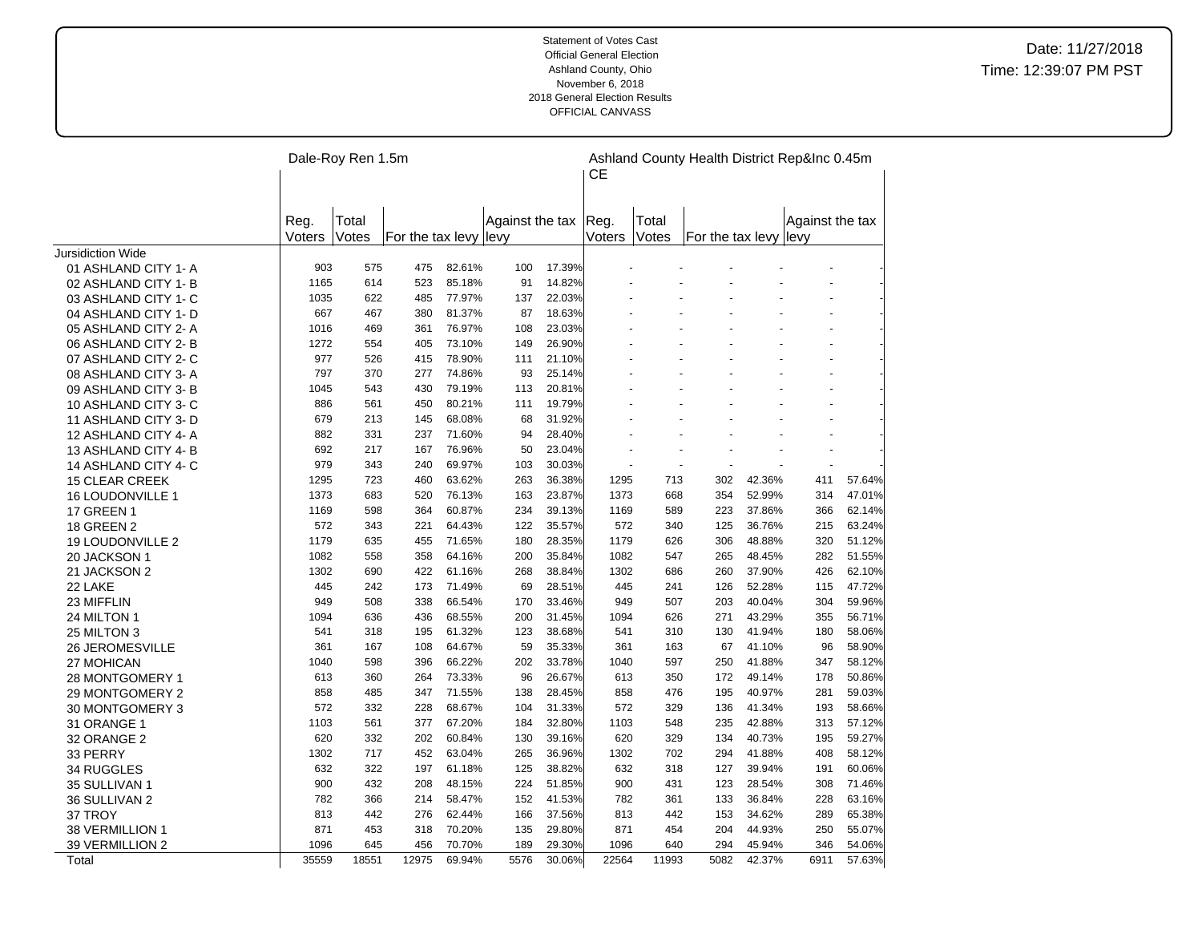|                          |        | Dale-Roy Ren 1.5m |                       |        |                 |        | CЕ     |       | Ashland County Health District Rep&Inc 0.45m |        |                 |        |
|--------------------------|--------|-------------------|-----------------------|--------|-----------------|--------|--------|-------|----------------------------------------------|--------|-----------------|--------|
|                          | Reg.   | Total             |                       |        | Against the tax |        | Reg.   | Total |                                              |        | Against the tax |        |
|                          | Voters | Votes             | For the tax levy levy |        |                 |        | Voters | Votes | For the tax levy levy                        |        |                 |        |
| <b>Jursidiction Wide</b> |        |                   |                       |        |                 |        |        |       |                                              |        |                 |        |
| 01 ASHLAND CITY 1- A     | 903    | 575               | 475                   | 82.61% | 100             | 17.39% |        |       |                                              |        |                 |        |
| 02 ASHLAND CITY 1- B     | 1165   | 614               | 523                   | 85.18% | 91              | 14.82% |        |       |                                              |        |                 |        |
| 03 ASHLAND CITY 1- C     | 1035   | 622               | 485                   | 77.97% | 137             | 22.03% |        |       |                                              |        |                 |        |
| 04 ASHLAND CITY 1- D     | 667    | 467               | 380                   | 81.37% | 87              | 18.63% |        |       |                                              |        |                 |        |
| 05 ASHLAND CITY 2- A     | 1016   | 469               | 361                   | 76.97% | 108             | 23.03% |        |       |                                              |        |                 |        |
| 06 ASHLAND CITY 2-B      | 1272   | 554               | 405                   | 73.10% | 149             | 26.90% |        |       |                                              |        |                 |        |
| 07 ASHLAND CITY 2- C     | 977    | 526               | 415                   | 78.90% | 111             | 21.10% |        |       |                                              |        |                 |        |
| 08 ASHLAND CITY 3-A      | 797    | 370               | 277                   | 74.86% | 93              | 25.14% |        |       |                                              |        |                 |        |
| 09 ASHLAND CITY 3- B     | 1045   | 543               | 430                   | 79.19% | 113             | 20.81% |        |       |                                              |        |                 |        |
| 10 ASHLAND CITY 3-C      | 886    | 561               | 450                   | 80.21% | 111             | 19.79% |        |       |                                              |        |                 |        |
| 11 ASHLAND CITY 3-D      | 679    | 213               | 145                   | 68.08% | 68              | 31.92% |        |       |                                              |        |                 |        |
| 12 ASHLAND CITY 4-A      | 882    | 331               | 237                   | 71.60% | 94              | 28.40% |        |       |                                              |        |                 |        |
| 13 ASHLAND CITY 4-B      | 692    | 217               | 167                   | 76.96% | 50              | 23.04% |        |       |                                              |        |                 |        |
| 14 ASHLAND CITY 4- C     | 979    | 343               | 240                   | 69.97% | 103             | 30.03% |        |       |                                              |        |                 |        |
| <b>15 CLEAR CREEK</b>    | 1295   | 723               | 460                   | 63.62% | 263             | 36.38% | 1295   | 713   | 302                                          | 42.36% | 411             | 57.64% |
| <b>16 LOUDONVILLE 1</b>  | 1373   | 683               | 520                   | 76.13% | 163             | 23.87% | 1373   | 668   | 354                                          | 52.99% | 314             | 47.01% |
| <b>17 GREEN 1</b>        | 1169   | 598               | 364                   | 60.87% | 234             | 39.13% | 1169   | 589   | 223                                          | 37.86% | 366             | 62.14% |
| <b>18 GREEN 2</b>        | 572    | 343               | 221                   | 64.43% | 122             | 35.57% | 572    | 340   | 125                                          | 36.76% | 215             | 63.24% |
| 19 LOUDONVILLE 2         | 1179   | 635               | 455                   | 71.65% | 180             | 28.35% | 1179   | 626   | 306                                          | 48.88% | 320             | 51.12% |
| 20 JACKSON 1             | 1082   | 558               | 358                   | 64.16% | 200             | 35.84% | 1082   | 547   | 265                                          | 48.45% | 282             | 51.55% |
| 21 JACKSON 2             | 1302   | 690               | 422                   | 61.16% | 268             | 38.84% | 1302   | 686   | 260                                          | 37.90% | 426             | 62.10% |
| 22 LAKE                  | 445    | 242               | 173                   | 71.49% | 69              | 28.51% | 445    | 241   | 126                                          | 52.28% | 115             | 47.72% |
| 23 MIFFLIN               | 949    | 508               | 338                   | 66.54% | 170             | 33.46% | 949    | 507   | 203                                          | 40.04% | 304             | 59.96% |
| 24 MILTON 1              | 1094   | 636               | 436                   | 68.55% | 200             | 31.45% | 1094   | 626   | 271                                          | 43.29% | 355             | 56.71% |
| 25 MILTON 3              | 541    | 318               | 195                   | 61.32% | 123             | 38.68% | 541    | 310   | 130                                          | 41.94% | 180             | 58.06% |
| 26 JEROMESVILLE          | 361    | 167               | 108                   | 64.67% | 59              | 35.33% | 361    | 163   | 67                                           | 41.10% | 96              | 58.90% |
| 27 MOHICAN               | 1040   | 598               | 396                   | 66.22% | 202             | 33.78% | 1040   | 597   | 250                                          | 41.88% | 347             | 58.12% |
| 28 MONTGOMERY 1          | 613    | 360               | 264                   | 73.33% | 96              | 26.67% | 613    | 350   | 172                                          | 49.14% | 178             | 50.86% |
| 29 MONTGOMERY 2          | 858    | 485               | 347                   | 71.55% | 138             | 28.45% | 858    | 476   | 195                                          | 40.97% | 281             | 59.03% |
| 30 MONTGOMERY 3          | 572    | 332               | 228                   | 68.67% | 104             | 31.33% | 572    | 329   | 136                                          | 41.34% | 193             | 58.66% |
| 31 ORANGE 1              | 1103   | 561               | 377                   | 67.20% | 184             | 32.80% | 1103   | 548   | 235                                          | 42.88% | 313             | 57.12% |
| 32 ORANGE 2              | 620    | 332               | 202                   | 60.84% | 130             | 39.16% | 620    | 329   | 134                                          | 40.73% | 195             | 59.27% |
| 33 PERRY                 | 1302   | 717               | 452                   | 63.04% | 265             | 36.96% | 1302   | 702   | 294                                          | 41.88% | 408             | 58.12% |
| 34 RUGGLES               | 632    | 322               | 197                   | 61.18% | 125             | 38.82% | 632    | 318   | 127                                          | 39.94% | 191             | 60.06% |
| 35 SULLIVAN 1            | 900    | 432               | 208                   | 48.15% | 224             | 51.85% | 900    | 431   | 123                                          | 28.54% | 308             | 71.46% |
| 36 SULLIVAN 2            | 782    | 366               | 214                   | 58.47% | 152             | 41.53% | 782    | 361   | 133                                          | 36.84% | 228             | 63.16% |
| 37 TROY                  | 813    | 442               | 276                   | 62.44% | 166             | 37.56% | 813    | 442   | 153                                          | 34.62% | 289             | 65.38% |
| 38 VERMILLION 1          | 871    | 453               | 318                   | 70.20% | 135             | 29.80% | 871    | 454   | 204                                          | 44.93% | 250             | 55.07% |
| 39 VERMILLION 2          | 1096   | 645               | 456                   | 70.70% | 189             | 29.30% | 1096   | 640   | 294                                          | 45.94% | 346             | 54.06% |
| Total                    | 35559  | 18551             | 12975                 | 69.94% | 5576            | 30.06% | 22564  | 11993 | 5082                                         | 42.37% | 6911            | 57.63% |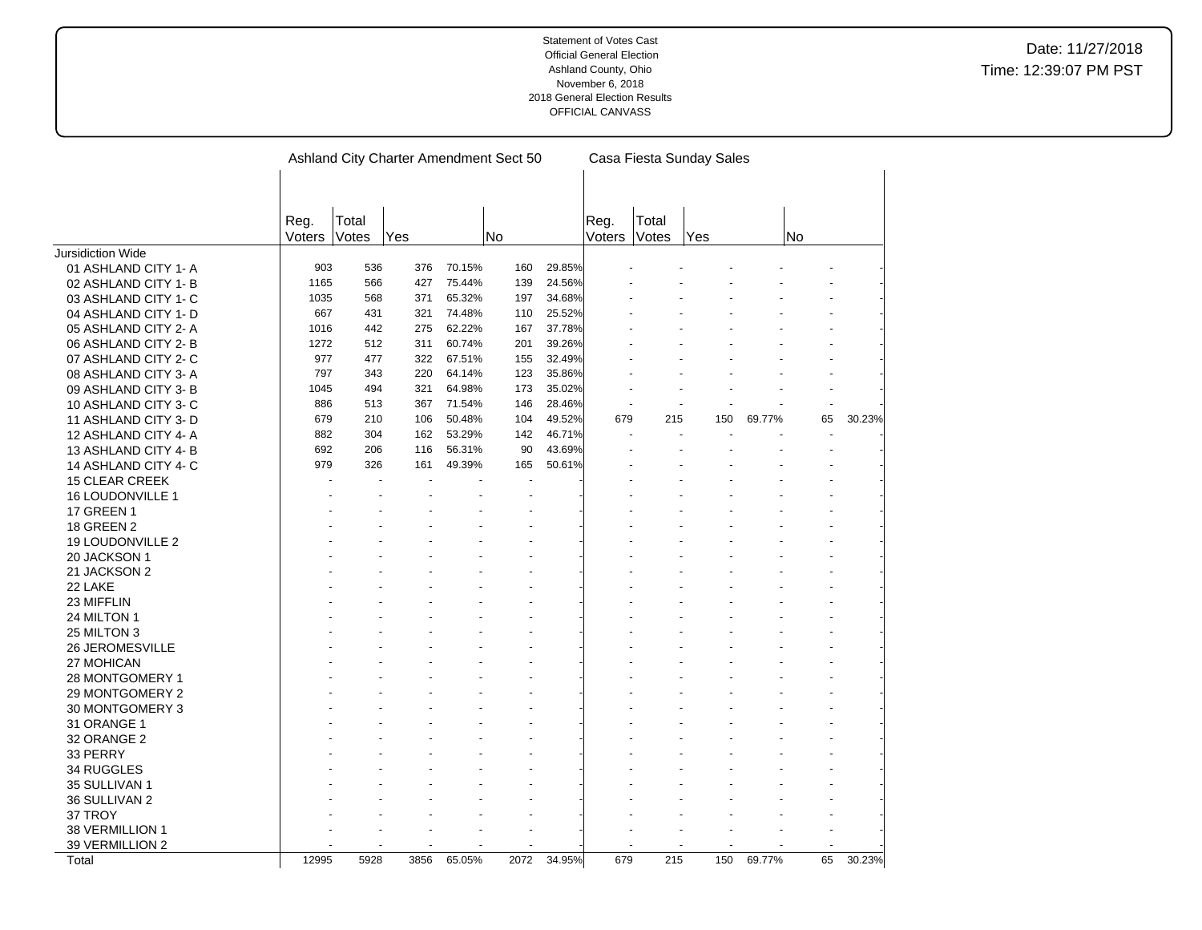|                       | Ashland City Charter Amendment Sect 50 |                |      |        |      |        |                |                | Casa Fiesta Sunday Sales |        |    |        |
|-----------------------|----------------------------------------|----------------|------|--------|------|--------|----------------|----------------|--------------------------|--------|----|--------|
|                       |                                        |                |      |        |      |        |                |                |                          |        |    |        |
|                       |                                        |                |      |        |      |        |                |                |                          |        |    |        |
|                       | Reg.<br>Voters                         | Total<br>Votes | Yes  | No     |      |        | Reg.<br>Voters | Total<br>Votes | Yes                      |        | No |        |
| Jursidiction Wide     |                                        |                |      |        |      |        |                |                |                          |        |    |        |
| 01 ASHLAND CITY 1- A  | 903                                    | 536            | 376  | 70.15% | 160  | 29.85% |                |                |                          |        |    |        |
| 02 ASHLAND CITY 1-B   | 1165                                   | 566            | 427  | 75.44% | 139  | 24.56% |                |                |                          |        |    |        |
| 03 ASHLAND CITY 1- C  | 1035                                   | 568            | 371  | 65.32% | 197  | 34.68% |                |                |                          |        |    |        |
| 04 ASHLAND CITY 1- D  | 667                                    | 431            | 321  | 74.48% | 110  | 25.52% |                |                |                          |        |    |        |
| 05 ASHLAND CITY 2-A   | 1016                                   | 442            | 275  | 62.22% | 167  | 37.78% |                |                |                          |        |    |        |
| 06 ASHLAND CITY 2- B  | 1272                                   | 512            | 311  | 60.74% | 201  | 39.26% |                |                |                          |        |    |        |
|                       | 977                                    | 477            | 322  | 67.51% | 155  | 32.49% |                |                |                          |        |    |        |
| 07 ASHLAND CITY 2-C   | 797                                    | 343            | 220  | 64.14% | 123  | 35.86% |                |                |                          |        |    |        |
| 08 ASHLAND CITY 3-A   |                                        |                |      |        |      |        |                |                |                          |        |    |        |
| 09 ASHLAND CITY 3-B   | 1045                                   | 494            | 321  | 64.98% | 173  | 35.02% |                |                |                          |        |    |        |
| 10 ASHLAND CITY 3-C   | 886                                    | 513            | 367  | 71.54% | 146  | 28.46% |                |                |                          |        |    |        |
| 11 ASHLAND CITY 3-D   | 679                                    | 210            | 106  | 50.48% | 104  | 49.52% | 679            | 215            | 150                      | 69.77% | 65 | 30.23% |
| 12 ASHLAND CITY 4-A   | 882                                    | 304            | 162  | 53.29% | 142  | 46.71% |                |                |                          |        |    |        |
| 13 ASHLAND CITY 4-B   | 692                                    | 206            | 116  | 56.31% | 90   | 43.69% |                |                |                          |        |    |        |
| 14 ASHLAND CITY 4-C   | 979                                    | 326            | 161  | 49.39% | 165  | 50.61% |                |                |                          |        |    |        |
| <b>15 CLEAR CREEK</b> |                                        |                |      |        |      |        |                |                |                          |        |    |        |
| 16 LOUDONVILLE 1      |                                        |                |      |        |      |        |                |                |                          |        |    |        |
| <b>17 GREEN 1</b>     |                                        |                |      |        |      |        |                |                |                          |        |    |        |
| <b>18 GREEN 2</b>     |                                        |                |      |        |      |        |                |                |                          |        |    |        |
| 19 LOUDONVILLE 2      |                                        |                |      |        |      |        |                |                |                          |        |    |        |
| 20 JACKSON 1          |                                        |                |      |        |      |        |                |                |                          |        |    |        |
| 21 JACKSON 2          |                                        |                |      |        |      |        |                |                |                          |        |    |        |
| 22 LAKE               |                                        |                |      |        |      |        |                |                |                          |        |    |        |
| 23 MIFFLIN            |                                        |                |      |        |      |        |                |                |                          |        |    |        |
| 24 MILTON 1           |                                        |                |      |        |      |        |                |                |                          |        |    |        |
| 25 MILTON 3           |                                        |                |      |        |      |        |                |                |                          |        |    |        |
| 26 JEROMESVILLE       |                                        |                |      |        |      |        |                |                |                          |        |    |        |
| 27 MOHICAN            |                                        |                |      |        |      |        |                |                |                          |        |    |        |
| 28 MONTGOMERY 1       |                                        |                |      |        |      |        |                |                |                          |        |    |        |
| 29 MONTGOMERY 2       |                                        |                |      |        |      |        |                |                |                          |        |    |        |
| 30 MONTGOMERY 3       |                                        |                |      |        |      |        |                |                |                          |        |    |        |
| 31 ORANGE 1           |                                        |                |      |        |      |        |                |                |                          |        |    |        |
| 32 ORANGE 2           |                                        |                |      |        |      |        |                |                |                          |        |    |        |
|                       |                                        |                |      |        |      |        |                |                |                          |        |    |        |
| 33 PERRY              |                                        |                |      |        |      |        |                |                |                          |        |    |        |
| 34 RUGGLES            |                                        |                |      |        |      |        |                |                |                          |        |    |        |
| 35 SULLIVAN 1         |                                        |                |      |        |      |        |                |                |                          |        |    |        |
| 36 SULLIVAN 2         |                                        |                |      |        |      |        |                |                |                          |        |    |        |
| 37 TROY               |                                        |                |      |        |      |        |                |                |                          |        |    |        |
| 38 VERMILLION 1       |                                        |                |      |        |      |        |                |                |                          |        |    |        |
| 39 VERMILLION 2       |                                        |                |      |        |      |        |                |                |                          |        |    |        |
| Total                 | 12995                                  | 5928           | 3856 | 65.05% | 2072 | 34.95% | 679            | 215            | 150                      | 69.77% | 65 | 30.23% |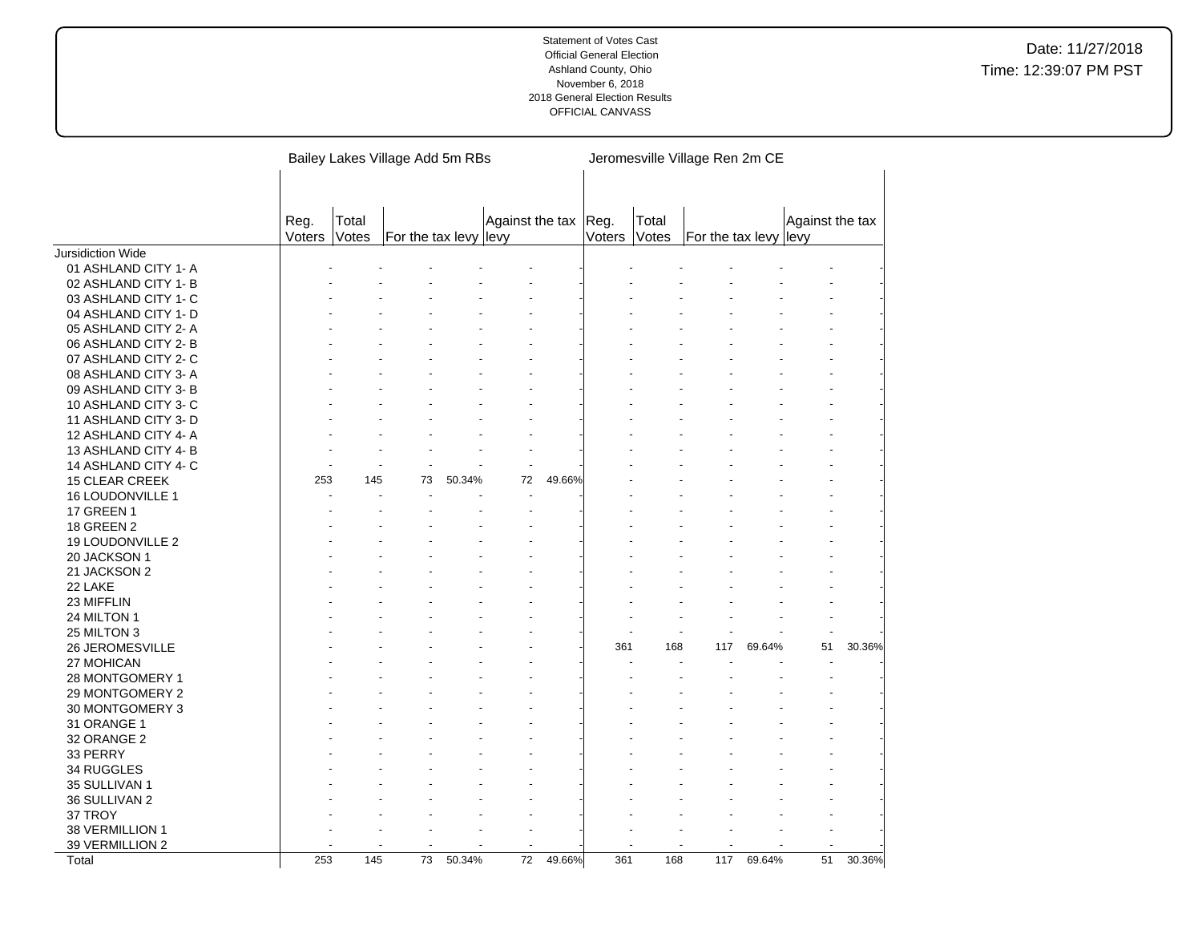|                       |                |                       | Bailey Lakes Village Add 5m RBs |        |                      |        |              |       | Jeromesville Village Ren 2m CE |        |                 |        |
|-----------------------|----------------|-----------------------|---------------------------------|--------|----------------------|--------|--------------|-------|--------------------------------|--------|-----------------|--------|
|                       |                |                       |                                 |        |                      |        |              |       |                                |        |                 |        |
|                       | Reg.<br>Voters | Total<br><b>Votes</b> | For the tax levy levy           |        | Against the tax Reg. |        | Voters Votes | Total | For the tax levy levy          |        | Against the tax |        |
| Jursidiction Wide     |                |                       |                                 |        |                      |        |              |       |                                |        |                 |        |
| 01 ASHLAND CITY 1- A  |                |                       |                                 |        |                      |        |              |       |                                |        |                 |        |
| 02 ASHLAND CITY 1- B  |                |                       |                                 |        |                      |        |              |       |                                |        |                 |        |
| 03 ASHLAND CITY 1- C  |                |                       |                                 |        |                      |        |              |       |                                |        |                 |        |
| 04 ASHLAND CITY 1- D  |                |                       |                                 |        |                      |        |              |       |                                |        |                 |        |
| 05 ASHLAND CITY 2- A  |                |                       |                                 |        |                      |        |              |       |                                |        |                 |        |
| 06 ASHLAND CITY 2-B   |                |                       |                                 |        |                      |        |              |       |                                |        |                 |        |
| 07 ASHLAND CITY 2- C  |                |                       |                                 |        |                      |        |              |       |                                |        |                 |        |
| 08 ASHLAND CITY 3-A   |                |                       |                                 |        |                      |        |              |       |                                |        |                 |        |
| 09 ASHLAND CITY 3-B   |                |                       |                                 |        |                      |        |              |       |                                |        |                 |        |
| 10 ASHLAND CITY 3-C   |                |                       |                                 |        |                      |        |              |       |                                |        |                 |        |
| 11 ASHLAND CITY 3- D  |                |                       |                                 |        |                      |        |              |       |                                |        |                 |        |
| 12 ASHLAND CITY 4-A   |                |                       |                                 |        |                      |        |              |       |                                |        |                 |        |
| 13 ASHLAND CITY 4-B   |                |                       |                                 |        |                      |        |              |       |                                |        |                 |        |
| 14 ASHLAND CITY 4- C  |                |                       |                                 |        |                      |        |              |       |                                |        |                 |        |
| <b>15 CLEAR CREEK</b> | 253            | 145                   | 73                              | 50.34% | 72                   | 49.66% |              |       |                                |        |                 |        |
| 16 LOUDONVILLE 1      |                |                       |                                 |        |                      |        |              |       |                                |        |                 |        |
| 17 GREEN 1            |                |                       |                                 |        |                      |        |              |       |                                |        |                 |        |
| 18 GREEN 2            |                |                       |                                 |        |                      |        |              |       |                                |        |                 |        |
| 19 LOUDONVILLE 2      |                |                       |                                 |        |                      |        |              |       |                                |        |                 |        |
| 20 JACKSON 1          |                |                       |                                 |        |                      |        |              |       |                                |        |                 |        |
| 21 JACKSON 2          |                |                       |                                 |        |                      |        |              |       |                                |        |                 |        |
| 22 LAKE               |                |                       |                                 |        |                      |        |              |       |                                |        |                 |        |
|                       |                |                       |                                 |        |                      |        |              |       |                                |        |                 |        |
| 23 MIFFLIN            |                |                       |                                 |        |                      |        |              |       |                                |        |                 |        |
| 24 MILTON 1           |                |                       |                                 |        |                      |        |              |       |                                |        |                 |        |
| 25 MILTON 3           |                |                       |                                 |        |                      |        | 361          | 168   |                                | 69.64% | 51              | 30.36% |
| 26 JEROMESVILLE       |                |                       |                                 |        |                      |        |              |       | 117                            |        |                 |        |
| 27 MOHICAN            |                |                       |                                 |        |                      |        |              |       |                                |        |                 |        |
| 28 MONTGOMERY 1       |                |                       |                                 |        |                      |        |              |       |                                |        |                 |        |
| 29 MONTGOMERY 2       |                |                       |                                 |        |                      |        |              |       |                                |        |                 |        |
| 30 MONTGOMERY 3       |                |                       |                                 |        |                      |        |              |       |                                |        |                 |        |
| 31 ORANGE 1           |                |                       |                                 |        |                      |        |              |       |                                |        |                 |        |
| 32 ORANGE 2           |                |                       |                                 |        |                      |        |              |       |                                |        |                 |        |
| 33 PERRY              |                |                       |                                 |        |                      |        |              |       |                                |        |                 |        |
| 34 RUGGLES            |                |                       |                                 |        |                      |        |              |       |                                |        |                 |        |
| 35 SULLIVAN 1         |                |                       |                                 |        |                      |        |              |       |                                |        |                 |        |
| 36 SULLIVAN 2         |                |                       |                                 |        |                      |        |              |       |                                |        |                 |        |
| 37 TROY               |                |                       |                                 |        |                      |        |              |       |                                |        |                 |        |
| 38 VERMILLION 1       |                |                       |                                 |        |                      |        |              |       |                                |        |                 |        |
| 39 VERMILLION 2       |                |                       |                                 |        |                      |        |              |       |                                |        |                 |        |
| Total                 | 253            | $\frac{145}{145}$     | 73                              | 50.34% | $\overline{72}$      | 49.66% | 361          | 168   | 117                            | 69.64% | 51              | 30.36% |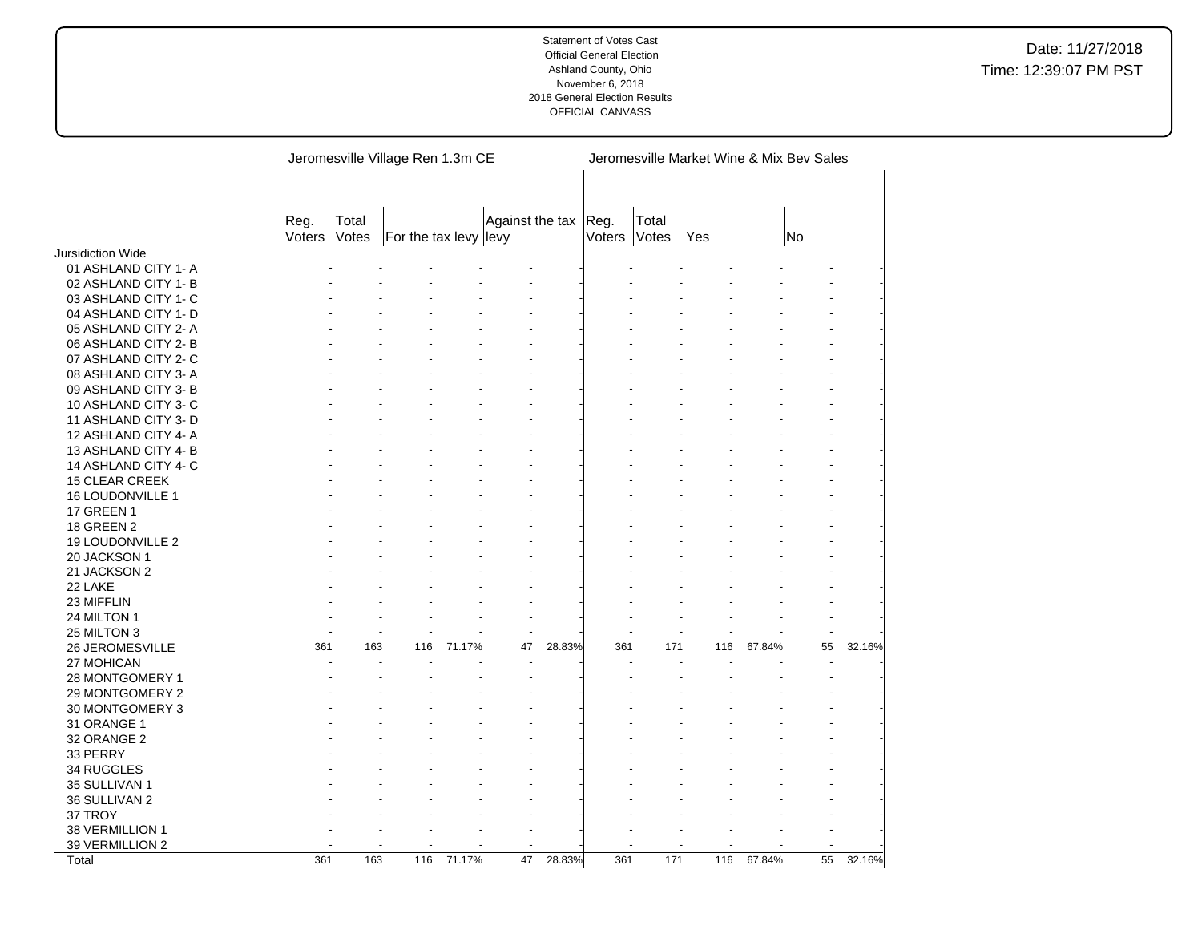|                       |                |                | Jeromesville Village Ren 1.3m CE |        |                 |        |                | Jeromesville Market Wine & Mix Bev Sales |     |        |    |        |
|-----------------------|----------------|----------------|----------------------------------|--------|-----------------|--------|----------------|------------------------------------------|-----|--------|----|--------|
|                       | Reg.<br>Voters | Total<br>Votes | For the tax levy levy            |        | Against the tax |        | Reg.<br>Voters | Total<br>Votes                           | Yes |        | No |        |
| Jursidiction Wide     |                |                |                                  |        |                 |        |                |                                          |     |        |    |        |
| 01 ASHLAND CITY 1- A  |                |                |                                  |        |                 |        |                |                                          |     |        |    |        |
| 02 ASHLAND CITY 1-B   |                |                |                                  |        |                 |        |                |                                          |     |        |    |        |
| 03 ASHLAND CITY 1- C  |                |                |                                  |        |                 |        |                |                                          |     |        |    |        |
| 04 ASHLAND CITY 1- D  |                |                |                                  |        |                 |        |                |                                          |     |        |    |        |
| 05 ASHLAND CITY 2- A  |                |                |                                  |        |                 |        |                |                                          |     |        |    |        |
| 06 ASHLAND CITY 2-B   |                |                |                                  |        |                 |        |                |                                          |     |        |    |        |
| 07 ASHLAND CITY 2-C   |                |                |                                  |        |                 |        |                |                                          |     |        |    |        |
| 08 ASHLAND CITY 3-A   |                |                |                                  |        |                 |        |                |                                          |     |        |    |        |
| 09 ASHLAND CITY 3-B   |                |                |                                  |        |                 |        |                |                                          |     |        |    |        |
| 10 ASHLAND CITY 3-C   |                |                |                                  |        |                 |        |                |                                          |     |        |    |        |
| 11 ASHLAND CITY 3-D   |                |                |                                  |        |                 |        |                |                                          |     |        |    |        |
| 12 ASHLAND CITY 4- A  |                |                |                                  |        |                 |        |                |                                          |     |        |    |        |
| 13 ASHLAND CITY 4-B   |                |                |                                  |        |                 |        |                |                                          |     |        |    |        |
| 14 ASHLAND CITY 4-C   |                |                |                                  |        |                 |        |                |                                          |     |        |    |        |
| <b>15 CLEAR CREEK</b> |                |                |                                  |        |                 |        |                |                                          |     |        |    |        |
| 16 LOUDONVILLE 1      |                |                |                                  |        |                 |        |                |                                          |     |        |    |        |
| <b>17 GREEN 1</b>     |                |                |                                  |        |                 |        |                |                                          |     |        |    |        |
| <b>18 GREEN 2</b>     |                |                |                                  |        |                 |        |                |                                          |     |        |    |        |
| 19 LOUDONVILLE 2      |                |                |                                  |        |                 |        |                |                                          |     |        |    |        |
| 20 JACKSON 1          |                |                |                                  |        |                 |        |                |                                          |     |        |    |        |
| 21 JACKSON 2          |                |                |                                  |        |                 |        |                |                                          |     |        |    |        |
| 22 LAKE               |                |                |                                  |        |                 |        |                |                                          |     |        |    |        |
| 23 MIFFLIN            |                |                |                                  |        |                 |        |                |                                          |     |        |    |        |
| 24 MILTON 1           |                |                |                                  |        |                 |        |                |                                          |     |        |    |        |
| 25 MILTON 3           |                |                |                                  |        |                 |        |                |                                          |     |        |    |        |
| 26 JEROMESVILLE       | 361            | 163            | 116                              | 71.17% | 47              | 28.83% | 361            | 171                                      | 116 | 67.84% | 55 | 32.16% |
| 27 MOHICAN            |                |                |                                  |        |                 |        |                |                                          |     |        |    |        |
| 28 MONTGOMERY 1       |                |                |                                  |        |                 |        |                |                                          |     |        |    |        |
| 29 MONTGOMERY 2       |                |                |                                  |        |                 |        |                |                                          |     |        |    |        |
| 30 MONTGOMERY 3       |                |                |                                  |        |                 |        |                |                                          |     |        |    |        |
| 31 ORANGE 1           |                |                |                                  |        |                 |        |                |                                          |     |        |    |        |
| 32 ORANGE 2           |                |                |                                  |        |                 |        |                |                                          |     |        |    |        |
| 33 PERRY              |                |                |                                  |        |                 |        |                |                                          |     |        |    |        |
| 34 RUGGLES            |                |                |                                  |        |                 |        |                |                                          |     |        |    |        |
| 35 SULLIVAN 1         |                |                |                                  |        |                 |        |                |                                          |     |        |    |        |
| 36 SULLIVAN 2         |                |                |                                  |        |                 |        |                |                                          |     |        |    |        |
| 37 TROY               |                |                |                                  |        |                 |        |                |                                          |     |        |    |        |
| 38 VERMILLION 1       |                |                |                                  |        |                 |        |                |                                          |     |        |    |        |
| 39 VERMILLION 2       |                |                |                                  |        |                 |        |                |                                          |     |        |    |        |
| Total                 | 361            | 163            | 116                              | 71.17% | 47              | 28.83% | 361            | 171                                      | 116 | 67.84% | 55 | 32.16% |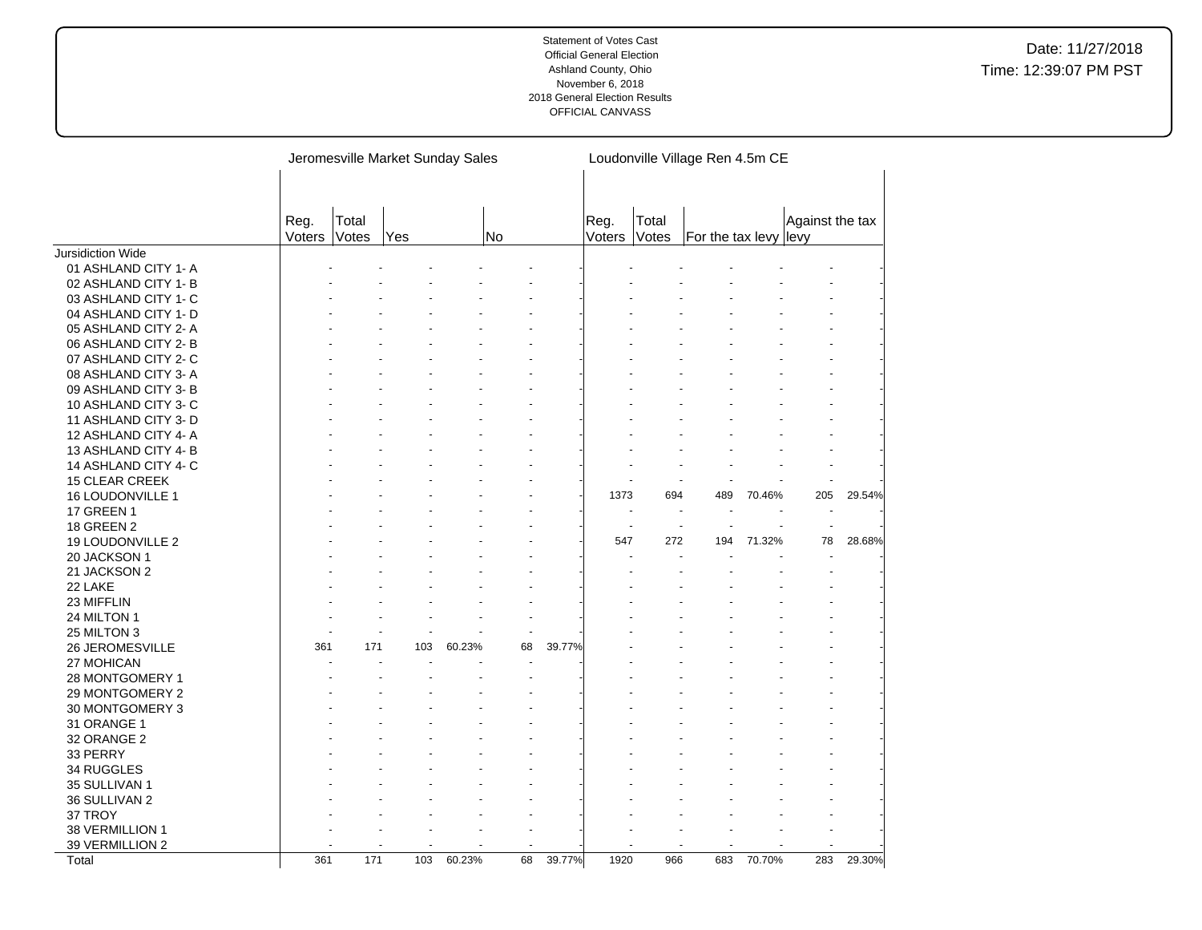|                       |                |                | Jeromesville Market Sunday Sales |        |                |        |                |                | Loudonville Village Ren 4.5m CE |        |                 |        |
|-----------------------|----------------|----------------|----------------------------------|--------|----------------|--------|----------------|----------------|---------------------------------|--------|-----------------|--------|
|                       | Reg.<br>Voters | Total<br>Votes | Yes                              |        | No             |        | Reg.<br>Voters | Total<br>Votes | For the tax levy levy           |        | Against the tax |        |
| Jursidiction Wide     |                |                |                                  |        |                |        |                |                |                                 |        |                 |        |
| 01 ASHLAND CITY 1- A  |                |                |                                  |        |                |        |                |                |                                 |        |                 |        |
| 02 ASHLAND CITY 1-B   |                |                |                                  |        |                |        |                |                |                                 |        |                 |        |
| 03 ASHLAND CITY 1- C  |                |                |                                  |        |                |        |                |                |                                 |        |                 |        |
| 04 ASHLAND CITY 1- D  |                |                |                                  |        |                |        |                |                |                                 |        |                 |        |
| 05 ASHLAND CITY 2-A   |                |                |                                  |        |                |        |                |                |                                 |        |                 |        |
| 06 ASHLAND CITY 2-B   |                |                |                                  |        |                |        |                |                |                                 |        |                 |        |
| 07 ASHLAND CITY 2- C  |                |                |                                  |        |                |        |                |                |                                 |        |                 |        |
| 08 ASHLAND CITY 3-A   |                |                |                                  |        |                |        |                |                |                                 |        |                 |        |
| 09 ASHLAND CITY 3-B   |                |                |                                  |        |                |        |                |                |                                 |        |                 |        |
| 10 ASHLAND CITY 3-C   |                |                |                                  |        |                |        |                |                |                                 |        |                 |        |
| 11 ASHLAND CITY 3- D  |                |                |                                  |        |                |        |                |                |                                 |        |                 |        |
| 12 ASHLAND CITY 4-A   |                |                |                                  |        |                |        |                |                |                                 |        |                 |        |
| 13 ASHLAND CITY 4-B   |                |                |                                  |        |                |        |                |                |                                 |        |                 |        |
| 14 ASHLAND CITY 4-C   |                |                |                                  |        |                |        |                |                |                                 |        |                 |        |
| <b>15 CLEAR CREEK</b> |                |                |                                  |        |                |        |                |                |                                 |        |                 |        |
| 16 LOUDONVILLE 1      |                |                |                                  |        |                |        | 1373           | 694            | 489                             | 70.46% | 205             | 29.54% |
| <b>17 GREEN 1</b>     |                |                |                                  |        |                |        |                |                |                                 |        |                 |        |
| <b>18 GREEN 2</b>     |                |                |                                  |        |                |        | $\overline{a}$ |                |                                 |        | ÷.              |        |
| 19 LOUDONVILLE 2      |                |                |                                  |        |                |        | 547            | 272            | 194                             | 71.32% | 78              | 28.68% |
| 20 JACKSON 1          |                |                |                                  |        |                |        |                |                |                                 |        |                 |        |
| 21 JACKSON 2          |                |                |                                  |        |                |        |                |                |                                 |        |                 |        |
| 22 LAKE               |                |                |                                  |        |                |        |                |                |                                 |        |                 |        |
| 23 MIFFLIN            |                |                |                                  |        |                |        |                |                |                                 |        |                 |        |
| 24 MILTON 1           |                |                |                                  |        |                |        |                |                |                                 |        |                 |        |
| 25 MILTON 3           |                |                |                                  |        | $\overline{a}$ |        |                |                |                                 |        |                 |        |
| 26 JEROMESVILLE       | 361            | 171            | 103                              | 60.23% | 68             | 39.77% |                |                |                                 |        |                 |        |
| 27 MOHICAN            |                |                |                                  |        |                |        |                |                |                                 |        |                 |        |
| 28 MONTGOMERY 1       |                |                |                                  |        |                |        |                |                |                                 |        |                 |        |
| 29 MONTGOMERY 2       |                |                |                                  |        |                |        |                |                |                                 |        |                 |        |
| 30 MONTGOMERY 3       |                |                |                                  |        |                |        |                |                |                                 |        |                 |        |
| 31 ORANGE 1           |                |                |                                  |        |                |        |                |                |                                 |        |                 |        |
| 32 ORANGE 2           |                |                |                                  |        |                |        |                |                |                                 |        |                 |        |
| 33 PERRY              |                |                |                                  |        |                |        |                |                |                                 |        |                 |        |
| 34 RUGGLES            |                |                |                                  |        |                |        |                |                |                                 |        |                 |        |
| 35 SULLIVAN 1         |                |                |                                  |        |                |        |                |                |                                 |        |                 |        |
| 36 SULLIVAN 2         |                |                |                                  |        |                |        |                |                |                                 |        |                 |        |
| 37 TROY               |                |                |                                  |        |                |        |                |                |                                 |        |                 |        |
| 38 VERMILLION 1       |                |                |                                  |        |                |        |                |                |                                 |        |                 |        |
| 39 VERMILLION 2       |                |                |                                  |        |                |        |                |                |                                 |        |                 |        |
| Total                 | 361            | 171            | 103                              | 60.23% | 68             | 39.77% | 1920           | 966            | 683                             | 70.70% | 283             | 29.30% |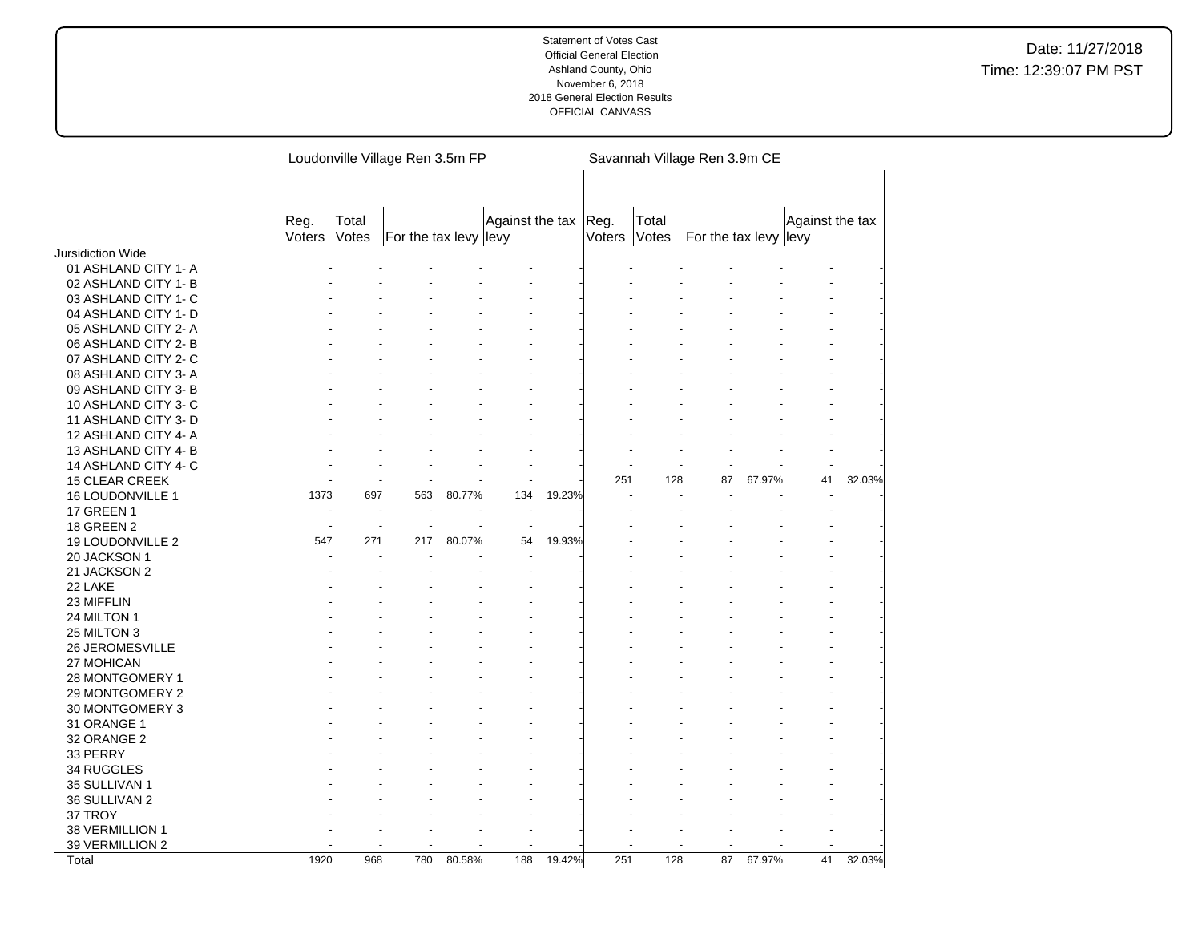|                               |        |       | Loudonville Village Ren 3.5m FP |        |                 |        |        |       | Savannah Village Ren 3.9m CE |        |                 |        |
|-------------------------------|--------|-------|---------------------------------|--------|-----------------|--------|--------|-------|------------------------------|--------|-----------------|--------|
|                               |        |       |                                 |        |                 |        |        |       |                              |        |                 |        |
|                               |        |       |                                 |        |                 |        |        |       |                              |        |                 |        |
|                               | Reg.   | Total |                                 |        | Against the tax |        | Reg.   | Total |                              |        | Against the tax |        |
|                               | Voters | Votes | For the tax levy levy           |        |                 |        | Voters | Votes | For the tax levy levy        |        |                 |        |
| Jursidiction Wide             |        |       |                                 |        |                 |        |        |       |                              |        |                 |        |
| 01 ASHLAND CITY 1-A           |        |       |                                 |        |                 |        |        |       |                              |        |                 |        |
| 02 ASHLAND CITY 1-B           |        |       |                                 |        |                 |        |        |       |                              |        |                 |        |
| 03 ASHLAND CITY 1- C          |        |       |                                 |        |                 |        |        |       |                              |        |                 |        |
| 04 ASHLAND CITY 1- D          |        |       |                                 |        |                 |        |        |       |                              |        |                 |        |
| 05 ASHLAND CITY 2-A           |        |       |                                 |        |                 |        |        |       |                              |        |                 |        |
| 06 ASHLAND CITY 2-B           |        |       |                                 |        |                 |        |        |       |                              |        |                 |        |
| 07 ASHLAND CITY 2- C          |        |       |                                 |        |                 |        |        |       |                              |        |                 |        |
| 08 ASHLAND CITY 3- A          |        |       |                                 |        |                 |        |        |       |                              |        |                 |        |
| 09 ASHLAND CITY 3-B           |        |       |                                 |        |                 |        |        |       |                              |        |                 |        |
| 10 ASHLAND CITY 3-C           |        |       |                                 |        |                 |        |        |       |                              |        |                 |        |
| 11 ASHLAND CITY 3-D           |        |       |                                 |        |                 |        |        |       |                              |        |                 |        |
| 12 ASHLAND CITY 4-A           |        |       |                                 |        |                 |        |        |       |                              |        |                 |        |
| 13 ASHLAND CITY 4-B           |        |       |                                 |        |                 |        |        |       |                              |        |                 |        |
| 14 ASHLAND CITY 4-C           |        |       |                                 |        |                 |        |        |       |                              |        |                 |        |
| <b>15 CLEAR CREEK</b>         |        |       |                                 |        |                 |        | 251    | 128   | 87                           | 67.97% | 41              | 32.03% |
| 16 LOUDONVILLE 1              | 1373   | 697   | 563                             | 80.77% | 134             | 19.23% |        |       |                              |        |                 |        |
| <b>17 GREEN 1</b>             |        | ÷.    |                                 |        |                 |        |        |       |                              |        |                 |        |
| <b>18 GREEN 2</b>             |        |       |                                 |        |                 |        |        |       |                              |        |                 |        |
| 19 LOUDONVILLE 2              | 547    | 271   | 217                             | 80.07% | 54              | 19.93% |        |       |                              |        |                 |        |
| 20 JACKSON 1                  |        |       |                                 |        |                 |        |        |       |                              |        |                 |        |
| 21 JACKSON 2                  |        |       |                                 |        |                 |        |        |       |                              |        |                 |        |
| 22 LAKE                       |        |       |                                 |        |                 |        |        |       |                              |        |                 |        |
| 23 MIFFLIN                    |        |       |                                 |        |                 |        |        |       |                              |        |                 |        |
| 24 MILTON 1                   |        |       |                                 |        |                 |        |        |       |                              |        |                 |        |
| 25 MILTON 3                   |        |       |                                 |        |                 |        |        |       |                              |        |                 |        |
| 26 JEROMESVILLE<br>27 MOHICAN |        |       |                                 |        |                 |        |        |       |                              |        |                 |        |
| 28 MONTGOMERY 1               |        |       |                                 |        |                 |        |        |       |                              |        |                 |        |
| 29 MONTGOMERY 2               |        |       |                                 |        |                 |        |        |       |                              |        |                 |        |
| 30 MONTGOMERY 3               |        |       |                                 |        |                 |        |        |       |                              |        |                 |        |
| 31 ORANGE 1                   |        |       |                                 |        |                 |        |        |       |                              |        |                 |        |
| 32 ORANGE 2                   |        |       |                                 |        |                 |        |        |       |                              |        |                 |        |
| 33 PERRY                      |        |       |                                 |        |                 |        |        |       |                              |        |                 |        |
| 34 RUGGLES                    |        |       |                                 |        |                 |        |        |       |                              |        |                 |        |
| 35 SULLIVAN 1                 |        |       |                                 |        |                 |        |        |       |                              |        |                 |        |
| 36 SULLIVAN 2                 |        |       |                                 |        |                 |        |        |       |                              |        |                 |        |
| 37 TROY                       |        |       |                                 |        |                 |        |        |       |                              |        |                 |        |
| 38 VERMILLION 1               |        |       |                                 |        |                 |        |        |       |                              |        |                 |        |
| 39 VERMILLION 2               |        |       |                                 |        |                 |        |        |       |                              |        |                 |        |
| Total                         | 1920   | 968   | 780                             | 80.58% | 188             | 19.42% | 251    | 128   | 87                           | 67.97% | 41              | 32.03% |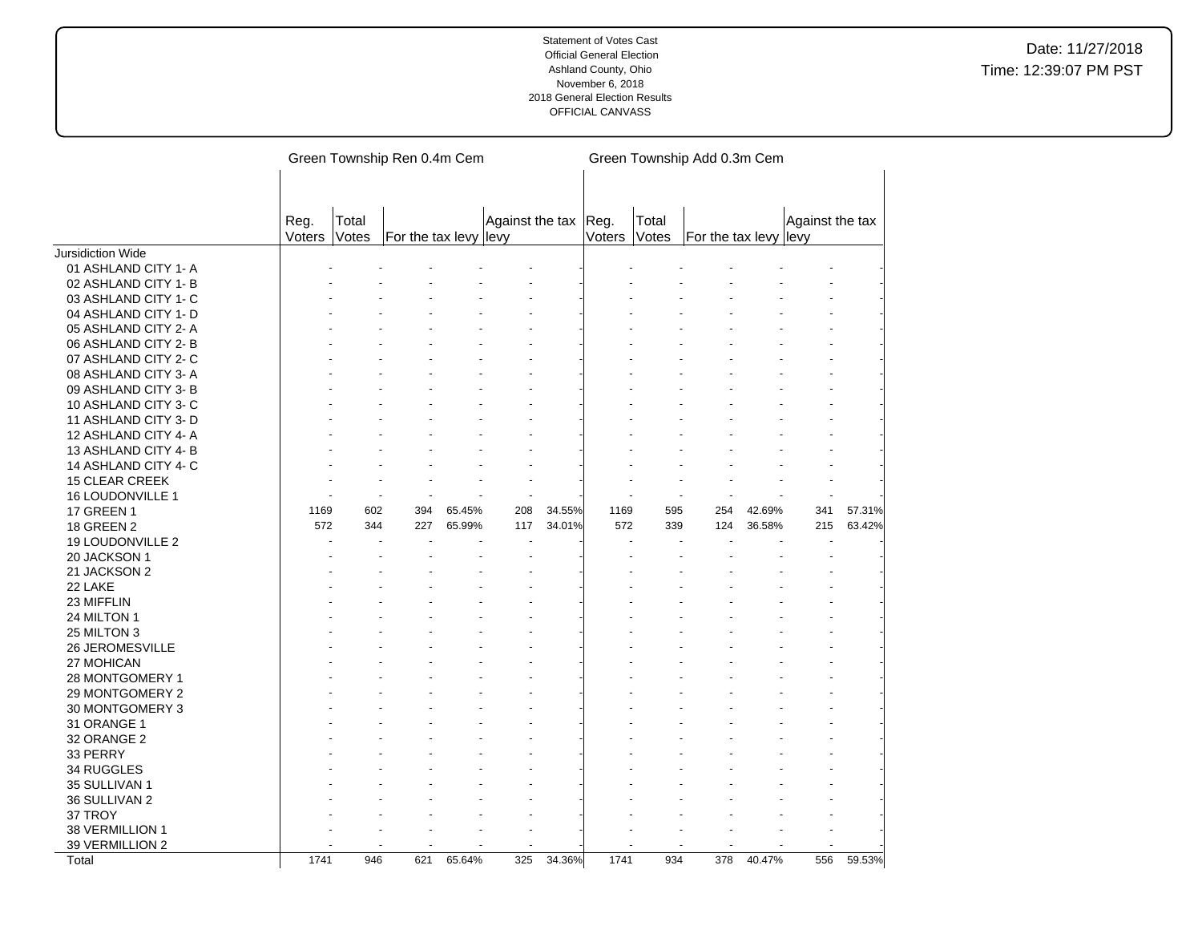|                       |                |                | Green Township Ren 0.4m Cem |        |                      |        |        |                | Green Township Add 0.3m Cem |        |                 |        |
|-----------------------|----------------|----------------|-----------------------------|--------|----------------------|--------|--------|----------------|-----------------------------|--------|-----------------|--------|
|                       |                |                |                             |        |                      |        |        |                |                             |        |                 |        |
|                       | Reg.<br>Voters | Total<br>Votes | For the tax levy levy       |        | Against the tax Reg. |        | Voters | Total<br>Votes | For the tax levy levy       |        | Against the tax |        |
| Jursidiction Wide     |                |                |                             |        |                      |        |        |                |                             |        |                 |        |
| 01 ASHLAND CITY 1- A  |                |                |                             |        |                      |        |        |                |                             |        |                 |        |
| 02 ASHLAND CITY 1- B  |                |                |                             |        |                      |        |        |                |                             |        |                 |        |
| 03 ASHLAND CITY 1- C  |                |                |                             |        |                      |        |        |                |                             |        |                 |        |
| 04 ASHLAND CITY 1- D  |                |                |                             |        |                      |        |        |                |                             |        |                 |        |
| 05 ASHLAND CITY 2-A   |                |                |                             |        |                      |        |        |                |                             |        |                 |        |
| 06 ASHLAND CITY 2-B   |                |                |                             |        |                      |        |        |                |                             |        |                 |        |
| 07 ASHLAND CITY 2- C  |                |                |                             |        |                      |        |        |                |                             |        |                 |        |
| 08 ASHLAND CITY 3-A   |                |                |                             |        |                      |        |        |                |                             |        |                 |        |
| 09 ASHLAND CITY 3-B   |                |                |                             |        |                      |        |        |                |                             |        |                 |        |
| 10 ASHLAND CITY 3-C   |                |                |                             |        |                      |        |        |                |                             |        |                 |        |
| 11 ASHLAND CITY 3-D   |                |                |                             |        |                      |        |        |                |                             |        |                 |        |
| 12 ASHLAND CITY 4-A   |                |                |                             |        |                      |        |        |                |                             |        |                 |        |
| 13 ASHLAND CITY 4-B   |                |                |                             |        |                      |        |        |                |                             |        |                 |        |
| 14 ASHLAND CITY 4- C  |                |                |                             |        |                      |        |        |                |                             |        |                 |        |
| <b>15 CLEAR CREEK</b> |                |                |                             |        |                      |        |        |                |                             |        |                 |        |
| 16 LOUDONVILLE 1      |                |                |                             |        |                      |        |        |                |                             |        |                 |        |
| <b>17 GREEN 1</b>     | 1169           | 602            | 394                         | 65.45% | 208                  | 34.55% | 1169   | 595            | 254                         | 42.69% | 341             | 57.31% |
| <b>18 GREEN 2</b>     | 572            | 344            | 227                         | 65.99% | 117                  | 34.01% | 572    | 339            | 124                         | 36.58% | 215             | 63.42% |
| 19 LOUDONVILLE 2      |                |                |                             |        |                      |        |        |                |                             |        |                 |        |
| 20 JACKSON 1          |                |                |                             |        |                      |        |        |                |                             |        |                 |        |
| 21 JACKSON 2          |                |                |                             |        |                      |        |        |                |                             |        |                 |        |
| 22 LAKE               |                |                |                             |        |                      |        |        |                |                             |        |                 |        |
|                       |                |                |                             |        |                      |        |        |                |                             |        |                 |        |
| 23 MIFFLIN            |                |                |                             |        |                      |        |        |                |                             |        |                 |        |
| 24 MILTON 1           |                |                |                             |        |                      |        |        |                |                             |        |                 |        |
| 25 MILTON 3           |                |                |                             |        |                      |        |        |                |                             |        |                 |        |
| 26 JEROMESVILLE       |                |                |                             |        |                      |        |        |                |                             |        |                 |        |
| 27 MOHICAN            |                |                |                             |        |                      |        |        |                |                             |        |                 |        |
| 28 MONTGOMERY 1       |                |                |                             |        |                      |        |        |                |                             |        |                 |        |
| 29 MONTGOMERY 2       |                |                |                             |        |                      |        |        |                |                             |        |                 |        |
| 30 MONTGOMERY 3       |                |                |                             |        |                      |        |        |                |                             |        |                 |        |
| 31 ORANGE 1           |                |                |                             |        |                      |        |        |                |                             |        |                 |        |
| 32 ORANGE 2           |                |                |                             |        |                      |        |        |                |                             |        |                 |        |
| 33 PERRY              |                |                |                             |        |                      |        |        |                |                             |        |                 |        |
| 34 RUGGLES            |                |                |                             |        |                      |        |        |                |                             |        |                 |        |
| 35 SULLIVAN 1         |                |                |                             |        |                      |        |        |                |                             |        |                 |        |
| 36 SULLIVAN 2         |                |                |                             |        |                      |        |        |                |                             |        |                 |        |
| 37 TROY               |                |                |                             |        |                      |        |        |                |                             |        |                 |        |
| 38 VERMILLION 1       |                |                |                             |        |                      |        |        |                |                             |        |                 |        |
| 39 VERMILLION 2       |                |                |                             |        |                      |        |        |                |                             |        |                 |        |
| Total                 | 1741           | 946            | 621                         | 65.64% | 325                  | 34.36% | 1741   | 934            | 378                         | 40.47% | 556             | 59.53% |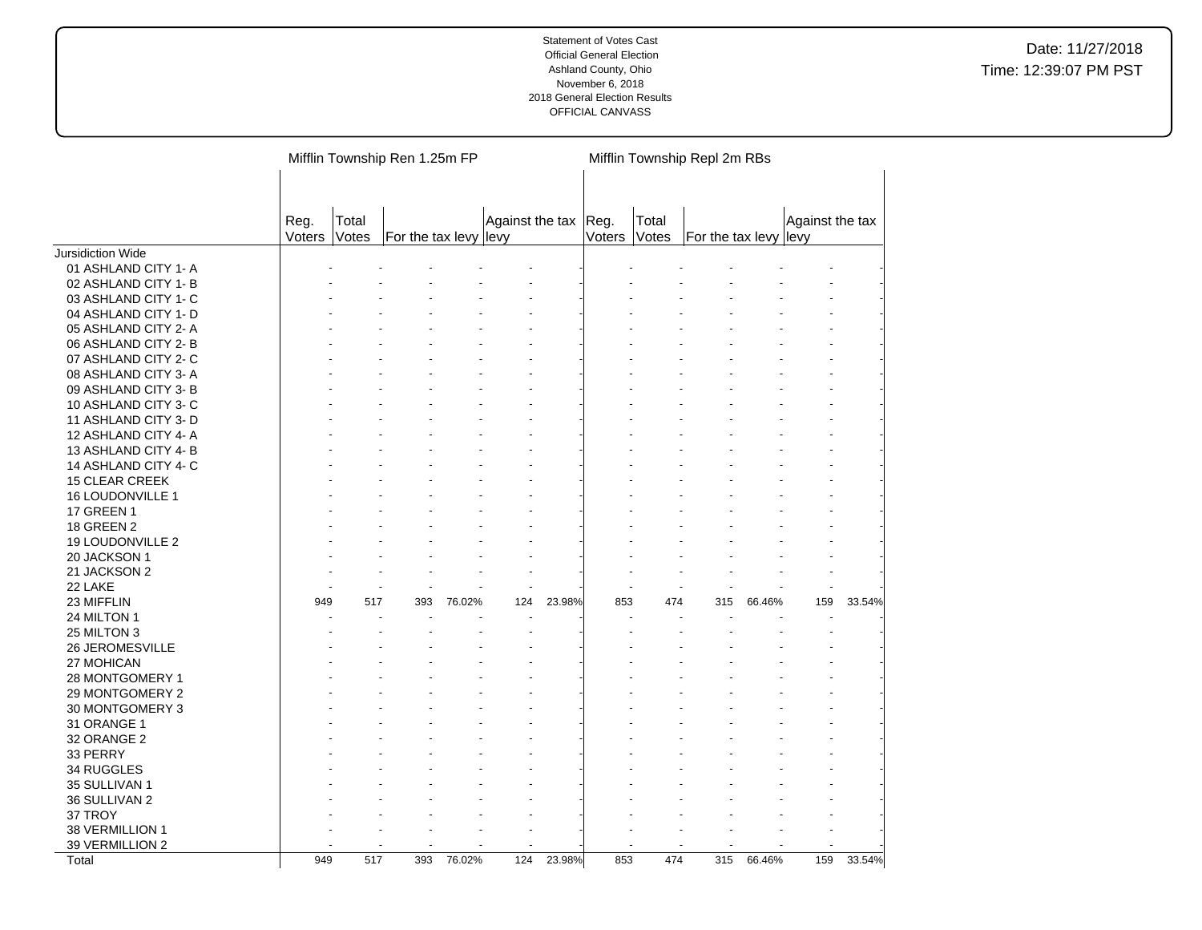|                        |                |                | Mifflin Township Ren 1.25m FP |        |                      |        |              | Mifflin Township Repl 2m RBs |                       |        |                 |        |
|------------------------|----------------|----------------|-------------------------------|--------|----------------------|--------|--------------|------------------------------|-----------------------|--------|-----------------|--------|
|                        | Reg.<br>Voters | Total<br>Votes | For the tax levy levy         |        | Against the tax Reg. |        | Voters Votes | Total                        | For the tax levy levy |        | Against the tax |        |
| Jursidiction Wide      |                |                |                               |        |                      |        |              |                              |                       |        |                 |        |
| 01 ASHLAND CITY 1- A   |                |                |                               |        |                      |        |              |                              |                       |        |                 |        |
| 02 ASHLAND CITY 1-B    |                |                |                               |        |                      |        |              |                              |                       |        |                 |        |
| 03 ASHLAND CITY 1- C   |                |                |                               |        |                      |        |              |                              |                       |        |                 |        |
| 04 ASHLAND CITY 1- D   |                |                |                               |        |                      |        |              |                              |                       |        |                 |        |
| 05 ASHLAND CITY 2-A    |                |                |                               |        |                      |        |              |                              |                       |        |                 |        |
| 06 ASHLAND CITY 2-B    |                |                |                               |        |                      |        |              |                              |                       |        |                 |        |
| 07 ASHLAND CITY 2-C    |                |                |                               |        |                      |        |              |                              |                       |        |                 |        |
| 08 ASHLAND CITY 3-A    |                |                |                               |        |                      |        |              |                              |                       |        |                 |        |
| 09 ASHLAND CITY 3-B    |                |                |                               |        |                      |        |              |                              |                       |        |                 |        |
| 10 ASHLAND CITY 3-C    |                |                |                               |        |                      |        |              |                              |                       |        |                 |        |
| 11 ASHLAND CITY 3- D   |                |                |                               |        |                      |        |              |                              |                       |        |                 |        |
| 12 ASHLAND CITY 4-A    |                |                |                               |        |                      |        |              |                              |                       |        |                 |        |
| 13 ASHLAND CITY 4-B    |                |                |                               |        |                      |        |              |                              |                       |        |                 |        |
| 14 ASHLAND CITY 4- C   |                |                |                               |        |                      |        |              |                              |                       |        |                 |        |
| <b>15 CLEAR CREEK</b>  |                |                |                               |        |                      |        |              |                              |                       |        |                 |        |
| 16 LOUDONVILLE 1       |                |                |                               |        |                      |        |              |                              |                       |        |                 |        |
| <b>17 GREEN 1</b>      |                |                |                               |        |                      |        |              |                              |                       |        |                 |        |
| <b>18 GREEN 2</b>      |                |                |                               |        |                      |        |              |                              |                       |        |                 |        |
| 19 LOUDONVILLE 2       |                |                |                               |        |                      |        |              |                              |                       |        |                 |        |
| 20 JACKSON 1           |                |                |                               |        |                      |        |              |                              |                       |        |                 |        |
| 21 JACKSON 2           |                |                |                               |        |                      |        |              |                              |                       |        |                 |        |
| 22 LAKE                |                |                |                               |        |                      |        |              |                              |                       |        |                 |        |
| 23 MIFFLIN             | 949            | 517            | 393                           | 76.02% | 124                  | 23.98% | 853          | 474                          | 315                   | 66.46% | 159             | 33.54% |
| 24 MILTON 1            |                |                |                               |        |                      |        |              |                              |                       |        |                 |        |
| 25 MILTON 3            |                |                |                               |        |                      |        |              |                              |                       |        |                 |        |
| <b>26 JEROMESVILLE</b> |                |                |                               |        |                      |        |              |                              |                       |        |                 |        |
| 27 MOHICAN             |                |                |                               |        |                      |        |              |                              |                       |        |                 |        |
| 28 MONTGOMERY 1        |                |                |                               |        |                      |        |              |                              |                       |        |                 |        |
| 29 MONTGOMERY 2        |                |                |                               |        |                      |        |              |                              |                       |        |                 |        |
| 30 MONTGOMERY 3        |                |                |                               |        |                      |        |              |                              |                       |        |                 |        |
| 31 ORANGE 1            |                |                |                               |        |                      |        |              |                              |                       |        |                 |        |
| 32 ORANGE 2            |                |                |                               |        |                      |        |              |                              |                       |        |                 |        |
| 33 PERRY               |                |                |                               |        |                      |        |              |                              |                       |        |                 |        |
| 34 RUGGLES             |                |                |                               |        |                      |        |              |                              |                       |        |                 |        |
| 35 SULLIVAN 1          |                |                |                               |        |                      |        |              |                              |                       |        |                 |        |
| 36 SULLIVAN 2          |                |                |                               |        |                      |        |              |                              |                       |        |                 |        |
| 37 TROY                |                |                |                               |        |                      |        |              |                              |                       |        |                 |        |
| 38 VERMILLION 1        |                |                |                               |        |                      |        |              |                              |                       |        |                 |        |
| 39 VERMILLION 2        |                |                |                               |        |                      |        |              |                              |                       |        |                 |        |
| Total                  | 949            | 517            | 393                           | 76.02% | 124                  | 23.98% | 853          | 474                          | 315                   | 66.46% | 159             | 33.54% |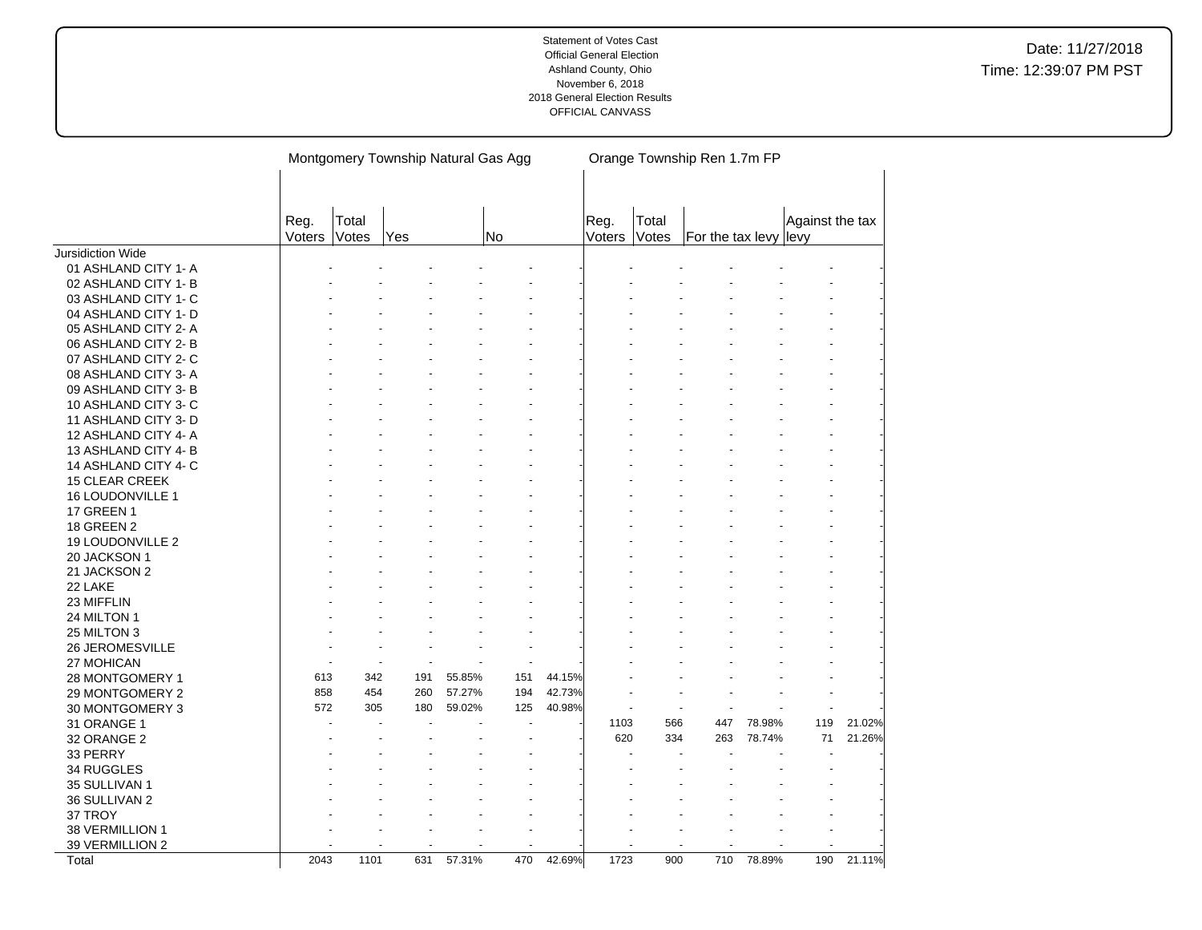|                                    |                |                | Montgomery Township Natural Gas Agg |        |     |        |                |                | Orange Township Ren 1.7m FP |        |                 |        |
|------------------------------------|----------------|----------------|-------------------------------------|--------|-----|--------|----------------|----------------|-----------------------------|--------|-----------------|--------|
|                                    | Reg.<br>Voters | Total<br>Votes | Yes                                 |        | No  |        | Reg.<br>Voters | Total<br>Votes | For the tax levy levy       |        | Against the tax |        |
| Jursidiction Wide                  |                |                |                                     |        |     |        |                |                |                             |        |                 |        |
| 01 ASHLAND CITY 1- A               |                |                |                                     |        |     |        |                |                |                             |        |                 |        |
| 02 ASHLAND CITY 1- B               |                |                |                                     |        |     |        |                |                |                             |        |                 |        |
| 03 ASHLAND CITY 1- C               |                |                |                                     |        |     |        |                |                |                             |        |                 |        |
| 04 ASHLAND CITY 1- D               |                |                |                                     |        |     |        |                |                |                             |        |                 |        |
| 05 ASHLAND CITY 2- A               |                |                |                                     |        |     |        |                |                |                             |        |                 |        |
| 06 ASHLAND CITY 2-B                |                |                |                                     |        |     |        |                |                |                             |        |                 |        |
| 07 ASHLAND CITY 2-C                |                |                |                                     |        |     |        |                |                |                             |        |                 |        |
| 08 ASHLAND CITY 3-A                |                |                |                                     |        |     |        |                |                |                             |        |                 |        |
| 09 ASHLAND CITY 3-B                |                |                |                                     |        |     |        |                |                |                             |        |                 |        |
| 10 ASHLAND CITY 3-C                |                |                |                                     |        |     |        |                |                |                             |        |                 |        |
| 11 ASHLAND CITY 3- D               |                |                |                                     |        |     |        |                |                |                             |        |                 |        |
| 12 ASHLAND CITY 4-A                |                |                |                                     |        |     |        |                |                |                             |        |                 |        |
| 13 ASHLAND CITY 4-B                |                |                |                                     |        |     |        |                |                |                             |        |                 |        |
| 14 ASHLAND CITY 4- C               |                |                |                                     |        |     |        |                |                |                             |        |                 |        |
| 15 CLEAR CREEK                     |                |                |                                     |        |     |        |                |                |                             |        |                 |        |
| 16 LOUDONVILLE 1                   |                |                |                                     |        |     |        |                |                |                             |        |                 |        |
| <b>17 GREEN 1</b>                  |                |                |                                     |        |     |        |                |                |                             |        |                 |        |
| <b>18 GREEN 2</b>                  |                |                |                                     |        |     |        |                |                |                             |        |                 |        |
| 19 LOUDONVILLE 2                   |                |                |                                     |        |     |        |                |                |                             |        |                 |        |
| 20 JACKSON 1                       |                |                |                                     |        |     |        |                |                |                             |        |                 |        |
| 21 JACKSON 2                       |                |                |                                     |        |     |        |                |                |                             |        |                 |        |
| 22 LAKE                            |                |                |                                     |        |     |        |                |                |                             |        |                 |        |
| 23 MIFFLIN                         |                |                |                                     |        |     |        |                |                |                             |        |                 |        |
| 24 MILTON 1                        |                |                |                                     |        |     |        |                |                |                             |        |                 |        |
| 25 MILTON 3                        |                |                |                                     |        |     |        |                |                |                             |        |                 |        |
| 26 JEROMESVILLE                    |                |                |                                     |        |     |        |                |                |                             |        |                 |        |
| 27 MOHICAN                         |                |                | ÷                                   |        |     |        |                |                |                             |        |                 |        |
| 28 MONTGOMERY 1                    | 613            | 342            | 191                                 | 55.85% | 151 | 44.15% |                |                |                             |        |                 |        |
| 29 MONTGOMERY 2                    | 858            | 454            | 260                                 | 57.27% | 194 | 42.73% |                |                |                             |        |                 |        |
| 30 MONTGOMERY 3                    | 572            | 305            | 180                                 | 59.02% | 125 | 40.98% |                |                |                             |        |                 |        |
| 31 ORANGE 1                        |                |                |                                     |        |     |        | 1103           | 566            | 447                         | 78.98% | 119             | 21.02% |
| 32 ORANGE 2                        |                |                |                                     |        |     |        | 620            | 334            | 263                         | 78.74% | 71              | 21.26% |
| 33 PERRY                           |                |                |                                     |        |     |        |                |                |                             |        |                 |        |
| 34 RUGGLES                         |                |                |                                     |        |     |        |                |                |                             |        |                 |        |
| 35 SULLIVAN 1                      |                |                |                                     |        |     |        |                |                |                             |        |                 |        |
| 36 SULLIVAN 2<br>37 TROY           |                |                |                                     |        |     |        |                |                |                             |        |                 |        |
|                                    |                |                |                                     |        |     |        |                |                |                             |        |                 |        |
| 38 VERMILLION 1<br>39 VERMILLION 2 |                |                |                                     |        |     |        |                |                |                             |        |                 |        |
| Total                              | 2043           | 1101           | 631                                 | 57.31% | 470 | 42.69% | 1723           | 900            | 710                         | 78.89% | 190             | 21.11% |
|                                    |                |                |                                     |        |     |        |                |                |                             |        |                 |        |